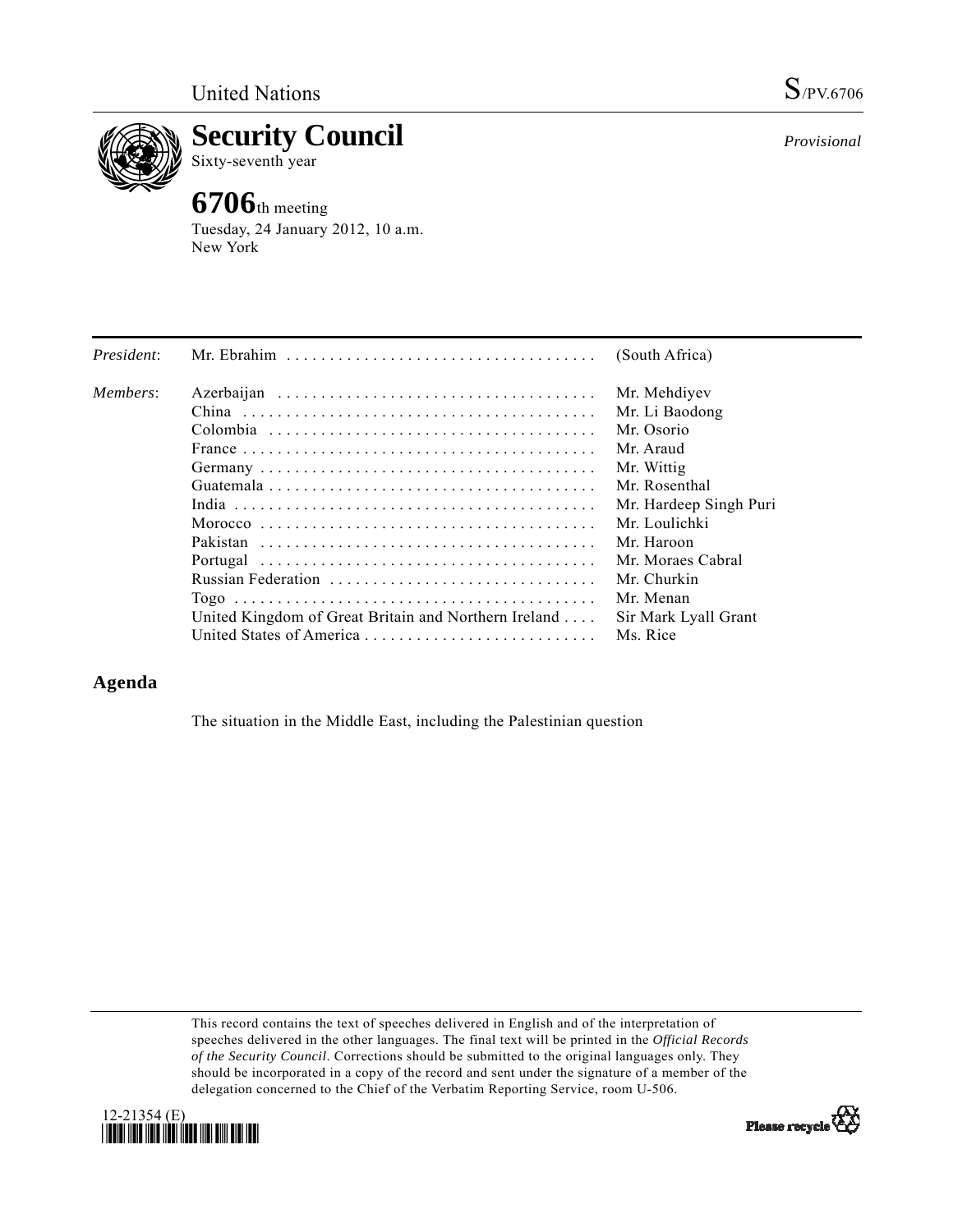

**Security Council** 

Sixty-seventh year

## **6706**th meeting

Tuesday, 24 January 2012, 10 a.m. New York

| President: |                                                      | (South Africa)         |
|------------|------------------------------------------------------|------------------------|
| Members:   |                                                      | Mr. Mehdiyev           |
|            |                                                      | Mr. Li Baodong         |
|            |                                                      | Mr. Osorio             |
|            |                                                      | Mr. Araud              |
|            |                                                      | Mr. Wittig             |
|            |                                                      | Mr. Rosenthal          |
|            |                                                      | Mr. Hardeep Singh Puri |
|            |                                                      | Mr. Loulichki          |
|            |                                                      | Mr. Haroon             |
|            |                                                      | Mr. Moraes Cabral      |
|            | Russian Federation                                   | Mr. Churkin            |
|            |                                                      | Mr. Menan              |
|            | United Kingdom of Great Britain and Northern Ireland | Sir Mark Lyall Grant   |
|            | United States of America                             | Ms. Rice               |

## **Agenda**

The situation in the Middle East, including the Palestinian question

This record contains the text of speeches delivered in English and of the interpretation of speeches delivered in the other languages. The final text will be printed in the *Official Records of the Security Council*. Corrections should be submitted to the original languages only. They should be incorporated in a copy of the record and sent under the signature of a member of the delegation concerned to the Chief of the Verbatim Reporting Service, room U-506.



*Provisional*

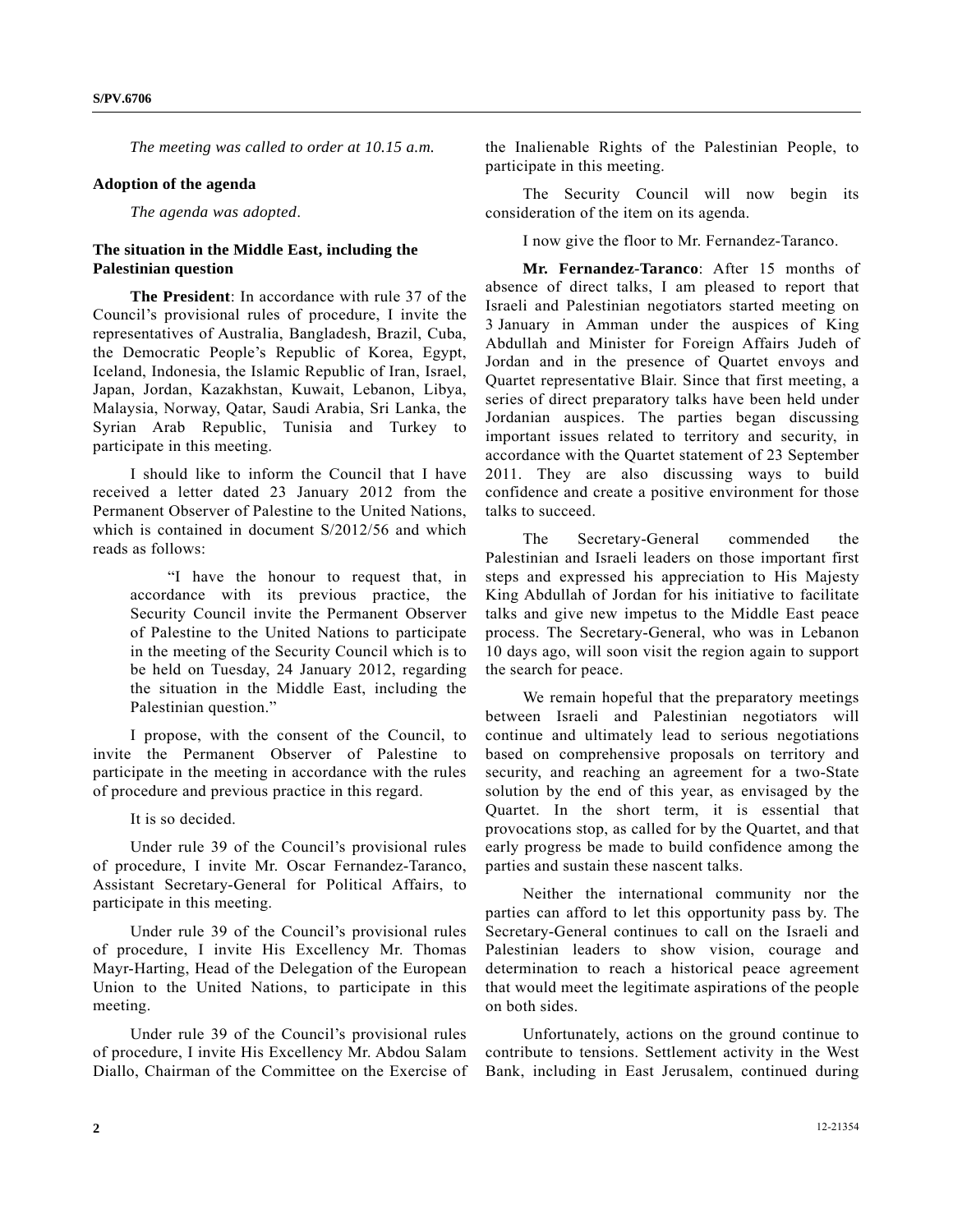*The meeting was called to order at 10.15 a.m.* 

## **Adoption of the agenda**

*The agenda was adopted*.

## **The situation in the Middle East, including the Palestinian question**

**The President**: In accordance with rule 37 of the Council's provisional rules of procedure, I invite the representatives of Australia, Bangladesh, Brazil, Cuba, the Democratic People's Republic of Korea, Egypt, Iceland, Indonesia, the Islamic Republic of Iran, Israel, Japan, Jordan, Kazakhstan, Kuwait, Lebanon, Libya, Malaysia, Norway, Qatar, Saudi Arabia, Sri Lanka, the Syrian Arab Republic, Tunisia and Turkey to participate in this meeting.

 I should like to inform the Council that I have received a letter dated 23 January 2012 from the Permanent Observer of Palestine to the United Nations, which is contained in document S/2012/56 and which reads as follows:

 "I have the honour to request that, in accordance with its previous practice, the Security Council invite the Permanent Observer of Palestine to the United Nations to participate in the meeting of the Security Council which is to be held on Tuesday, 24 January 2012, regarding the situation in the Middle East, including the Palestinian question."

 I propose, with the consent of the Council, to invite the Permanent Observer of Palestine to participate in the meeting in accordance with the rules of procedure and previous practice in this regard.

It is so decided.

 Under rule 39 of the Council's provisional rules of procedure, I invite Mr. Oscar Fernandez-Taranco, Assistant Secretary-General for Political Affairs, to participate in this meeting.

 Under rule 39 of the Council's provisional rules of procedure, I invite His Excellency Mr. Thomas Mayr-Harting, Head of the Delegation of the European Union to the United Nations, to participate in this meeting.

 Under rule 39 of the Council's provisional rules of procedure, I invite His Excellency Mr. Abdou Salam Diallo, Chairman of the Committee on the Exercise of the Inalienable Rights of the Palestinian People, to participate in this meeting.

 The Security Council will now begin its consideration of the item on its agenda.

I now give the floor to Mr. Fernandez-Taranco.

**Mr. Fernandez-Taranco**: After 15 months of absence of direct talks, I am pleased to report that Israeli and Palestinian negotiators started meeting on 3 January in Amman under the auspices of King Abdullah and Minister for Foreign Affairs Judeh of Jordan and in the presence of Quartet envoys and Quartet representative Blair. Since that first meeting, a series of direct preparatory talks have been held under Jordanian auspices. The parties began discussing important issues related to territory and security, in accordance with the Quartet statement of 23 September 2011. They are also discussing ways to build confidence and create a positive environment for those talks to succeed.

 The Secretary-General commended the Palestinian and Israeli leaders on those important first steps and expressed his appreciation to His Majesty King Abdullah of Jordan for his initiative to facilitate talks and give new impetus to the Middle East peace process. The Secretary-General, who was in Lebanon 10 days ago, will soon visit the region again to support the search for peace.

 We remain hopeful that the preparatory meetings between Israeli and Palestinian negotiators will continue and ultimately lead to serious negotiations based on comprehensive proposals on territory and security, and reaching an agreement for a two-State solution by the end of this year, as envisaged by the Quartet. In the short term, it is essential that provocations stop, as called for by the Quartet, and that early progress be made to build confidence among the parties and sustain these nascent talks.

 Neither the international community nor the parties can afford to let this opportunity pass by. The Secretary-General continues to call on the Israeli and Palestinian leaders to show vision, courage and determination to reach a historical peace agreement that would meet the legitimate aspirations of the people on both sides.

 Unfortunately, actions on the ground continue to contribute to tensions. Settlement activity in the West Bank, including in East Jerusalem, continued during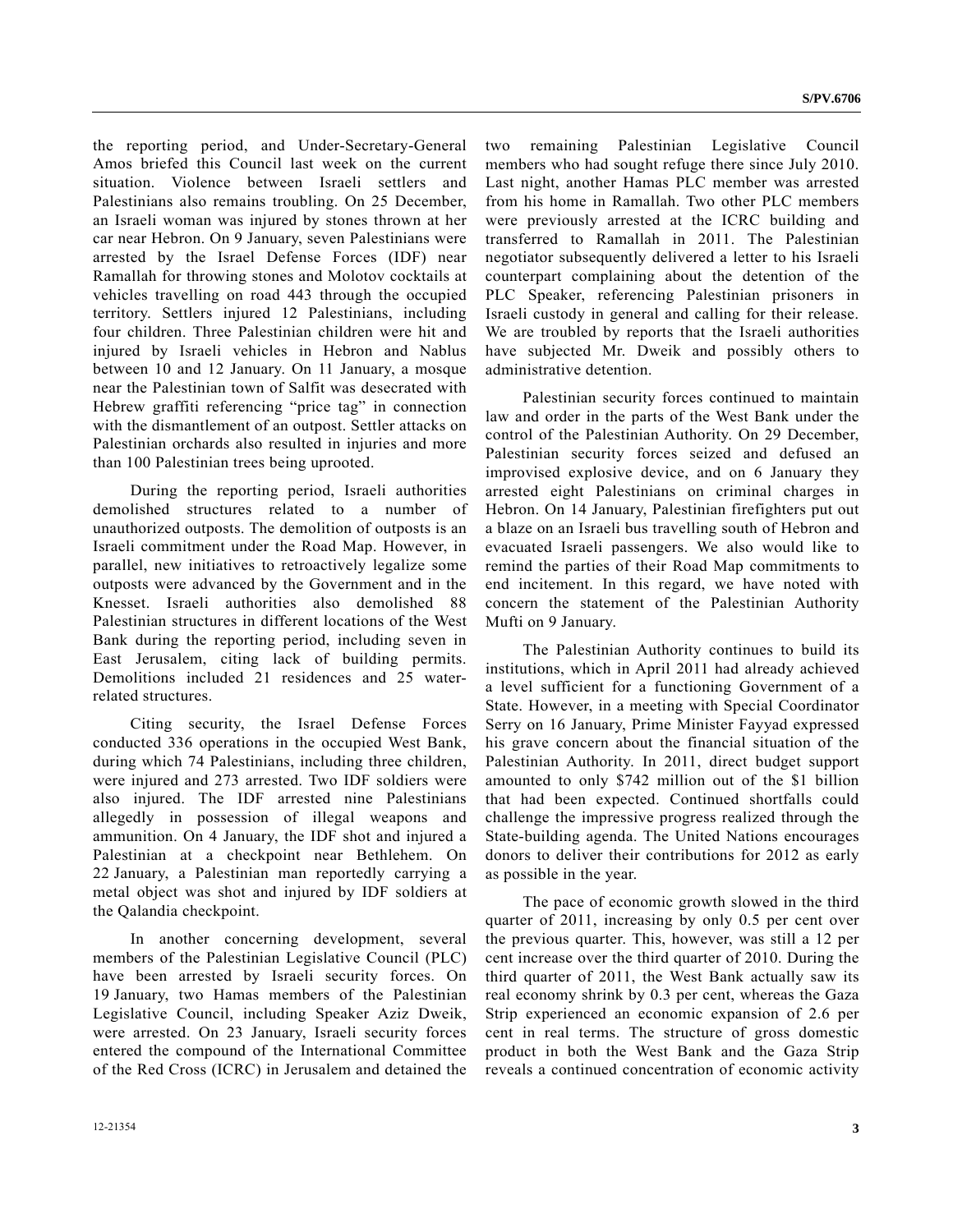the reporting period, and Under-Secretary-General Amos briefed this Council last week on the current situation. Violence between Israeli settlers and Palestinians also remains troubling. On 25 December, an Israeli woman was injured by stones thrown at her car near Hebron. On 9 January, seven Palestinians were arrested by the Israel Defense Forces (IDF) near Ramallah for throwing stones and Molotov cocktails at vehicles travelling on road 443 through the occupied territory. Settlers injured 12 Palestinians, including four children. Three Palestinian children were hit and injured by Israeli vehicles in Hebron and Nablus between 10 and 12 January. On 11 January, a mosque near the Palestinian town of Salfit was desecrated with Hebrew graffiti referencing "price tag" in connection with the dismantlement of an outpost. Settler attacks on Palestinian orchards also resulted in injuries and more than 100 Palestinian trees being uprooted.

 During the reporting period, Israeli authorities demolished structures related to a number of unauthorized outposts. The demolition of outposts is an Israeli commitment under the Road Map. However, in parallel, new initiatives to retroactively legalize some outposts were advanced by the Government and in the Knesset. Israeli authorities also demolished 88 Palestinian structures in different locations of the West Bank during the reporting period, including seven in East Jerusalem, citing lack of building permits. Demolitions included 21 residences and 25 waterrelated structures.

 Citing security, the Israel Defense Forces conducted 336 operations in the occupied West Bank, during which 74 Palestinians, including three children, were injured and 273 arrested. Two IDF soldiers were also injured. The IDF arrested nine Palestinians allegedly in possession of illegal weapons and ammunition. On 4 January, the IDF shot and injured a Palestinian at a checkpoint near Bethlehem. On 22 January, a Palestinian man reportedly carrying a metal object was shot and injured by IDF soldiers at the Qalandia checkpoint.

 In another concerning development, several members of the Palestinian Legislative Council (PLC) have been arrested by Israeli security forces. On 19 January, two Hamas members of the Palestinian Legislative Council, including Speaker Aziz Dweik, were arrested. On 23 January, Israeli security forces entered the compound of the International Committee of the Red Cross (ICRC) in Jerusalem and detained the two remaining Palestinian Legislative Council members who had sought refuge there since July 2010. Last night, another Hamas PLC member was arrested from his home in Ramallah. Two other PLC members were previously arrested at the ICRC building and transferred to Ramallah in 2011. The Palestinian negotiator subsequently delivered a letter to his Israeli counterpart complaining about the detention of the PLC Speaker, referencing Palestinian prisoners in Israeli custody in general and calling for their release. We are troubled by reports that the Israeli authorities have subjected Mr. Dweik and possibly others to administrative detention.

 Palestinian security forces continued to maintain law and order in the parts of the West Bank under the control of the Palestinian Authority. On 29 December, Palestinian security forces seized and defused an improvised explosive device, and on 6 January they arrested eight Palestinians on criminal charges in Hebron. On 14 January, Palestinian firefighters put out a blaze on an Israeli bus travelling south of Hebron and evacuated Israeli passengers. We also would like to remind the parties of their Road Map commitments to end incitement. In this regard, we have noted with concern the statement of the Palestinian Authority Mufti on 9 January.

 The Palestinian Authority continues to build its institutions, which in April 2011 had already achieved a level sufficient for a functioning Government of a State. However, in a meeting with Special Coordinator Serry on 16 January, Prime Minister Fayyad expressed his grave concern about the financial situation of the Palestinian Authority. In 2011, direct budget support amounted to only \$742 million out of the \$1 billion that had been expected. Continued shortfalls could challenge the impressive progress realized through the State-building agenda. The United Nations encourages donors to deliver their contributions for 2012 as early as possible in the year.

 The pace of economic growth slowed in the third quarter of 2011, increasing by only 0.5 per cent over the previous quarter. This, however, was still a 12 per cent increase over the third quarter of 2010. During the third quarter of 2011, the West Bank actually saw its real economy shrink by 0.3 per cent, whereas the Gaza Strip experienced an economic expansion of 2.6 per cent in real terms. The structure of gross domestic product in both the West Bank and the Gaza Strip reveals a continued concentration of economic activity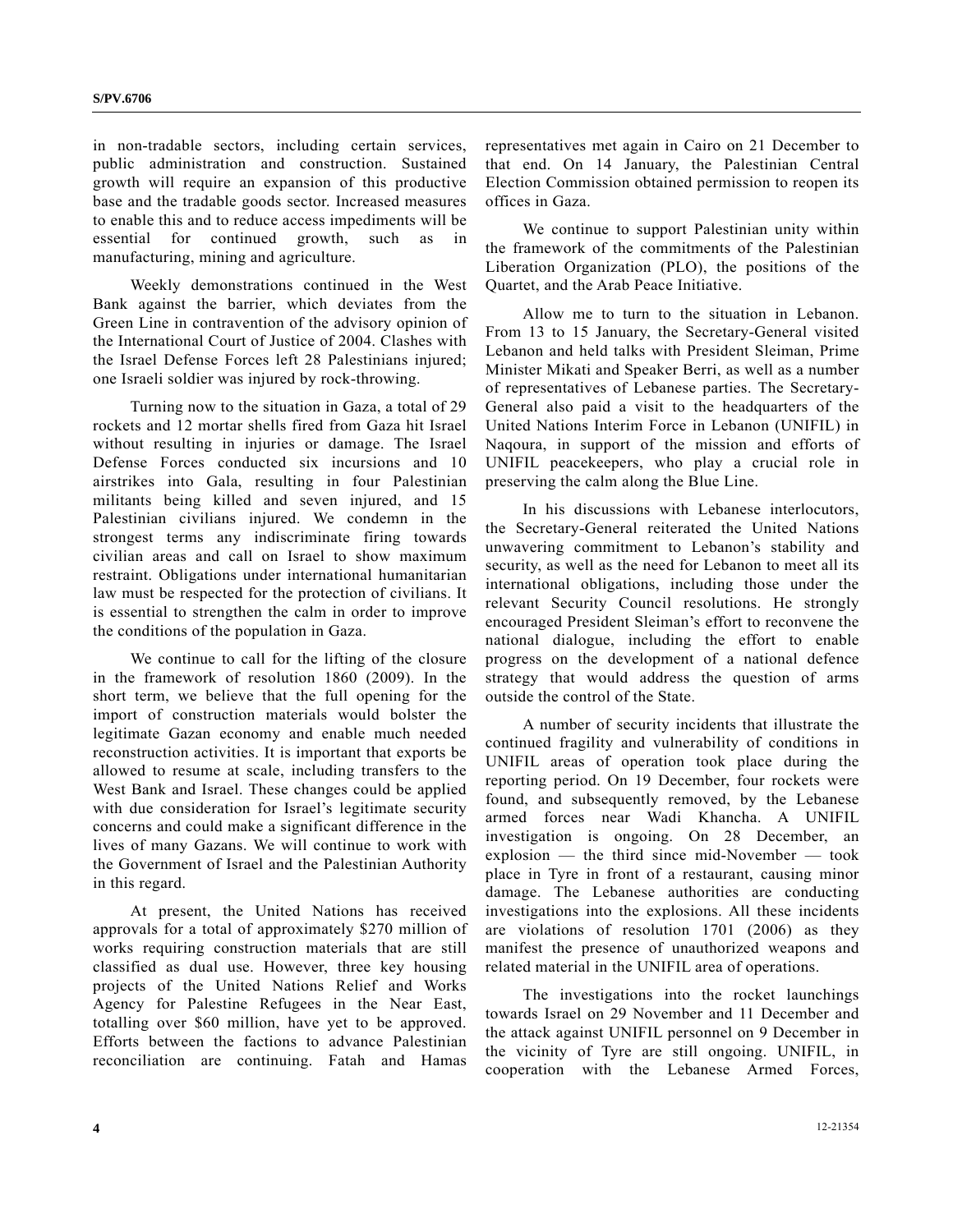in non-tradable sectors, including certain services, public administration and construction. Sustained growth will require an expansion of this productive base and the tradable goods sector. Increased measures to enable this and to reduce access impediments will be essential for continued growth, such as in manufacturing, mining and agriculture.

 Weekly demonstrations continued in the West Bank against the barrier, which deviates from the Green Line in contravention of the advisory opinion of the International Court of Justice of 2004. Clashes with the Israel Defense Forces left 28 Palestinians injured; one Israeli soldier was injured by rock-throwing.

 Turning now to the situation in Gaza, a total of 29 rockets and 12 mortar shells fired from Gaza hit Israel without resulting in injuries or damage. The Israel Defense Forces conducted six incursions and 10 airstrikes into Gala, resulting in four Palestinian militants being killed and seven injured, and 15 Palestinian civilians injured. We condemn in the strongest terms any indiscriminate firing towards civilian areas and call on Israel to show maximum restraint. Obligations under international humanitarian law must be respected for the protection of civilians. It is essential to strengthen the calm in order to improve the conditions of the population in Gaza.

 We continue to call for the lifting of the closure in the framework of resolution 1860 (2009). In the short term, we believe that the full opening for the import of construction materials would bolster the legitimate Gazan economy and enable much needed reconstruction activities. It is important that exports be allowed to resume at scale, including transfers to the West Bank and Israel. These changes could be applied with due consideration for Israel's legitimate security concerns and could make a significant difference in the lives of many Gazans. We will continue to work with the Government of Israel and the Palestinian Authority in this regard.

 At present, the United Nations has received approvals for a total of approximately \$270 million of works requiring construction materials that are still classified as dual use. However, three key housing projects of the United Nations Relief and Works Agency for Palestine Refugees in the Near East, totalling over \$60 million, have yet to be approved. Efforts between the factions to advance Palestinian reconciliation are continuing. Fatah and Hamas

representatives met again in Cairo on 21 December to that end. On 14 January, the Palestinian Central Election Commission obtained permission to reopen its offices in Gaza.

 We continue to support Palestinian unity within the framework of the commitments of the Palestinian Liberation Organization (PLO), the positions of the Quartet, and the Arab Peace Initiative.

 Allow me to turn to the situation in Lebanon. From 13 to 15 January, the Secretary-General visited Lebanon and held talks with President Sleiman, Prime Minister Mikati and Speaker Berri, as well as a number of representatives of Lebanese parties. The Secretary-General also paid a visit to the headquarters of the United Nations Interim Force in Lebanon (UNIFIL) in Naqoura, in support of the mission and efforts of UNIFIL peacekeepers, who play a crucial role in preserving the calm along the Blue Line.

 In his discussions with Lebanese interlocutors, the Secretary-General reiterated the United Nations unwavering commitment to Lebanon's stability and security, as well as the need for Lebanon to meet all its international obligations, including those under the relevant Security Council resolutions. Не strongly encouraged President Slеiman's effort to reconvene the national dialogue, including the effort to enable progress on the development of a national defence strategy that would address the question of arms outside the control of the State.

 A number of security incidents that illustrate the continued fragility and vulnerability of conditions in UNIFIL areas of operation took place during the reporting period. On 19 December, four rockets were found, and subsequently removed, by the Lebanese armed forces near Wadi Khancha. A UNIFIL investigation is ongoing. On 28 December, an explosion — the third since mid-November — took place in Tyre in front of a restaurant, causing minor damage. The Lebanese authorities are conducting investigations into the explosions. All these incidents are violations of resolution 1701 (2006) as they manifest the presence of unauthorized weapons and related material in the UNIFIL area of operations.

 The investigations into the rocket launchings towards Israel on 29 November and 11 December and the attack against UNIFIL personnel on 9 December in the vicinity of Tyre are still ongoing. UNIFIL, in cooperation with the Lebanese Armed Forces,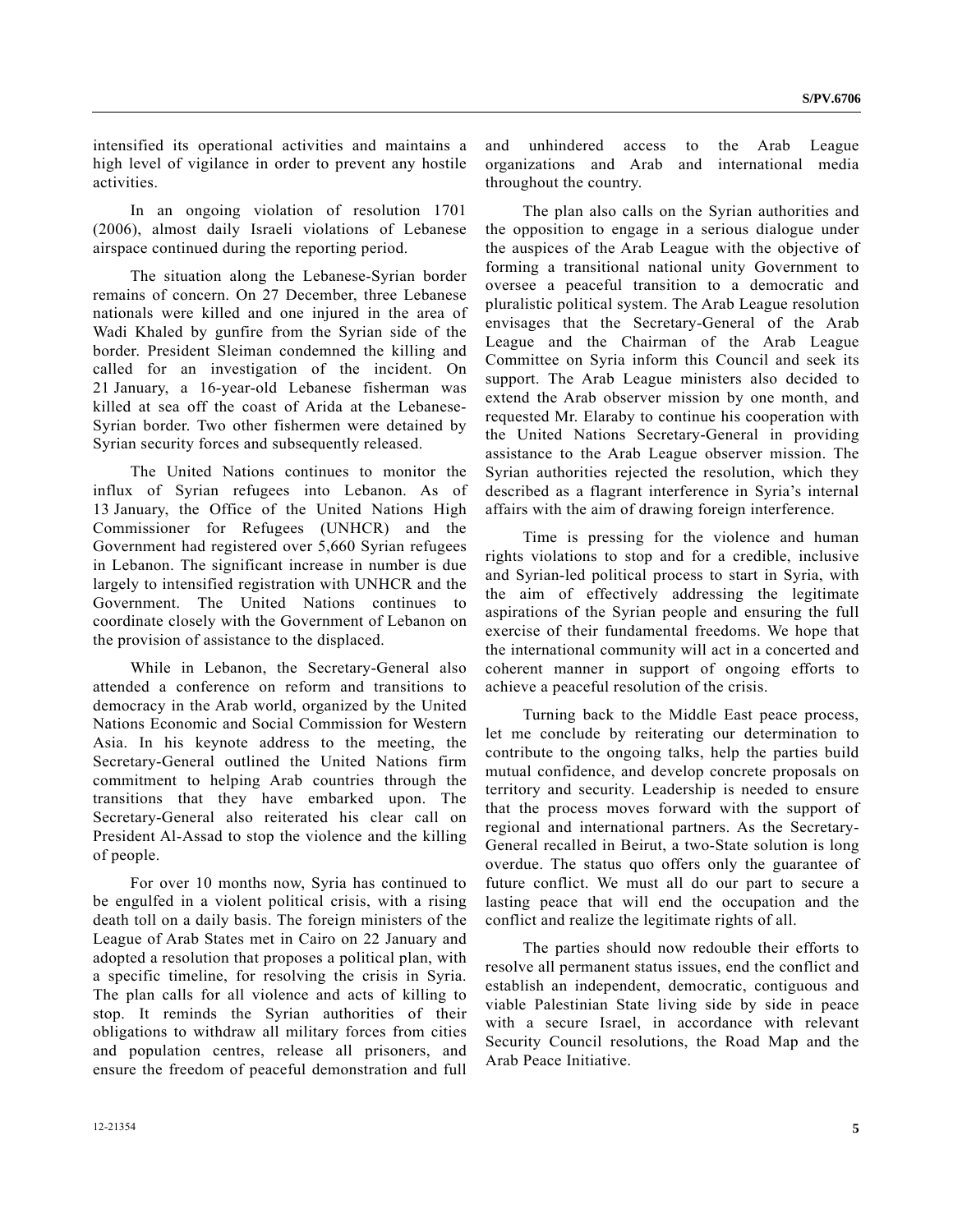intensified its operational activities and maintains a high level of vigilance in order to prevent any hostile activities.

 In an ongoing violation of resolution 1701 (2006), almost daily Israeli violations of Lebanese airspace continued during the reporting period.

 The situation along the Lebanese-Syrian border remains of concern. On 27 December, three Lebanese nationals were killed and one injured in the area of Wadi Khaled by gunfire from the Syrian side of the border. President Sleiman condemned the killing and called for an investigation of the incident. On 21 January, a 16-year-old Lebanese fisherman was killed at sea off the coast of Arida at the Lebanese-Syrian border. Two other fishermen were detained by Syrian security forces and subsequently released.

 The United Nations continues to monitor the influx of Syrian refugees into Lebanon. As of 13 January, the Office of the United Nations High Commissioner for Refugees (UNHCR) and the Government had registered over 5,660 Syrian refugees in Lebanon. The significant increase in number is due largely to intensified registration with UNHCR and the Government. The United Nations continues coordinate closely with the Government of Lebanon on the provision of assistance to the displaced.

 While in Lebanon, the Secretary-General also attended a conference on reform and transitions to democracy in the Arab world, organized by the United Nations Economic and Social Commission for Western Asia. In his keynote address to the meeting, the Secretary-General outlined the United Nations firm commitment to helping Arab countries through the transitions that they have embarked upon. The Secretary-General also reiterated his clear call on President Al-Assad to stop the violence and the killing of people.

 For over 10 months now, Syria has continued to be engulfed in a violent political crisis, with a rising death toll on a daily basis. The foreign ministers of the League of Arab States met in Cairo on 22 January and adopted a resolution that proposes a political plan, with a specific timeline, for resolving the crisis in Syria. The plan calls for all violence and acts of killing to stop. It reminds the Syrian authorities of their obligations to withdraw all military forces from cities and population centres, release all prisoners, and ensure the freedom of peaceful demonstration and full and unhindered access to the Arab League organizations and Arab and international media throughout the country.

 The plan also calls on the Syrian authorities and the opposition to engage in a serious dialogue under the auspices of the Arab League with the objective of forming a transitional national unity Government to oversee a peaceful transition to a democratic and pluralistic political system. The Arab League resolution envisages that the Secretary-General of the Arab League and the Chairman of the Arab League Committee on Syria inform this Council and seek its support. The Arab League ministers also decided to extend the Arab observer mission by one month, and requested Mr. Elaraby to continue his cooperation with the United Nations Secretary-General in providing assistance to the Arab League observer mission. The Syrian authorities rejected the resolution, which they described as a flagrant interference in Syria's internal affairs with the aim of drawing foreign interference.

 Time is pressing for the violence and human rights violations to stop and for a credible, inclusive and Syrian-led political process to start in Syria, with the aim of effectively addressing the legitimate aspirations of the Syrian people and ensuring the full exercise of their fundamental freedoms. We hope that the international community will act in a concerted and coherent manner in support of ongoing efforts to achieve a peaceful resolution of the crisis.

 Turning back to the Middle East peace process, let me conclude by reiterating our determination to contribute to the ongoing talks, help the parties build mutual confidence, and develop concrete proposals on territory and security. Leadership is needed to ensure that the process moves forward with the support of regional and international partners. As the Secretary-General recalled in Beirut, a two-State solution is long overdue. The status quo offers only the guarantee of future conflict. We must all do our part to secure a lasting peace that will end the occupation and the conflict and realize the legitimate rights of all.

 The parties should now redouble their efforts to resolve all permanent status issues, end the conflict and establish an independent, democratic, contiguous and viable Palestinian State living side by side in peace with a secure Israel, in accordance with relevant Security Council resolutions, the Road Map and the Arab Peace Initiative.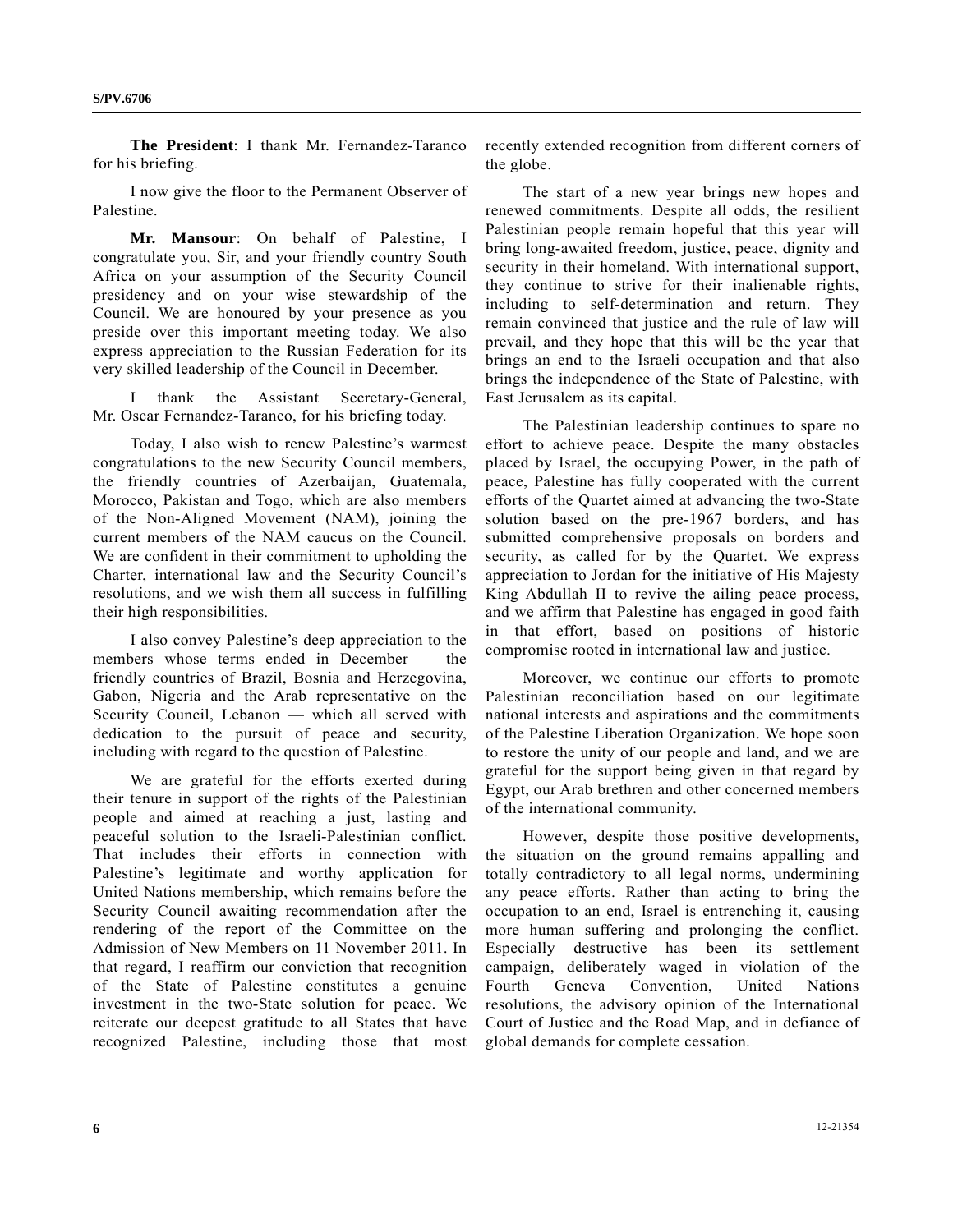**S/PV.6706** 

**The President**: I thank Mr. Fernandez-Taranco for his briefing.

 I now give the floor to the Permanent Observer of Palestine.

**Mr. Mansour**: On behalf of Palestine, I congratulate you, Sir, and your friendly country South Africa on your assumption of the Security Council presidency and on your wise stewardship of the Council. We are honoured by your presence as you preside over this important meeting today. We also express appreciation to the Russian Federation for its very skilled leadership of the Council in December.

 I thank the Assistant Secretary-General, Mr. Oscar Fernandez-Taranco, for his briefing today.

 Today, I also wish to renew Palestine's warmest congratulations to the new Security Council members, the friendly countries of Azerbaijan, Guatemala, Morocco, Pakistan and Togo, which are also members of the Non-Aligned Movement (NAM), joining the current members of the NAM caucus on the Council. We are confident in their commitment to upholding the Charter, international law and the Security Council's resolutions, and we wish them all success in fulfilling their high responsibilities.

 I also convey Palestine's deep appreciation to the members whose terms ended in December — the friendly countries of Brazil, Bosnia and Herzegovina, Gabon, Nigeria and the Arab representative on the Security Council, Lebanon — which all served with dedication to the pursuit of peace and security, including with regard to the question of Palestine.

 We are grateful for the efforts exerted during their tenure in support of the rights of the Palestinian people and aimed at reaching a just, lasting and peaceful solution to the Israeli-Palestinian conflict. That includes their efforts in connection with Palestine's legitimate and worthy application for United Nations membership, which remains before the Security Council awaiting recommendation after the rendering of the report of the Committee on the Admission of New Members on 11 November 2011. In that regard, I reaffirm our conviction that recognition of the State of Palestine constitutes a genuine investment in the two-State solution for peace. We reiterate our deepest gratitude to all States that have recognized Palestine, including those that most recently extended recognition from different corners of the globe.

 The start of a new year brings new hopes and renewed commitments. Despite all odds, the resilient Palestinian people remain hopeful that this year will bring long-awaited freedom, justice, peace, dignity and security in their homeland. With international support, they continue to strive for their inalienable rights, including to self-determination and return. They remain convinced that justice and the rule of law will prevail, and they hope that this will be the year that brings an end to the Israeli occupation and that also brings the independence of the State of Palestine, with East Jerusalem as its capital.

 The Palestinian leadership continues to spare no effort to achieve peace. Despite the many obstacles placed by Israel, the occupying Power, in the path of peace, Palestine has fully cooperated with the current efforts of the Quartet aimed at advancing the two-State solution based on the pre-1967 borders, and has submitted comprehensive proposals on borders and security, as called for by the Quartet. We express appreciation to Jordan for the initiative of His Majesty King Abdullah II to revive the ailing peace process, and we affirm that Palestine has engaged in good faith in that effort, based on positions of historic compromise rooted in international law and justice.

 Moreover, we continue our efforts to promote Palestinian reconciliation based on our legitimate national interests and aspirations and the commitments of the Palestine Liberation Organization. We hope soon to restore the unity of our people and land, and we are grateful for the support being given in that regard by Egypt, our Arab brethren and other concerned members of the international community.

 However, despite those positive developments, the situation on the ground remains appalling and totally contradictory to all legal norms, undermining any peace efforts. Rather than acting to bring the occupation to an end, Israel is entrenching it, causing more human suffering and prolonging the conflict. Especially destructive has been its settlement campaign, deliberately waged in violation of the Fourth Geneva Convention, United Nations resolutions, the advisory opinion of the International Court of Justice and the Road Map, and in defiance of global demands for complete cessation.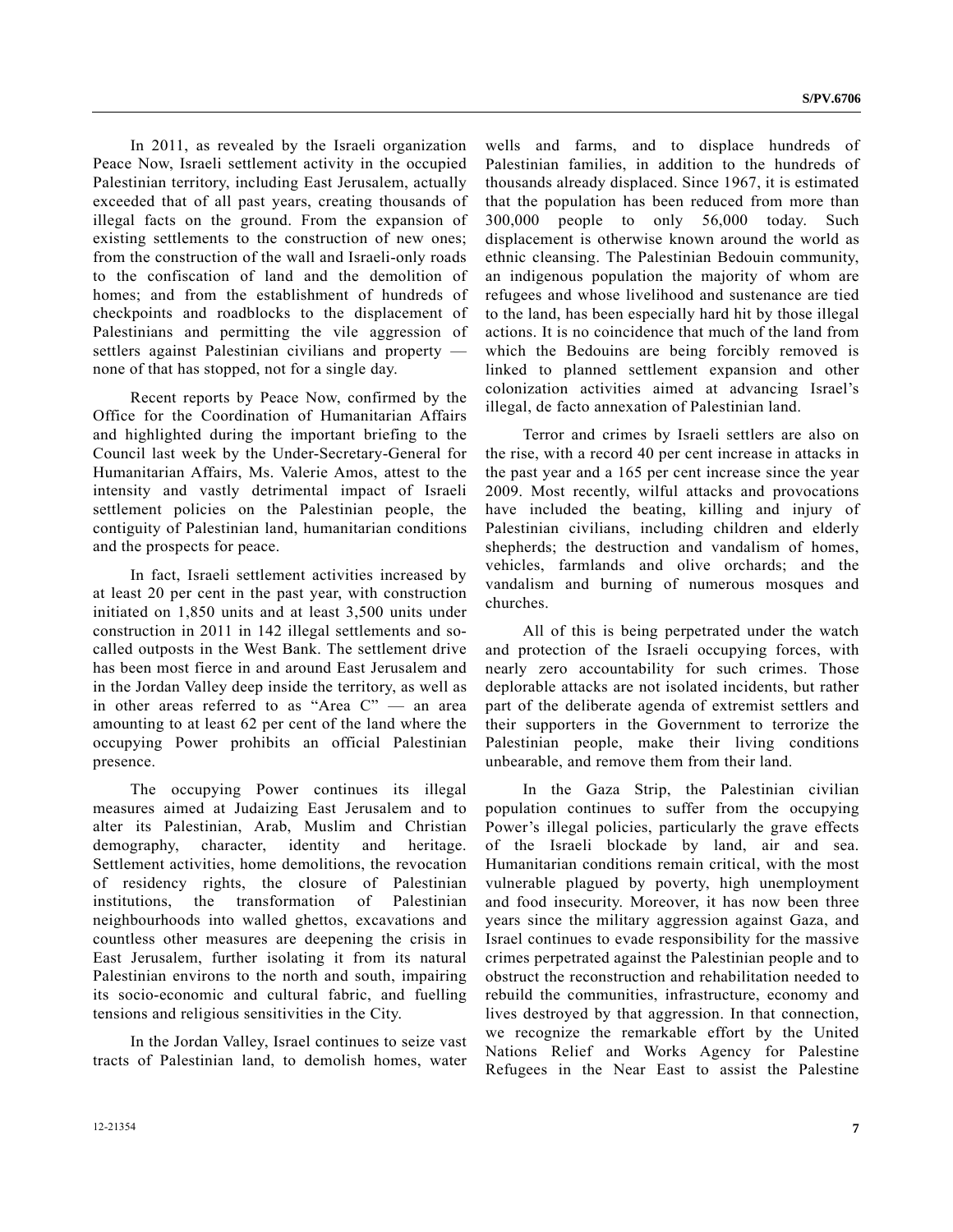In 2011, as revealed by the Israeli organization Peace Now, Israeli settlement activity in the occupied Palestinian territory, including East Jerusalem, actually exceeded that of all past years, creating thousands of illegal facts on the ground. From the expansion of existing settlements to the construction of new ones; from the construction of the wall and Israeli-only roads to the confiscation of land and the demolition of homes; and from the establishment of hundreds of checkpoints and roadblocks to the displacement of Palestinians and permitting the vile aggression of settlers against Palestinian civilians and property none of that has stopped, not for a single day.

 Recent reports by Peace Now, confirmed by the Office for the Coordination of Humanitarian Affairs and highlighted during the important briefing to the Council last week by the Under-Secretary-General for Humanitarian Affairs, Ms. Valerie Amos, attest to the intensity and vastly detrimental impact of Israeli settlement policies on the Palestinian people, the contiguity of Palestinian land, humanitarian conditions and the prospects for peace.

 In fact, Israeli settlement activities increased by at least 20 per cent in the past year, with construction initiated on 1,850 units and at least 3,500 units under construction in 2011 in 142 illegal settlements and socalled outposts in the West Bank. The settlement drive has been most fierce in and around East Jerusalem and in the Jordan Valley deep inside the territory, as well as in other areas referred to as "Area C" — an area amounting to at least 62 per cent of the land where the occupying Power prohibits an official Palestinian presence.

 The occupying Power continues its illegal measures aimed at Judaizing East Jerusalem and to alter its Palestinian, Arab, Muslim and Christian demography, character, identity and heritage. Settlement activities, home demolitions, the revocation of residency rights, the closure of Palestinian institutions, the transformation of Palestinian neighbourhoods into walled ghettos, excavations and countless other measures are deepening the crisis in East Jerusalem, further isolating it from its natural Palestinian environs to the north and south, impairing its socio-economic and cultural fabric, and fuelling tensions and religious sensitivities in the City.

 In the Jordan Valley, Israel continues to seize vast tracts of Palestinian land, to demolish homes, water wells and farms, and to displace hundreds of Palestinian families, in addition to the hundreds of thousands already displaced. Since 1967, it is estimated that the population has been reduced from more than 300,000 people to only 56,000 today. Such displacement is otherwise known around the world as ethnic cleansing. The Palestinian Bedouin community, an indigenous population the majority of whom are refugees and whose livelihood and sustenance are tied to the land, has been especially hard hit by those illegal actions. It is no coincidence that much of the land from which the Bedouins are being forcibly removed is linked to planned settlement expansion and other colonization activities aimed at advancing Israel's illegal, de facto annexation of Palestinian land.

 Terror and crimes by Israeli settlers are also on the rise, with a record 40 per cent increase in attacks in the past year and a 165 per cent increase since the year 2009. Most recently, wilful attacks and provocations have included the beating, killing and injury of Palestinian civilians, including children and elderly shepherds; the destruction and vandalism of homes, vehicles, farmlands and olive orchards; and the vandalism and burning of numerous mosques and churches.

 All of this is being perpetrated under the watch and protection of the Israeli occupying forces, with nearly zero accountability for such crimes. Those deplorable attacks are not isolated incidents, but rather part of the deliberate agenda of extremist settlers and their supporters in the Government to terrorize the Palestinian people, make their living conditions unbearable, and remove them from their land.

 In the Gaza Strip, the Palestinian civilian population continues to suffer from the occupying Power's illegal policies, particularly the grave effects of the Israeli blockade by land, air and sea. Humanitarian conditions remain critical, with the most vulnerable plagued by poverty, high unemployment and food insecurity. Moreover, it has now been three years since the military aggression against Gaza, and Israel continues to evade responsibility for the massive crimes perpetrated against the Palestinian people and to obstruct the reconstruction and rehabilitation needed to rebuild the communities, infrastructure, economy and lives destroyed by that aggression. In that connection, we recognize the remarkable effort by the United Nations Relief and Works Agency for Palestine Refugees in the Near East to assist the Palestine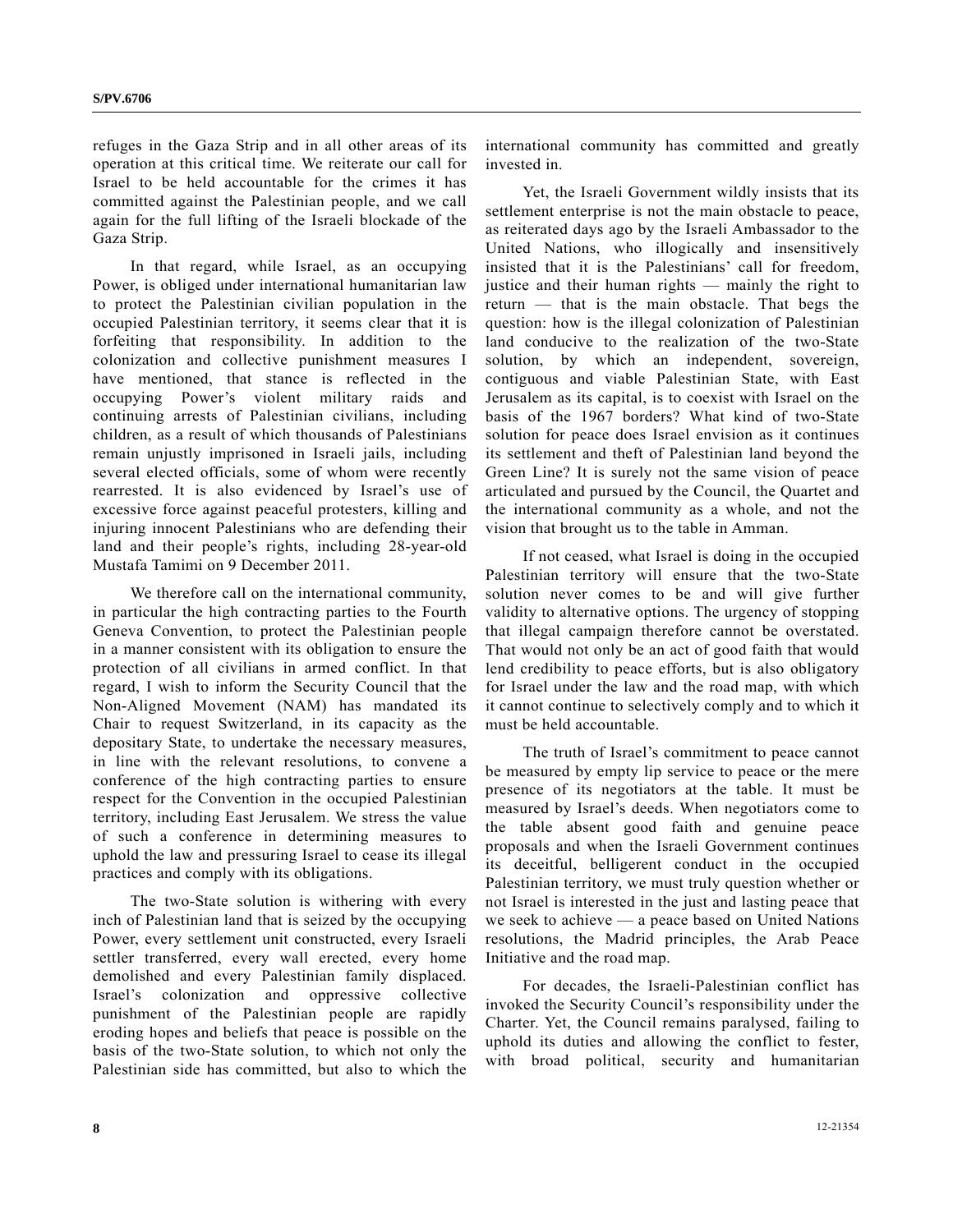refuges in the Gaza Strip and in all other areas of its operation at this critical time. We reiterate our call for Israel to be held accountable for the crimes it has committed against the Palestinian people, and we call again for the full lifting of the Israeli blockade of the Gaza Strip.

 In that regard, while Israel, as an occupying Power, is obliged under international humanitarian law to protect the Palestinian civilian population in the occupied Palestinian territory, it seems clear that it is forfeiting that responsibility. In addition to the colonization and collective punishment measures I have mentioned, that stance is reflected in the occupying Power's violent military raids and continuing arrests of Palestinian civilians, including children, as a result of which thousands of Palestinians remain unjustly imprisoned in Israeli jails, including several elected officials, some of whom were recently rearrested. It is also evidenced by Israel's use of excessive force against peaceful protesters, killing and injuring innocent Palestinians who are defending their land and their people's rights, including 28-year-old Mustafa Tamimi on 9 December 2011.

 We therefore call on the international community, in particular the high contracting parties to the Fourth Geneva Convention, to protect the Palestinian people in a manner consistent with its obligation to ensure the protection of all civilians in armed conflict. In that regard, I wish to inform the Security Council that the Non-Aligned Movement (NAM) has mandated its Chair to request Switzerland, in its capacity as the depositary State, to undertake the necessary measures, in line with the relevant resolutions, to convene a conference of the high contracting parties to ensure respect for the Convention in the occupied Palestinian territory, including East Jerusalem. We stress the value of such a conference in determining measures to uphold the law and pressuring Israel to cease its illegal practices and comply with its obligations.

 The two-State solution is withering with every inch of Palestinian land that is seized by the occupying Power, every settlement unit constructed, every Israeli settler transferred, every wall erected, every home demolished and every Palestinian family displaced. Israel's colonization and oppressive collective punishment of the Palestinian people are rapidly eroding hopes and beliefs that peace is possible on the basis of the two-State solution, to which not only the Palestinian side has committed, but also to which the international community has committed and greatly invested in.

 Yet, the Israeli Government wildly insists that its settlement enterprise is not the main obstacle to peace, as reiterated days ago by the Israeli Ambassador to the United Nations, who illogically and insensitively insisted that it is the Palestinians' call for freedom, justice and their human rights — mainly the right to return — that is the main obstacle. That begs the question: how is the illegal colonization of Palestinian land conducive to the realization of the two-State solution, by which an independent, sovereign, contiguous and viable Palestinian State, with East Jerusalem as its capital, is to coexist with Israel on the basis of the 1967 borders? What kind of two-State solution for peace does Israel envision as it continues its settlement and theft of Palestinian land beyond the Green Line? It is surely not the same vision of peace articulated and pursued by the Council, the Quartet and the international community as a whole, and not the vision that brought us to the table in Amman.

 If not ceased, what Israel is doing in the occupied Palestinian territory will ensure that the two-State solution never comes to be and will give further validity to alternative options. The urgency of stopping that illegal campaign therefore cannot be overstated. That would not only be an act of good faith that would lend credibility to peace efforts, but is also obligatory for Israel under the law and the road map, with which it cannot continue to selectively comply and to which it must be held accountable.

 The truth of Israel's commitment to peace cannot be measured by empty lip service to peace or the mere presence of its negotiators at the table. It must be measured by Israel's deeds. When negotiators come to the table absent good faith and genuine peace proposals and when the Israeli Government continues its deceitful, belligerent conduct in the occupied Palestinian territory, we must truly question whether or not Israel is interested in the just and lasting peace that we seek to achieve — a peace based on United Nations resolutions, the Madrid principles, the Arab Peace Initiative and the road map.

 For decades, the Israeli-Palestinian conflict has invoked the Security Council's responsibility under the Charter. Yet, the Council remains paralysed, failing to uphold its duties and allowing the conflict to fester, with broad political, security and humanitarian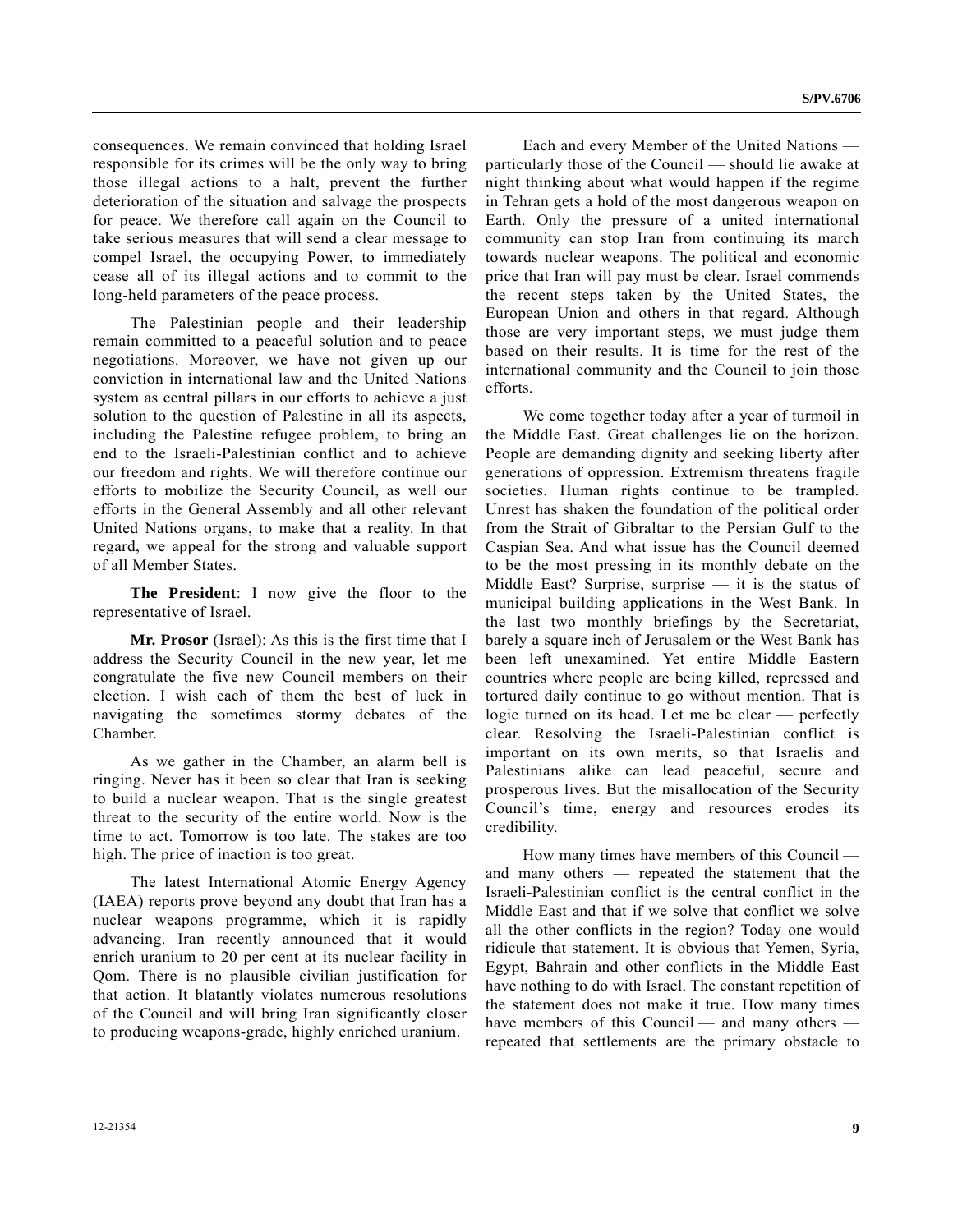consequences. We remain convinced that holding Israel responsible for its crimes will be the only way to bring those illegal actions to a halt, prevent the further deterioration of the situation and salvage the prospects for peace. We therefore call again on the Council to take serious measures that will send a clear message to compel Israel, the occupying Power, to immediately cease all of its illegal actions and to commit to the long-held parameters of the peace process.

 The Palestinian people and their leadership remain committed to a peaceful solution and to peace negotiations. Moreover, we have not given up our conviction in international law and the United Nations system as central pillars in our efforts to achieve a just solution to the question of Palestine in all its aspects, including the Palestine refugee problem, to bring an end to the Israeli-Palestinian conflict and to achieve our freedom and rights. We will therefore continue our efforts to mobilize the Security Council, as well our efforts in the General Assembly and all other relevant United Nations organs, to make that a reality. In that regard, we appeal for the strong and valuable support of all Member States.

**The President**: I now give the floor to the representative of Israel.

**Mr. Prosor** (Israel): As this is the first time that I address the Security Council in the new year, let me congratulate the five new Council members on their election. I wish each of them the best of luck in navigating the sometimes stormy debates of the Chamber.

 As we gather in the Chamber, an alarm bell is ringing. Never has it been so clear that Iran is seeking to build a nuclear weapon. That is the single greatest threat to the security of the entire world. Now is the time to act. Tomorrow is too late. The stakes are too high. The price of inaction is too great.

 The latest International Atomic Energy Agency (IAEA) reports prove beyond any doubt that Iran has a nuclear weapons programme, which it is rapidly advancing. Iran recently announced that it would enrich uranium to 20 per cent at its nuclear facility in Qom. There is no plausible civilian justification for that action. It blatantly violates numerous resolutions of the Council and will bring Iran significantly closer to producing weapons-grade, highly enriched uranium.

 Each and every Member of the United Nations particularly those of the Council — should lie awake at night thinking about what would happen if the regime in Tehran gets a hold of the most dangerous weapon on Earth. Only the pressure of a united international community can stop Iran from continuing its march towards nuclear weapons. The political and economic price that Iran will pay must be clear. Israel commends the recent steps taken by the United States, the European Union and others in that regard. Although those are very important steps, we must judge them based on their results. It is time for the rest of the international community and the Council to join those efforts.

 We come together today after a year of turmoil in the Middle East. Great challenges lie on the horizon. People are demanding dignity and seeking liberty after generations of oppression. Extremism threatens fragile societies. Human rights continue to be trampled. Unrest has shaken the foundation of the political order from the Strait of Gibraltar to the Persian Gulf to the Caspian Sea. And what issue has the Council deemed to be the most pressing in its monthly debate on the Middle East? Surprise, surprise  $-$  it is the status of municipal building applications in the West Bank. In the last two monthly briefings by the Secretariat, barely a square inch of Jerusalem or the West Bank has been left unexamined. Yet entire Middle Eastern countries where people are being killed, repressed and tortured daily continue to go without mention. That is logic turned on its head. Let me be clear — perfectly clear. Resolving the Israeli-Palestinian conflict is important on its own merits, so that Israelis and Palestinians alike can lead peaceful, secure and prosperous lives. But the misallocation of the Security Council's time, energy and resources erodes its credibility.

 How many times have members of this Council and many others — repeated the statement that the Israeli-Palestinian conflict is the central conflict in the Middle East and that if we solve that conflict we solve all the other conflicts in the region? Today one would ridicule that statement. It is obvious that Yemen, Syria, Egypt, Bahrain and other conflicts in the Middle East have nothing to do with Israel. The constant repetition of the statement does not make it true. How many times have members of this Council — and many others repeated that settlements are the primary obstacle to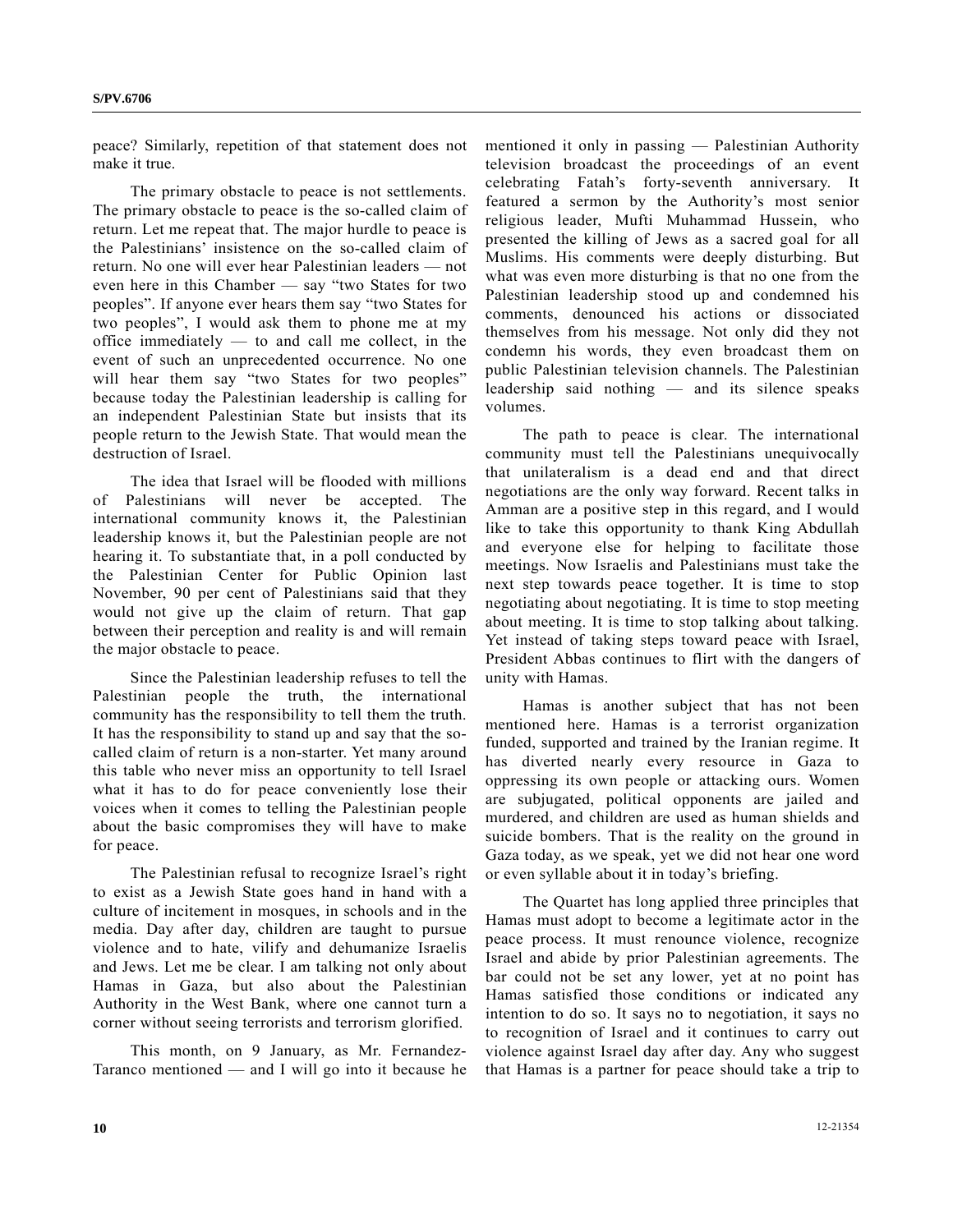peace? Similarly, repetition of that statement does not make it true.

 The primary obstacle to peace is not settlements. The primary obstacle to peace is the so-called claim of return. Let me repeat that. The major hurdle to peace is the Palestinians' insistence on the so-called claim of return. No one will ever hear Palestinian leaders — not even here in this Chamber — say "two States for two peoples". If anyone ever hears them say "two States for two peoples", I would ask them to phone me at my office immediately — to and call me collect, in the event of such an unprecedented occurrence. No one will hear them say "two States for two peoples" because today the Palestinian leadership is calling for an independent Palestinian State but insists that its people return to the Jewish State. That would mean the destruction of Israel.

 The idea that Israel will be flooded with millions of Palestinians will never be accepted. The international community knows it, the Palestinian leadership knows it, but the Palestinian people are not hearing it. To substantiate that, in a poll conducted by the Palestinian Center for Public Opinion last November, 90 per cent of Palestinians said that they would not give up the claim of return. That gap between their perception and reality is and will remain the major obstacle to peace.

 Since the Palestinian leadership refuses to tell the Palestinian people the truth, the international community has the responsibility to tell them the truth. It has the responsibility to stand up and say that the socalled claim of return is a non-starter. Yet many around this table who never miss an opportunity to tell Israel what it has to do for peace conveniently lose their voices when it comes to telling the Palestinian people about the basic compromises they will have to make for peace.

 The Palestinian refusal to recognize Israel's right to exist as a Jewish State goes hand in hand with a culture of incitement in mosques, in schools and in the media. Day after day, children are taught to pursue violence and to hate, vilify and dehumanize Israelis and Jews. Let me be clear. I am talking not only about Hamas in Gaza, but also about the Palestinian Authority in the West Bank, where one cannot turn a corner without seeing terrorists and terrorism glorified.

 This month, on 9 January, as Mr. Fernandez-Taranco mentioned — and I will go into it because he mentioned it only in passing — Palestinian Authority television broadcast the proceedings of an event celebrating Fatah's forty-seventh anniversary. It featured a sermon by the Authority's most senior religious leader, Mufti Muhammad Hussein, who presented the killing of Jews as a sacred goal for all Muslims. His comments were deeply disturbing. But what was even more disturbing is that no one from the Palestinian leadership stood up and condemned his comments, denounced his actions or dissociated themselves from his message. Not only did they not condemn his words, they even broadcast them on public Palestinian television channels. The Palestinian leadership said nothing — and its silence speaks volumes.

 The path to peace is clear. The international community must tell the Palestinians unequivocally that unilateralism is a dead end and that direct negotiations are the only way forward. Recent talks in Amman are a positive step in this regard, and I would like to take this opportunity to thank King Abdullah and everyone else for helping to facilitate those meetings. Now Israelis and Palestinians must take the next step towards peace together. It is time to stop negotiating about negotiating. It is time to stop meeting about meeting. It is time to stop talking about talking. Yet instead of taking steps toward peace with Israel, President Abbas continues to flirt with the dangers of unity with Hamas.

 Hamas is another subject that has not been mentioned here. Hamas is a terrorist organization funded, supported and trained by the Iranian regime. It has diverted nearly every resource in Gaza to oppressing its own people or attacking ours. Women are subjugated, political opponents are jailed and murdered, and children are used as human shields and suicide bombers. That is the reality on the ground in Gaza today, as we speak, yet we did not hear one word or even syllable about it in today's briefing.

 The Quartet has long applied three principles that Hamas must adopt to become a legitimate actor in the peace process. It must renounce violence, recognize Israel and abide by prior Palestinian agreements. The bar could not be set any lower, yet at no point has Hamas satisfied those conditions or indicated any intention to do so. It says no to negotiation, it says no to recognition of Israel and it continues to carry out violence against Israel day after day. Any who suggest that Hamas is a partner for peace should take a trip to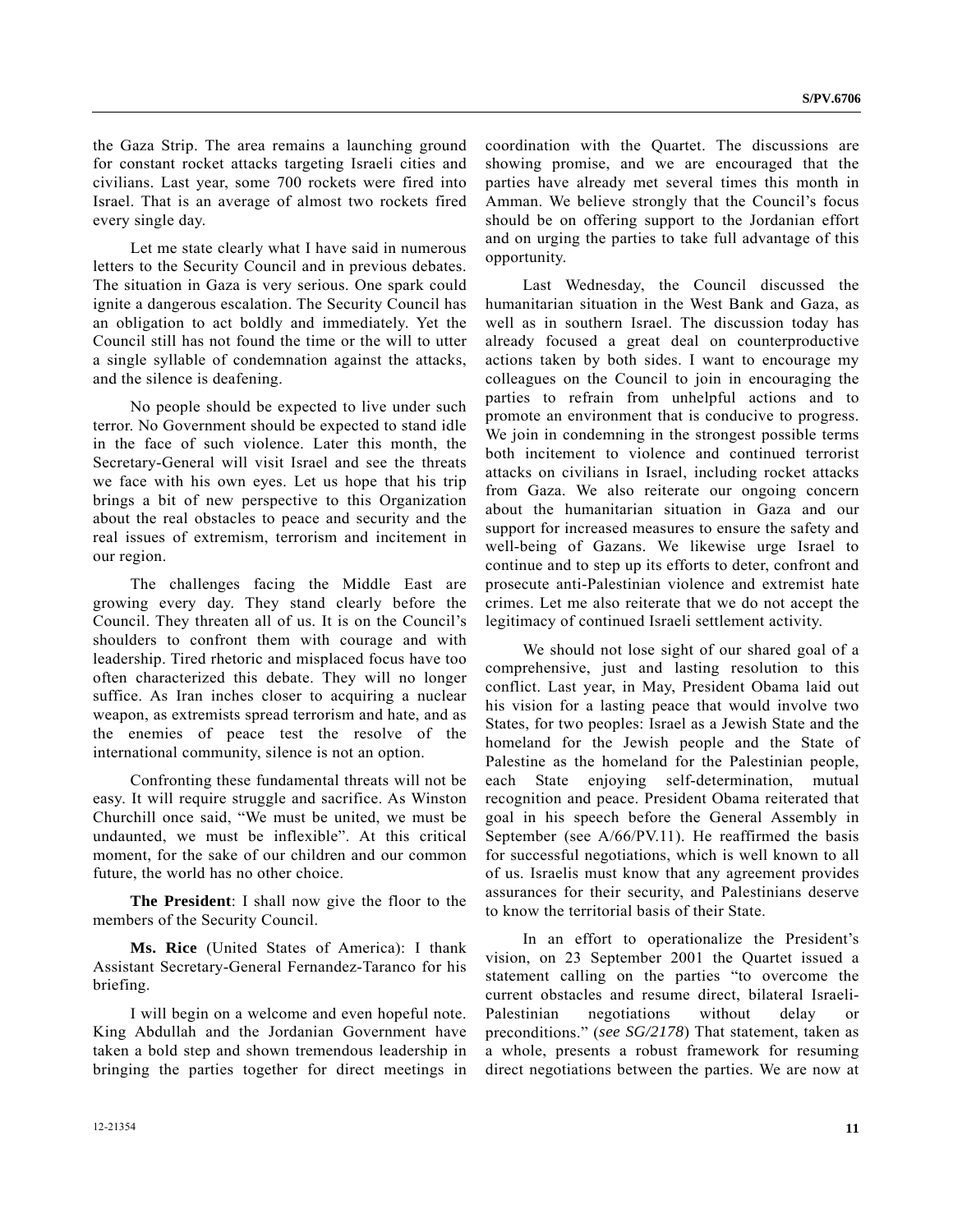the Gaza Strip. The area remains a launching ground for constant rocket attacks targeting Israeli cities and civilians. Last year, some 700 rockets were fired into Israel. That is an average of almost two rockets fired every single day.

 Let me state clearly what I have said in numerous letters to the Security Council and in previous debates. The situation in Gaza is very serious. One spark could ignite a dangerous escalation. The Security Council has an obligation to act boldly and immediately. Yet the Council still has not found the time or the will to utter a single syllable of condemnation against the attacks, and the silence is deafening.

 No people should be expected to live under such terror. No Government should be expected to stand idle in the face of such violence. Later this month, the Secretary-General will visit Israel and see the threats we face with his own eyes. Let us hope that his trip brings a bit of new perspective to this Organization about the real obstacles to peace and security and the real issues of extremism, terrorism and incitement in our region.

 The challenges facing the Middle East are growing every day. They stand clearly before the Council. They threaten all of us. It is on the Council's shoulders to confront them with courage and with leadership. Tired rhetoric and misplaced focus have too often characterized this debate. They will no longer suffice. As Iran inches closer to acquiring a nuclear weapon, as extremists spread terrorism and hate, and as the enemies of peace test the resolve of the international community, silence is not an option.

 Confronting these fundamental threats will not be easy. It will require struggle and sacrifice. As Winston Churchill once said, "We must be united, we must be undaunted, we must be inflexible". At this critical moment, for the sake of our children and our common future, the world has no other choice.

**The President**: I shall now give the floor to the members of the Security Council.

**Ms. Rice** (United States of America): I thank Assistant Secretary-General Fernandez-Taranco for his briefing.

 I will begin on a welcome and even hopeful note. King Abdullah and the Jordanian Government have taken a bold step and shown tremendous leadership in bringing the parties together for direct meetings in coordination with the Quartet. The discussions are showing promise, and we are encouraged that the parties have already met several times this month in Amman. We believe strongly that the Council's focus should be on offering support to the Jordanian effort and on urging the parties to take full advantage of this opportunity.

 Last Wednesday, the Council discussed the humanitarian situation in the West Bank and Gaza, as well as in southern Israel. The discussion today has already focused a great deal on counterproductive actions taken by both sides. I want to encourage my colleagues on the Council to join in encouraging the parties to refrain from unhelpful actions and to promote an environment that is conducive to progress. We join in condemning in the strongest possible terms both incitement to violence and continued terrorist attacks on civilians in Israel, including rocket attacks from Gaza. We also reiterate our ongoing concern about the humanitarian situation in Gaza and our support for increased measures to ensure the safety and well-being of Gazans. We likewise urge Israel to continue and to step up its efforts to deter, confront and prosecute anti-Palestinian violence and extremist hate crimes. Let me also reiterate that we do not accept the legitimacy of continued Israeli settlement activity.

 We should not lose sight of our shared goal of a comprehensive, just and lasting resolution to this conflict. Last year, in May, President Obama laid out his vision for a lasting peace that would involve two States, for two peoples: Israel as a Jewish State and the homeland for the Jewish people and the State of Palestine as the homeland for the Palestinian people, each State enjoying self-determination, mutual recognition and peace. President Obama reiterated that goal in his speech before the General Assembly in September (see A/66/PV.11). He reaffirmed the basis for successful negotiations, which is well known to all of us. Israelis must know that any agreement provides assurances for their security, and Palestinians deserve to know the territorial basis of their State.

 In an effort to operationalize the President's vision, on 23 September 2001 the Quartet issued a statement calling on the parties "to overcome the current obstacles and resume direct, bilateral Israeli-Palestinian negotiations without delay preconditions." (*see SG/2178*) That statement, taken as a whole, presents a robust framework for resuming direct negotiations between the parties. We are now at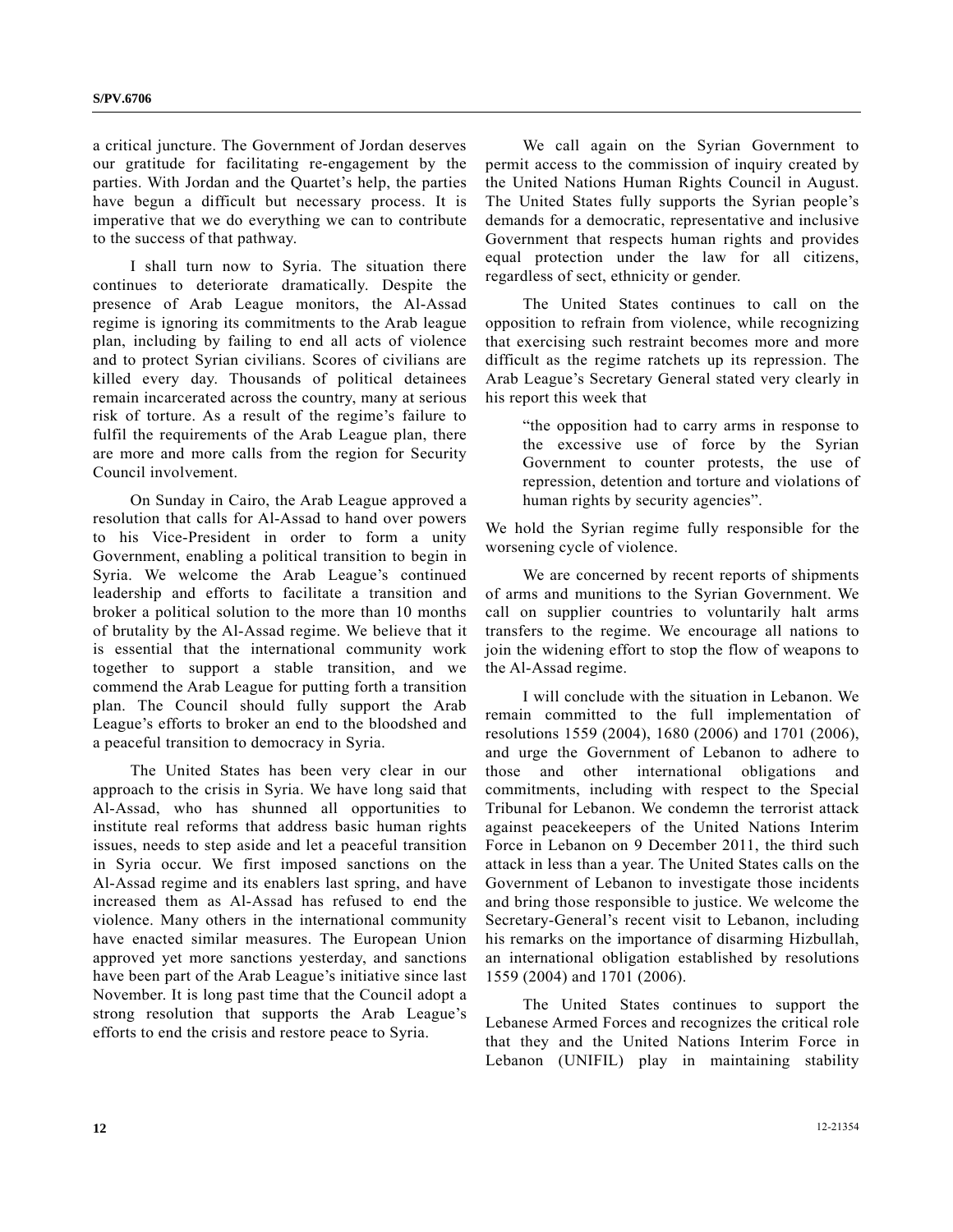a critical juncture. The Government of Jordan deserves our gratitude for facilitating re-engagement by the parties. With Jordan and the Quartet's help, the parties have begun a difficult but necessary process. It is imperative that we do everything we can to contribute to the success of that pathway.

 I shall turn now to Syria. The situation there continues to deteriorate dramatically. Despite the presence of Arab League monitors, the Al-Assad regime is ignoring its commitments to the Arab league plan, including by failing to end all acts of violence and to protect Syrian civilians. Scores of civilians are killed every day. Thousands of political detainees remain incarcerated across the country, many at serious risk of torture. As a result of the regime's failure to fulfil the requirements of the Arab League plan, there are more and more calls from the region for Security Council involvement.

 On Sunday in Cairo, the Arab League approved a resolution that calls for Al-Assad to hand over powers to his Vice-President in order to form a unity Government, enabling a political transition to begin in Syria. We welcome the Arab League's continued leadership and efforts to facilitate a transition and broker a political solution to the more than 10 months of brutality by the Al-Assad regime. We believe that it is essential that the international community work together to support a stable transition, and we commend the Arab League for putting forth a transition plan. The Council should fully support the Arab League's efforts to broker an end to the bloodshed and a peaceful transition to democracy in Syria.

 The United States has been very clear in our approach to the crisis in Syria. We have long said that Al-Assad, who has shunned all opportunities to institute real reforms that address basic human rights issues, needs to step aside and let a peaceful transition in Syria occur. We first imposed sanctions on the Al-Assad regime and its enablers last spring, and have increased them as Al-Assad has refused to end the violence. Many others in the international community have enacted similar measures. The European Union approved yet more sanctions yesterday, and sanctions have been part of the Arab League's initiative since last November. It is long past time that the Council adopt a strong resolution that supports the Arab League's efforts to end the crisis and restore peace to Syria.

 We call again on the Syrian Government to permit access to the commission of inquiry created by the United Nations Human Rights Council in August. The United States fully supports the Syrian people's demands for a democratic, representative and inclusive Government that respects human rights and provides equal protection under the law for all citizens, regardless of sect, ethnicity or gender.

 The United States continues to call on the opposition to refrain from violence, while recognizing that exercising such restraint becomes more and more difficult as the regime ratchets up its repression. The Arab League's Secretary General stated very clearly in his report this week that

 "the opposition had to carry arms in response to the excessive use of force by the Syrian Government to counter protests, the use of repression, detention and torture and violations of human rights by security agencies".

We hold the Syrian regime fully responsible for the worsening cycle of violence.

 We are concerned by recent reports of shipments of arms and munitions to the Syrian Government. We call on supplier countries to voluntarily halt arms transfers to the regime. We encourage all nations to join the widening effort to stop the flow of weapons to the Al-Assad regime.

 I will conclude with the situation in Lebanon. We remain committed to the full implementation of resolutions 1559 (2004), 1680 (2006) and 1701 (2006), and urge the Government of Lebanon to adhere to those and other international obligations and commitments, including with respect to the Special Tribunal for Lebanon. We condemn the terrorist attack against peacekeepers of the United Nations Interim Force in Lebanon on 9 December 2011, the third such attack in less than a year. The United States calls on the Government of Lebanon to investigate those incidents and bring those responsible to justice. We welcome the Secretary-General's recent visit to Lebanon, including his remarks on the importance of disarming Hizbullah, an international obligation established by resolutions 1559 (2004) and 1701 (2006).

 The United States continues to support the Lebanese Armed Forces and recognizes the critical role that they and the United Nations Interim Force in Lebanon (UNIFIL) play in maintaining stability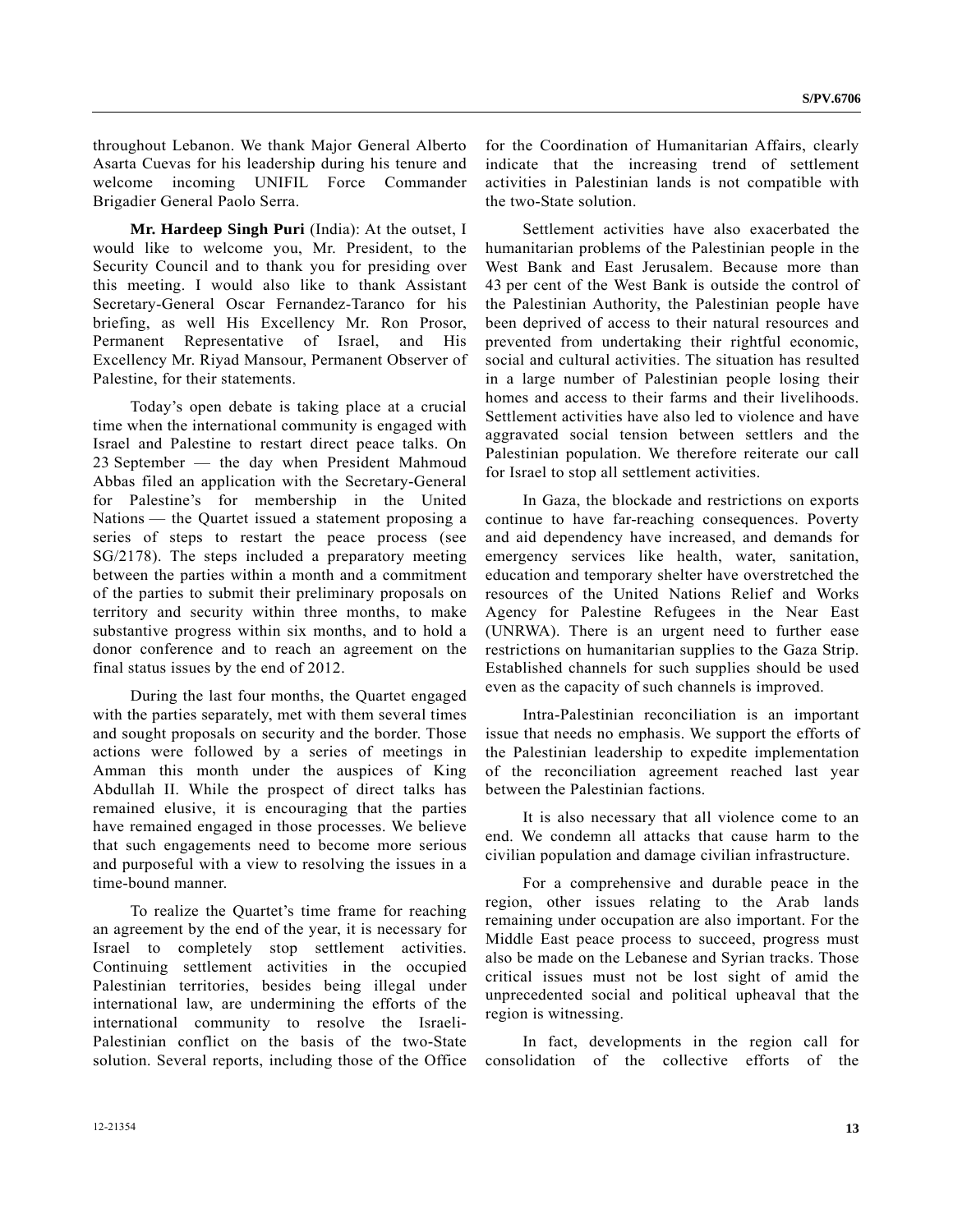throughout Lebanon. We thank Major General Alberto Asarta Cuevas for his leadership during his tenure and welcome incoming UNIFIL Force Commander Brigadier General Paolo Serra.

**Mr. Hardeep Singh Puri** (India): At the outset, I would like to welcome you, Mr. President, to the Security Council and to thank you for presiding over this meeting. I would also like to thank Assistant Secretary-General Oscar Fernandez-Taranco for his briefing, as well His Excellency Mr. Ron Prosor, Permanent Representative of Israel, and His Excellency Mr. Riyad Mansour, Permanent Observer of Palestine, for their statements.

 Today's open debate is taking place at a crucial time when the international community is engaged with Israel and Palestine to restart direct peace talks. On 23 September — the day when President Mahmoud Abbas filed an application with the Secretary-General for Palestine's for membership in the United Nations — the Quartet issued a statement proposing a series of steps to restart the peace process (see SG/2178). The steps included a preparatory meeting between the parties within a month and a commitment of the parties to submit their preliminary proposals on territory and security within three months, to make substantive progress within six months, and to hold a donor conference and to reach an agreement on the final status issues by the end of 2012.

 During the last four months, the Quartet engaged with the parties separately, met with them several times and sought proposals on security and the border. Those actions were followed by a series of meetings in Amman this month under the auspices of King Abdullah II. While the prospect of direct talks has remained elusive, it is encouraging that the parties have remained engaged in those processes. We believe that such engagements need to become more serious and purposeful with a view to resolving the issues in a time-bound manner.

 To realize the Quartet's time frame for reaching an agreement by the end of the year, it is necessary for Israel to completely stop settlement activities. Continuing settlement activities in the occupied Palestinian territories, besides being illegal under international law, are undermining the efforts of the international community to resolve the Israeli-Palestinian conflict on the basis of the two-State solution. Several reports, including those of the Office

for the Coordination of Humanitarian Affairs, clearly indicate that the increasing trend of settlement activities in Palestinian lands is not compatible with the two-State solution.

 Settlement activities have also exacerbated the humanitarian problems of the Palestinian people in the West Bank and East Jerusalem. Because more than 43 per cent of the West Bank is outside the control of the Palestinian Authority, the Palestinian people have been deprived of access to their natural resources and prevented from undertaking their rightful economic, social and cultural activities. The situation has resulted in a large number of Palestinian people losing their homes and access to their farms and their livelihoods. Settlement activities have also led to violence and have aggravated social tension between settlers and the Palestinian population. We therefore reiterate our call for Israel to stop all settlement activities.

 In Gaza, the blockade and restrictions on exports continue to have far-reaching consequences. Poverty and aid dependency have increased, and demands for emergency services like health, water, sanitation, education and temporary shelter have overstretched the resources of the United Nations Relief and Works Agency for Palestine Refugees in the Near East (UNRWA). There is an urgent need to further ease restrictions on humanitarian supplies to the Gaza Strip. Established channels for such supplies should be used even as the capacity of such channels is improved.

 Intra-Palestinian reconciliation is an important issue that needs no emphasis. We support the efforts of the Palestinian leadership to expedite implementation of the reconciliation agreement reached last year between the Palestinian factions.

 It is also necessary that all violence come to an end. We condemn all attacks that cause harm to the civilian population and damage civilian infrastructure.

 For a comprehensive and durable peace in the region, other issues relating to the Arab lands remaining under occupation are also important. For the Middle East peace process to succeed, progress must also be made on the Lebanese and Syrian tracks. Those critical issues must not be lost sight of amid the unprecedented social and political upheaval that the region is witnessing.

 In fact, developments in the region call for consolidation of the collective efforts of the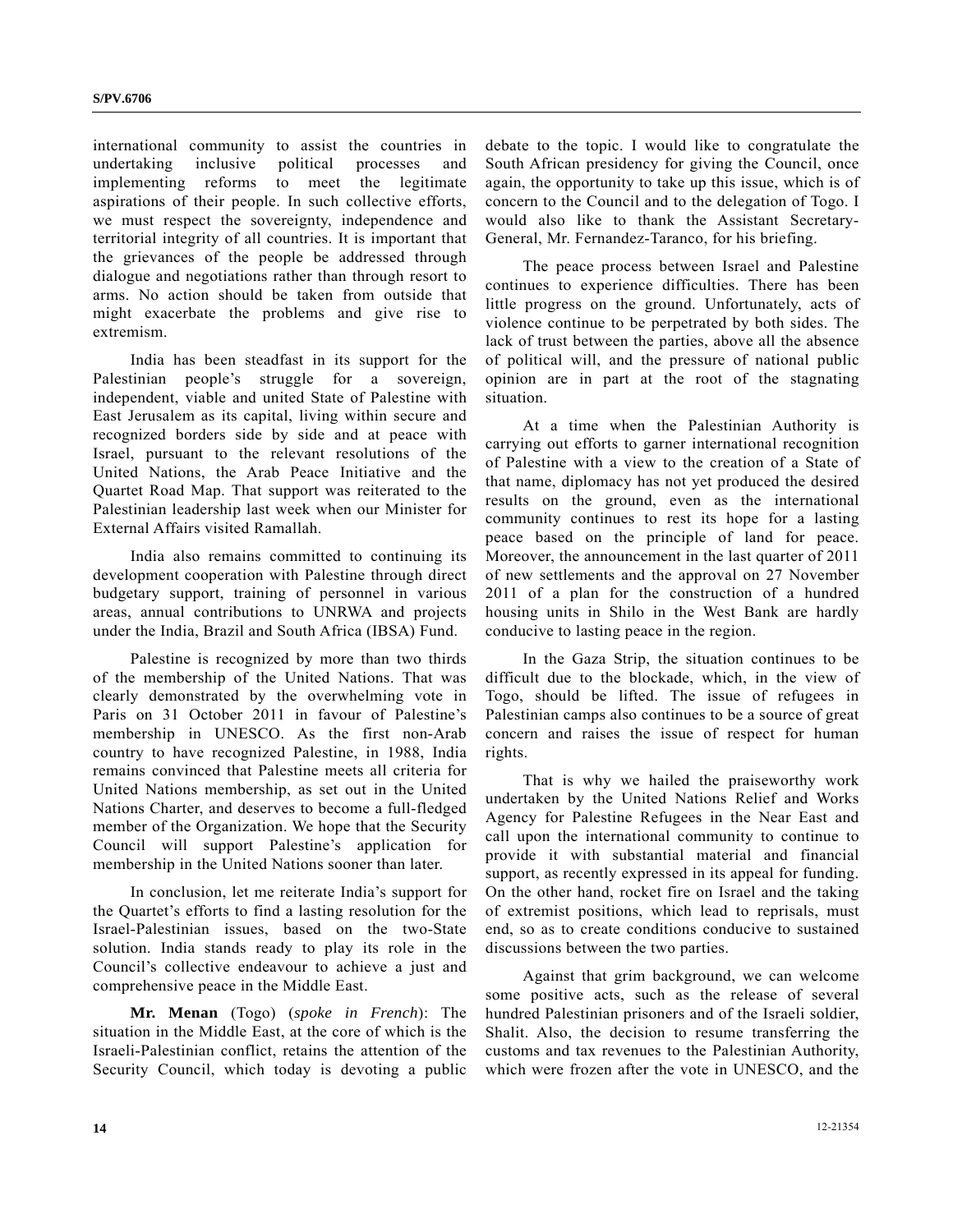international community to assist the countries in undertaking inclusive political processes and implementing reforms to meet the legitimate aspirations of their people. In such collective efforts, we must respect the sovereignty, independence and territorial integrity of all countries. It is important that the grievances of the people be addressed through dialogue and negotiations rather than through resort to arms. No action should be taken from outside that might exacerbate the problems and give rise to extremism.

 India has been steadfast in its support for the Palestinian people's struggle for a sovereign, independent, viable and united State of Palestine with East Jerusalem as its capital, living within secure and recognized borders side by side and at peace with Israel, pursuant to the relevant resolutions of the United Nations, the Arab Peace Initiative and the Quartet Road Map. That support was reiterated to the Palestinian leadership last week when our Minister for External Affairs visited Ramallah.

 India also remains committed to continuing its development cooperation with Palestine through direct budgetary support, training of personnel in various areas, annual contributions to UNRWA and projects under the India, Brazil and South Africa (IВSA) Fund.

 Palestine is recognized by more than two thirds of the membership of the United Nations. That was clearly demonstrated by the overwhelming vote in Paris on 31 October 2011 in favour of Palestine's membership in UNESCO. As the first non-Arab country to have recognized Palestine, in 1988, India remains convinced that Palestine meets all criteria for United Nations membership, as set out in the United Nations Charter, and deserves to become a full-fledged member of the Organization. We hope that the Security Council will support Palestine's application for membership in the United Nations sooner than later.

 In conclusion, let me reiterate India's support for the Quartet's efforts to find a lasting resolution for the Israel-Palestinian issues, based on the two-State solution. India stands ready to play its role in the Council's collective endeavour to achieve a just and comprehensive peace in the Middle East.

**Mr. Menan** (Togo) (*spoke in French*): The situation in the Middle East, at the core of which is the Israeli-Palestinian conflict, retains the attention of the Security Council, which today is devoting a public debate to the topic. I would like to congratulate the South African presidency for giving the Council, once again, the opportunity to take up this issue, which is of concern to the Council and to the delegation of Togo. I would also like to thank the Assistant Secretary-General, Mr. Fernandez-Taranco, for his briefing.

 The peace process between Israel and Palestine continues to experience difficulties. There has been little progress on the ground. Unfortunately, acts of violence continue to be perpetrated by both sides. The lack of trust between the parties, above all the absence of political will, and the pressure of national public opinion are in part at the root of the stagnating situation.

 At a time when the Palestinian Authority is carrying out efforts to garner international recognition of Palestine with a view to the creation of a State of that name, diplomacy has not yet produced the desired results on the ground, even as the international community continues to rest its hope for a lasting peace based on the principle of land for peace. Moreover, the announcement in the last quarter of 2011 of new settlements and the approval on 27 November 2011 of a plan for the construction of a hundred housing units in Shilo in the West Bank are hardly conducive to lasting peace in the region.

 In the Gaza Strip, the situation continues to be difficult due to the blockade, which, in the view of Togo, should be lifted. The issue of refugees in Palestinian camps also continues to be a source of great concern and raises the issue of respect for human rights.

 That is why we hailed the praiseworthy work undertaken by the United Nations Relief and Works Agency for Palestine Refugees in the Near East and call upon the international community to continue to provide it with substantial material and financial support, as recently expressed in its appeal for funding. On the other hand, rocket fire on Israel and the taking of extremist positions, which lead to reprisals, must end, so as to create conditions conducive to sustained discussions between the two parties.

 Against that grim background, we can welcome some positive acts, such as the release of several hundred Palestinian prisoners and of the Israeli soldier, Shalit. Also, the decision to resume transferring the customs and tax revenues to the Palestinian Authority, which were frozen after the vote in UNESCO, and the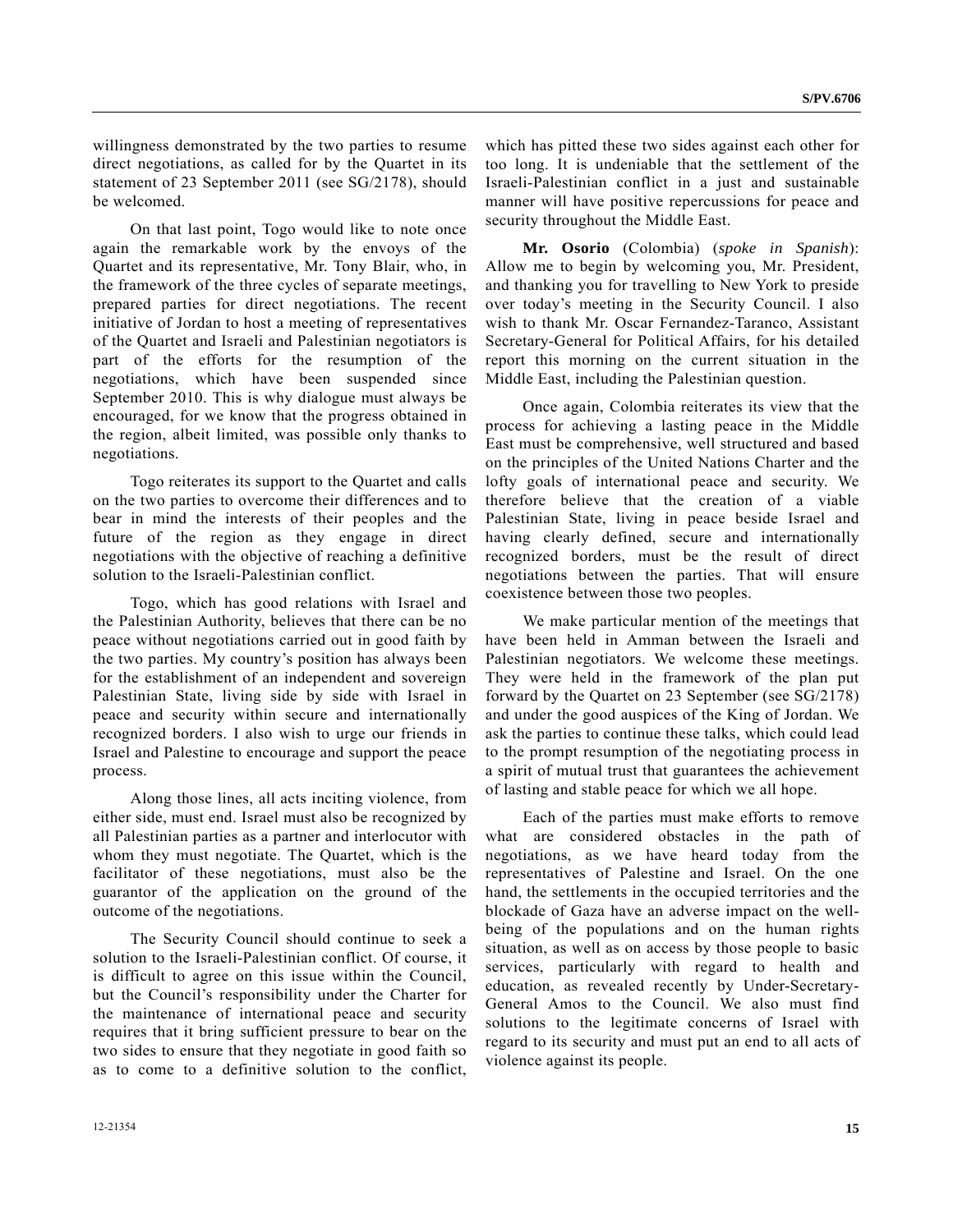willingness demonstrated by the two parties to resume direct negotiations, as called for by the Quartet in its statement of 23 September 2011 (see SG/2178), should be welcomed.

 On that last point, Togo would like to note once again the remarkable work by the envoys of the Quartet and its representative, Mr. Tony Blair, who, in the framework of the three cycles of separate meetings, prepared parties for direct negotiations. The recent initiative of Jordan to host a meeting of representatives of the Quartet and Israeli and Palestinian negotiators is part of the efforts for the resumption of the negotiations, which have been suspended since September 2010. This is why dialogue must always be encouraged, for we know that the progress obtained in the region, albeit limited, was possible only thanks to negotiations.

 Togo reiterates its support to the Quartet and calls on the two parties to overcome their differences and to bear in mind the interests of their peoples and the future of the region as they engage in direct negotiations with the objective of reaching a definitive solution to the Israeli-Palestinian conflict.

 Togo, which has good relations with Israel and the Palestinian Authority, believes that there can be no peace without negotiations carried out in good faith by the two parties. My country's position has always been for the establishment of an independent and sovereign Palestinian State, living side by side with Israel in peace and security within secure and internationally recognized borders. I also wish to urge our friends in Israel and Palestine to encourage and support the peace process.

 Along those lines, all acts inciting violence, from either side, must end. Israel must also be recognized by all Palestinian parties as a partner and interlocutor with whom they must negotiate. The Quartet, which is the facilitator of these negotiations, must also be the guarantor of the application on the ground of the outcome of the negotiations.

 The Security Council should continue to seek a solution to the Israeli-Palestinian conflict. Of course, it is difficult to agree on this issue within the Council, but the Council's responsibility under the Charter for the maintenance of international peace and security requires that it bring sufficient pressure to bear on the two sides to ensure that they negotiate in good faith so as to come to a definitive solution to the conflict,

which has pitted these two sides against each other for too long. It is undeniable that the settlement of the Israeli-Palestinian conflict in a just and sustainable manner will have positive repercussions for peace and security throughout the Middle East.

**Mr. Osorio** (Colombia) (*spoke in Spanish*): Allow me to begin by welcoming you, Mr. President, and thanking you for travelling to New York to preside over today's meeting in the Security Council. I also wish to thank Mr. Oscar Fernandez-Taranco, Assistant Secretary-General for Political Affairs, for his detailed report this morning on the current situation in the Middle East, including the Palestinian question.

 Once again, Colombia reiterates its view that the process for achieving a lasting peace in the Middle East must be comprehensive, well structured and based on the principles of the United Nations Charter and the lofty goals of international peace and security. We therefore believe that the creation of a viable Palestinian State, living in peace beside Israel and having clearly defined, secure and internationally recognized borders, must be the result of direct negotiations between the parties. That will ensure coexistence between those two peoples.

 We make particular mention of the meetings that have been held in Amman between the Israeli and Palestinian negotiators. We welcome these meetings. They were held in the framework of the plan put forward by the Quartet on 23 September (see SG/2178) and under the good auspices of the King of Jordan. We ask the parties to continue these talks, which could lead to the prompt resumption of the negotiating process in a spirit of mutual trust that guarantees the achievement of lasting and stable peace for which we all hope.

 Each of the parties must make efforts to remove what are considered obstacles in the path of negotiations, as we have heard today from the representatives of Palestine and Israel. On the one hand, the settlements in the occupied territories and the blockade of Gaza have an adverse impact on the wellbeing of the populations and on the human rights situation, as well as on access by those people to basic services, particularly with regard to health and education, as revealed recently by Under-Secretary-General Amos to the Council. We also must find solutions to the legitimate concerns of Israel with regard to its security and must put an end to all acts of violence against its people.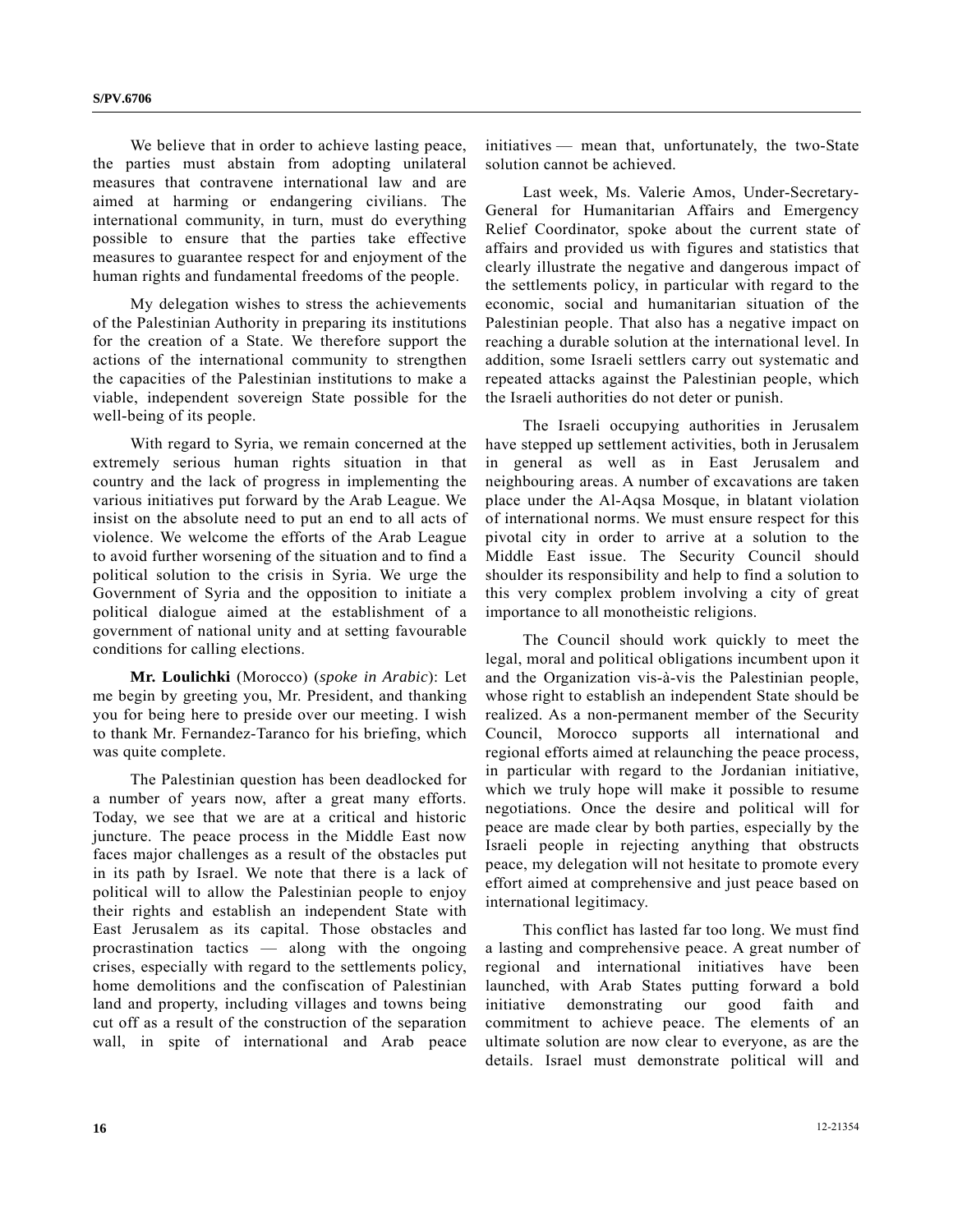We believe that in order to achieve lasting peace, the parties must abstain from adopting unilateral measures that contravene international law and are aimed at harming or endangering civilians. The international community, in turn, must do everything possible to ensure that the parties take effective measures to guarantee respect for and enjoyment of the human rights and fundamental freedoms of the people.

 My delegation wishes to stress the achievements of the Palestinian Authority in preparing its institutions for the creation of a State. We therefore support the actions of the international community to strengthen the capacities of the Palestinian institutions to make a viable, independent sovereign State possible for the well-being of its people.

 With regard to Syria, we remain concerned at the extremely serious human rights situation in that country and the lack of progress in implementing the various initiatives put forward by the Arab League. We insist on the absolute need to put an end to all acts of violence. We welcome the efforts of the Arab League to avoid further worsening of the situation and to find a political solution to the crisis in Syria. We urge the Government of Syria and the opposition to initiate a political dialogue aimed at the establishment of a government of national unity and at setting favourable conditions for calling elections.

 **Mr. Loulichki** (Morocco) (*spoke in Arabic*): Let me begin by greeting you, Mr. President, and thanking you for being here to preside over our meeting. I wish to thank Mr. Fernandez-Taranco for his briefing, which was quite complete.

 The Palestinian question has been deadlocked for a number of years now, after a great many efforts. Today, we see that we are at a critical and historic juncture. The peace process in the Middle East now faces major challenges as a result of the obstacles put in its path by Israel. We note that there is a lack of political will to allow the Palestinian people to enjoy their rights and establish an independent State with East Jerusalem as its capital. Those obstacles and procrastination tactics — along with the ongoing crises, especially with regard to the settlements policy, home demolitions and the confiscation of Palestinian land and property, including villages and towns being cut off as a result of the construction of the separation wall, in spite of international and Arab peace

initiatives — mean that, unfortunately, the two-State solution cannot be achieved.

 Last week, Ms. Valerie Amos, Under-Secretary-General for Humanitarian Affairs and Emergency Relief Coordinator, spoke about the current state of affairs and provided us with figures and statistics that clearly illustrate the negative and dangerous impact of the settlements policy, in particular with regard to the economic, social and humanitarian situation of the Palestinian people. That also has a negative impact on reaching a durable solution at the international level. In addition, some Israeli settlers carry out systematic and repeated attacks against the Palestinian people, which the Israeli authorities do not deter or punish.

 The Israeli occupying authorities in Jerusalem have stepped up settlement activities, both in Jerusalem in general as well as in East Jerusalem and neighbouring areas. A number of excavations are taken place under the Al-Aqsa Mosque, in blatant violation of international norms. We must ensure respect for this pivotal city in order to arrive at a solution to the Middle East issue. The Security Council should shoulder its responsibility and help to find a solution to this very complex problem involving a city of great importance to all monotheistic religions.

 The Council should work quickly to meet the legal, moral and political obligations incumbent upon it and the Organization vis-à-vis the Palestinian people, whose right to establish an independent State should be realized. As a non-permanent member of the Security Council, Morocco supports all international and regional efforts aimed at relaunching the peace process, in particular with regard to the Jordanian initiative, which we truly hope will make it possible to resume negotiations. Once the desire and political will for peace are made clear by both parties, especially by the Israeli people in rejecting anything that obstructs peace, my delegation will not hesitate to promote every effort aimed at comprehensive and just peace based on international legitimacy.

 This conflict has lasted far too long. We must find a lasting and comprehensive peace. A great number of regional and international initiatives have been launched, with Arab States putting forward a bold initiative demonstrating our good faith and commitment to achieve peace. The elements of an ultimate solution are now clear to everyone, as are the details. Israel must demonstrate political will and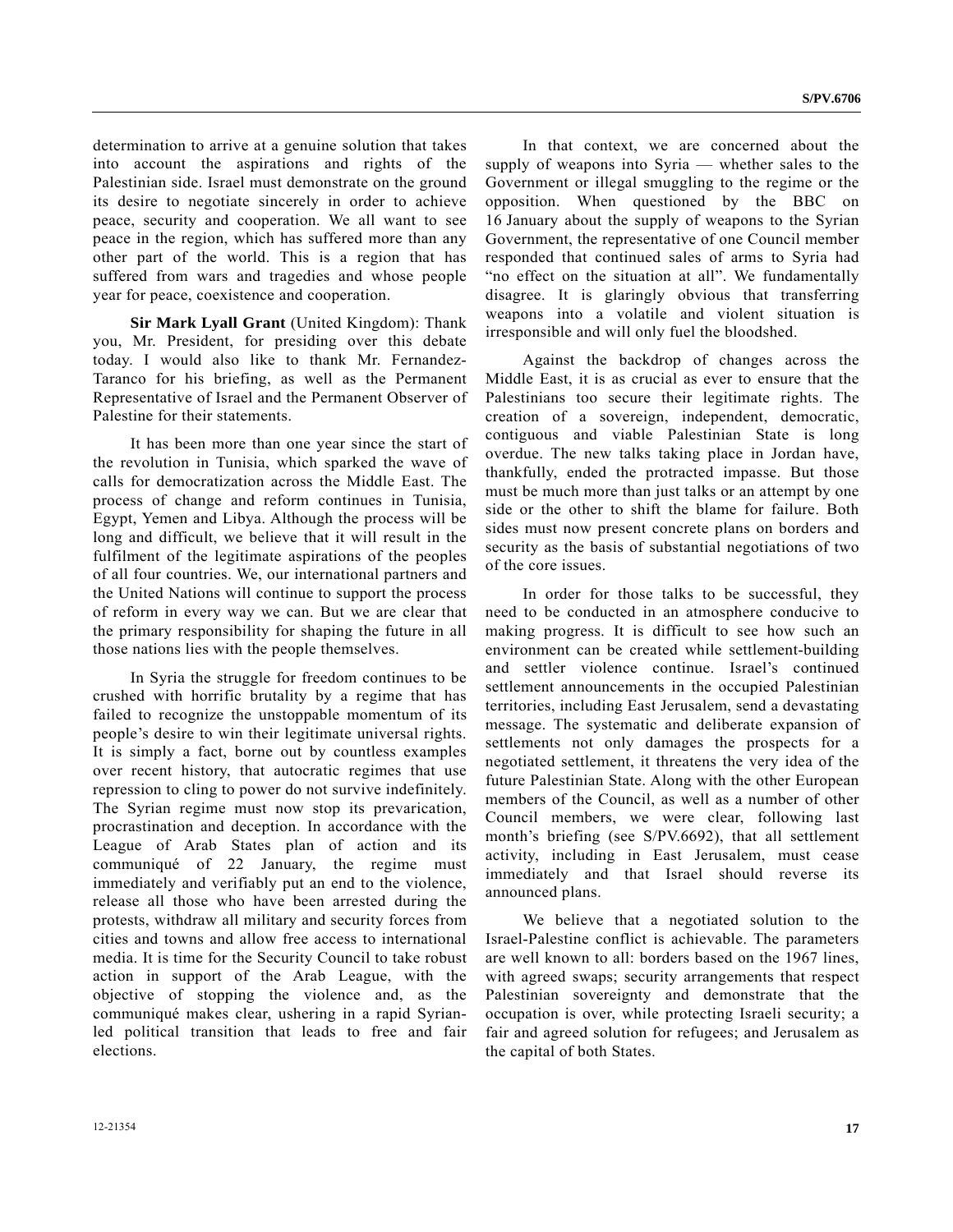determination to arrive at a genuine solution that takes into account the aspirations and rights of the Palestinian side. Israel must demonstrate on the ground its desire to negotiate sincerely in order to achieve peace, security and cooperation. We all want to see peace in the region, which has suffered more than any other part of the world. This is a region that has suffered from wars and tragedies and whose people year for peace, coexistence and cooperation.

**Sir Mark Lyall Grant** (United Kingdom): Thank you, Mr. President, for presiding over this debate today. I would also like to thank Mr. Fernandez-Taranco for his briefing, as well as the Permanent Representative of Israel and the Permanent Observer of Palestine for their statements.

 It has been more than one year since the start of the revolution in Tunisia, which sparked the wave of calls for democratization across the Middle East. The process of change and reform continues in Tunisia, Egypt, Yemen and Libya. Although the process will be long and difficult, we believe that it will result in the fulfilment of the legitimate aspirations of the peoples of all four countries. We, our international partners and the United Nations will continue to support the process of reform in every way we can. But we are clear that the primary responsibility for shaping the future in all those nations lies with the people themselves.

 In Syria the struggle for freedom continues to be crushed with horrific brutality by a regime that has failed to recognize the unstoppable momentum of its people's desire to win their legitimate universal rights. It is simply a fact, borne out by countless examples over recent history, that autocratic regimes that use repression to cling to power do not survive indefinitely. The Syrian regime must now stop its prevarication, procrastination and deception. In accordance with the League of Arab States plan of action and its communiqué of 22 January, the regime must immediately and verifiably put an end to the violence, release all those who have been arrested during the protests, withdraw all military and security forces from cities and towns and allow free access to international media. It is time for the Security Council to take robust action in support of the Arab League, with the objective of stopping the violence and, as the communiqué makes clear, ushering in a rapid Syrianled political transition that leads to free and fair elections.

 In that context, we are concerned about the supply of weapons into Syria — whether sales to the Government or illegal smuggling to the regime or the opposition. When questioned by the BBC on 16 January about the supply of weapons to the Syrian Government, the representative of one Council member responded that continued sales of arms to Syria had "no effect on the situation at all". We fundamentally disagree. It is glaringly obvious that transferring weapons into a volatile and violent situation is irresponsible and will only fuel the bloodshed.

 Against the backdrop of changes across the Middle East, it is as crucial as ever to ensure that the Palestinians too secure their legitimate rights. The creation of a sovereign, independent, democratic, contiguous and viable Palestinian State is long overdue. The new talks taking place in Jordan have, thankfully, ended the protracted impasse. But those must be much more than just talks or an attempt by one side or the other to shift the blame for failure. Both sides must now present concrete plans on borders and security as the basis of substantial negotiations of two of the core issues.

 In order for those talks to be successful, they need to be conducted in an atmosphere conducive to making progress. It is difficult to see how such an environment can be created while settlement-building and settler violence continue. Israel's continued settlement announcements in the occupied Palestinian territories, including East Jerusalem, send a devastating message. The systematic and deliberate expansion of settlements not only damages the prospects for a negotiated settlement, it threatens the very idea of the future Palestinian State. Along with the other European members of the Council, as well as a number of other Council members, we were clear, following last month's briefing (see S/PV.6692), that all settlement activity, including in East Jerusalem, must cease immediately and that Israel should reverse its announced plans.

 We believe that a negotiated solution to the Israel-Palestine conflict is achievable. The parameters are well known to all: borders based on the 1967 lines, with agreed swaps; security arrangements that respect Palestinian sovereignty and demonstrate that the occupation is over, while protecting Israeli security; a fair and agreed solution for refugees; and Jerusalem as the capital of both States.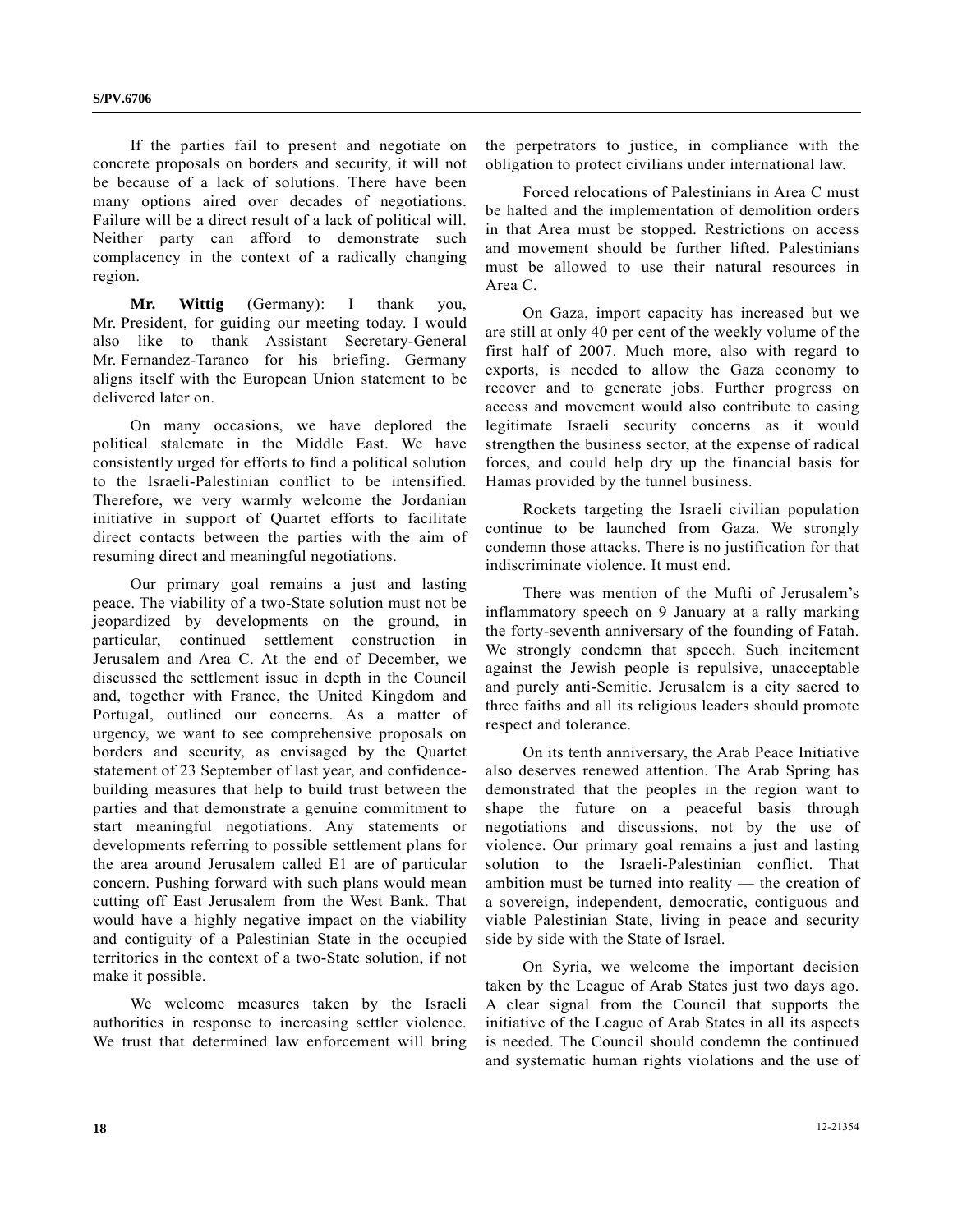If the parties fail to present and negotiate on concrete proposals on borders and security, it will not be because of a lack of solutions. There have been many options aired over decades of negotiations. Failure will be a direct result of a lack of political will. Neither party can afford to demonstrate such complacency in the context of a radically changing region.

**Mr. Wittig** (Germany): I thank you, Mr. President, for guiding our meeting today. I would also like to thank Assistant Secretary-General Mr. Fernandez-Taranco for his briefing. Germany aligns itself with the European Union statement to be delivered later on.

 On many occasions, we have deplored the political stalemate in the Middle East. We have consistently urged for efforts to find a political solution to the Israeli-Palestinian conflict to be intensified. Therefore, we very warmly welcome the Jordanian initiative in support of Quartet efforts to facilitate direct contacts between the parties with the aim of resuming direct and meaningful negotiations.

 Our primary goal remains a just and lasting peace. The viability of a two-State solution must not be jeopardized by developments on the ground, in particular, continued settlement construction in Jerusalem and Area C. At the end of December, we discussed the settlement issue in depth in the Council and, together with France, the United Kingdom and Portugal, outlined our concerns. As a matter of urgency, we want to see comprehensive proposals on borders and security, as envisaged by the Quartet statement of 23 September of last year, and confidencebuilding measures that help to build trust between the parties and that demonstrate a genuine commitment to start meaningful negotiations. Any statements or developments referring to possible settlement plans for the area around Jerusalem called E1 are of particular concern. Pushing forward with such plans would mean cutting off East Jerusalem from the West Bank. That would have a highly negative impact on the viability and contiguity of a Palestinian State in the occupied territories in the context of a two-State solution, if not make it possible.

 We welcome measures taken by the Israeli authorities in response to increasing settler violence. We trust that determined law enforcement will bring the perpetrators to justice, in compliance with the obligation to protect civilians under international law.

 Forced relocations of Palestinians in Area C must be halted and the implementation of demolition orders in that Area must be stopped. Restrictions on access and movement should be further lifted. Palestinians must be allowed to use their natural resources in Area C.

 On Gaza, import capacity has increased but we are still at only 40 per cent of the weekly volume of the first half of 2007. Much more, also with regard to exports, is needed to allow the Gaza economy to recover and to generate jobs. Further progress on access and movement would also contribute to easing legitimate Israeli security concerns as it would strengthen the business sector, at the expense of radical forces, and could help dry up the financial basis for Hamas provided by the tunnel business.

 Rockets targeting the Israeli civilian population continue to be launched from Gaza. We strongly condemn those attacks. There is no justification for that indiscriminate violence. It must end.

 There was mention of the Mufti of Jerusalem's inflammatory speech on 9 January at a rally marking the forty-seventh anniversary of the founding of Fatah. We strongly condemn that speech. Such incitement against the Jewish people is repulsive, unacceptable and purely anti-Semitic. Jerusalem is a city sacred to three faiths and all its religious leaders should promote respect and tolerance.

 On its tenth anniversary, the Arab Peace Initiative also deserves renewed attention. The Arab Spring has demonstrated that the peoples in the region want to shape the future on a peaceful basis through negotiations and discussions, not by the use of violence. Our primary goal remains a just and lasting solution to the Israeli-Palestinian conflict. That ambition must be turned into reality — the creation of a sovereign, independent, democratic, contiguous and viable Palestinian State, living in peace and security side by side with the State of Israel.

 On Syria, we welcome the important decision taken by the League of Arab States just two days ago. A clear signal from the Council that supports the initiative of the League of Arab States in all its aspects is needed. The Council should condemn the continued and systematic human rights violations and the use of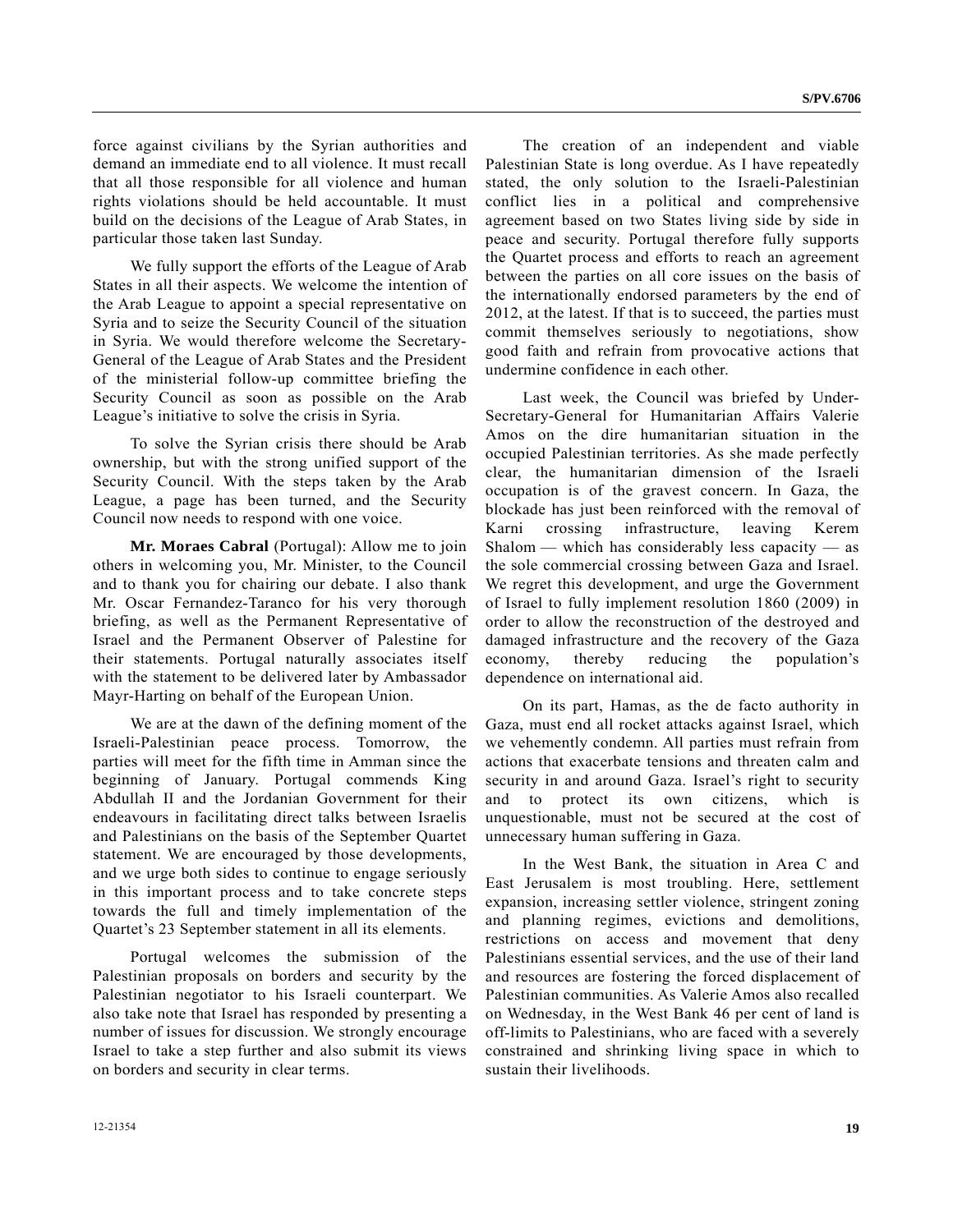force against civilians by the Syrian authorities and demand an immediate end to all violence. It must recall that all those responsible for all violence and human rights violations should be held accountable. It must build on the decisions of the League of Arab States, in particular those taken last Sunday.

 We fully support the efforts of the League of Arab States in all their aspects. We welcome the intention of the Arab League to appoint a special representative on Syria and to seize the Security Council of the situation in Syria. We would therefore welcome the Secretary-General of the League of Arab States and the President of the ministerial follow-up committee briefing the Security Council as soon as possible on the Arab League's initiative to solve the crisis in Syria.

 To solve the Syrian crisis there should be Arab ownership, but with the strong unified support of the Security Council. With the steps taken by the Arab League, a page has been turned, and the Security Council now needs to respond with one voice.

**Mr. Moraes Cabral** (Portugal): Allow me to join others in welcoming you, Mr. Minister, to the Council and to thank you for chairing our debate. I also thank Mr. Oscar Fernandez-Taranco for his very thorough briefing, as well as the Permanent Representative of Israel and the Permanent Observer of Palestine for their statements. Portugal naturally associates itself with the statement to be delivered later by Ambassador Mayr-Harting on behalf of the European Union.

 We are at the dawn of the defining moment of the Israeli-Palestinian peace process. Tomorrow, the parties will meet for the fifth time in Amman since the beginning of January. Portugal commends King Abdullah II and the Jordanian Government for their endeavours in facilitating direct talks between Israelis and Palestinians on the basis of the September Quartet statement. We are encouraged by those developments, and we urge both sides to continue to engage seriously in this important process and to take concrete steps towards the full and timely implementation of the Quartet's 23 September statement in all its elements.

 Portugal welcomes the submission of the Palestinian proposals on borders and security by the Palestinian negotiator to his Israeli counterpart. We also take note that Israel has responded by presenting a number of issues for discussion. We strongly encourage Israel to take a step further and also submit its views on borders and security in clear terms.

 The creation of an independent and viable Palestinian State is long overdue. As I have repeatedly stated, the only solution to the Israeli-Palestinian conflict lies in a political and comprehensive agreement based on two States living side by side in peace and security. Portugal therefore fully supports the Quartet process and efforts to reach an agreement between the parties on all core issues on the basis of the internationally endorsed parameters by the end of 2012, at the latest. If that is to succeed, the parties must commit themselves seriously to negotiations, show good faith and refrain from provocative actions that undermine confidence in each other.

 Last week, the Council was briefed by Under-Secretary-General for Humanitarian Affairs Valerie Amos on the dire humanitarian situation in the occupied Palestinian territories. As she made perfectly clear, the humanitarian dimension of the Israeli occupation is of the gravest concern. In Gaza, the blockade has just been reinforced with the removal of Karni crossing infrastructure, leaving Kerem Shalom — which has considerably less capacity — as the sole commercial crossing between Gaza and Israel. We regret this development, and urge the Government of Israel to fully implement resolution 1860 (2009) in order to allow the reconstruction of the destroyed and damaged infrastructure and the recovery of the Gaza economy, thereby reducing the population's dependence on international aid.

 On its part, Hamas, as the de facto authority in Gaza, must end all rocket attacks against Israel, which we vehemently condemn. All parties must refrain from actions that exacerbate tensions and threaten calm and security in and around Gaza. Israel's right to security and to protect its own citizens, which is unquestionable, must not be secured at the cost of unnecessary human suffering in Gaza.

 In the West Bank, the situation in Area C and East Jerusalem is most troubling. Here, settlement expansion, increasing settler violence, stringent zoning and planning regimes, evictions and demolitions, restrictions on access and movement that deny Palestinians essential services, and the use of their land and resources are fostering the forced displacement of Palestinian communities. As Valerie Amos also recalled on Wednesday, in the West Bank 46 per cent of land is off-limits to Palestinians, who are faced with a severely constrained and shrinking living space in which to sustain their livelihoods.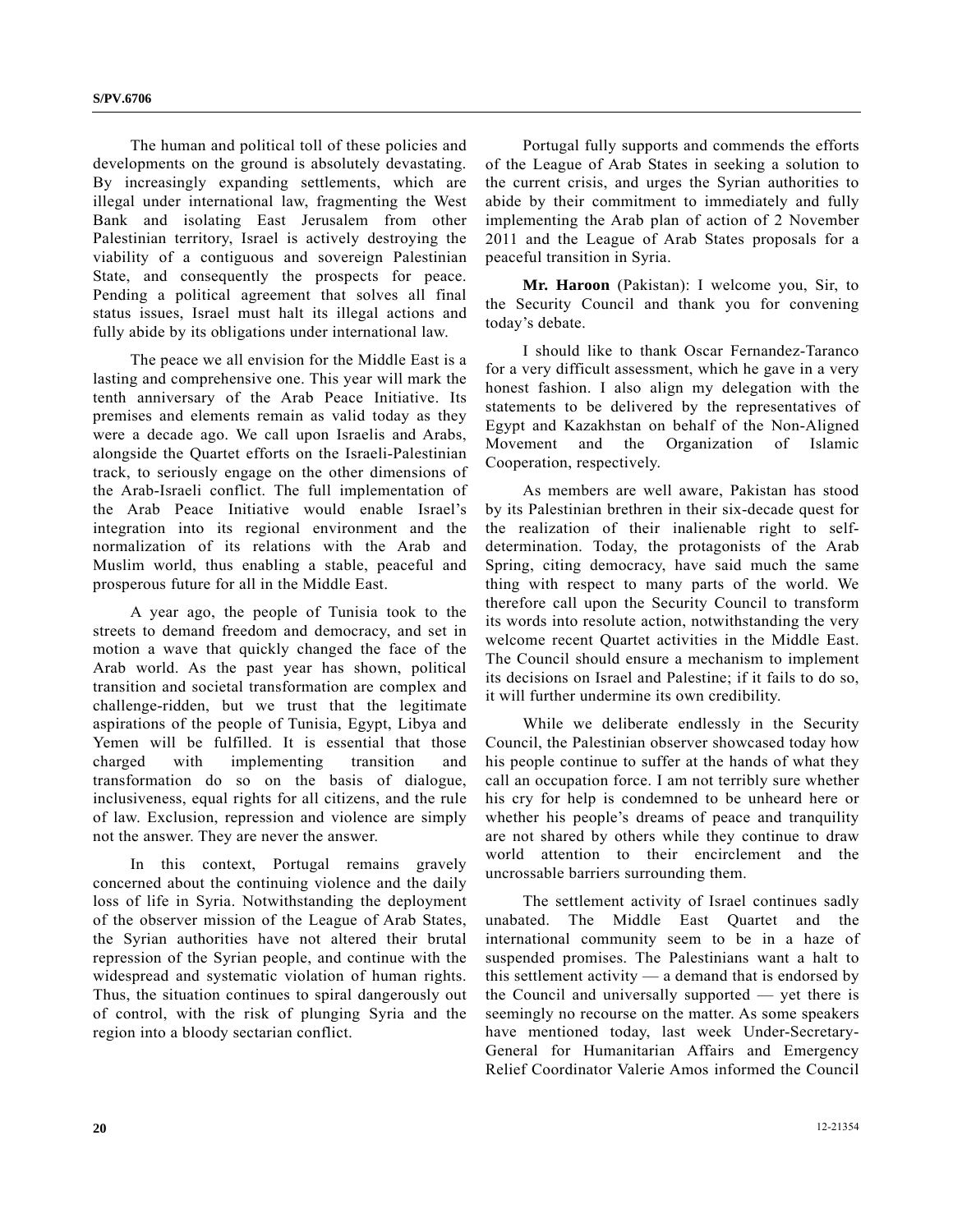The human and political toll of these policies and developments on the ground is absolutely devastating. By increasingly expanding settlements, which are illegal under international law, fragmenting the West Bank and isolating East Jerusalem from other Palestinian territory, Israel is actively destroying the viability of a contiguous and sovereign Palestinian State, and consequently the prospects for peace. Pending a political agreement that solves all final status issues, Israel must halt its illegal actions and fully abide by its obligations under international law.

 The peace we all envision for the Middle East is a lasting and comprehensive one. This year will mark the tenth anniversary of the Arab Peace Initiative. Its premises and elements remain as valid today as they were a decade ago. We call upon Israelis and Arabs, alongside the Quartet efforts on the Israeli-Palestinian track, to seriously engage on the other dimensions of the Arab-Israeli conflict. The full implementation of the Arab Peace Initiative would enable Israel's integration into its regional environment and the normalization of its relations with the Arab and Muslim world, thus enabling a stable, peaceful and prosperous future for all in the Middle East.

 A year ago, the people of Tunisia took to the streets to demand freedom and democracy, and set in motion a wave that quickly changed the face of the Arab world. As the past year has shown, political transition and societal transformation are complex and challenge-ridden, but we trust that the legitimate aspirations of the people of Tunisia, Egypt, Libya and Yemen will be fulfilled. It is essential that those charged with implementing transition and transformation do so on the basis of dialogue, inclusiveness, equal rights for all citizens, and the rule of law. Exclusion, repression and violence are simply not the answer. They are never the answer.

 In this context, Portugal remains gravely concerned about the continuing violence and the daily loss of life in Syria. Notwithstanding the deployment of the observer mission of the League of Arab States, the Syrian authorities have not altered their brutal repression of the Syrian people, and continue with the widespread and systematic violation of human rights. Thus, the situation continues to spiral dangerously out of control, with the risk of plunging Syria and the region into a bloody sectarian conflict.

 Portugal fully supports and commends the efforts of the League of Arab States in seeking a solution to the current crisis, and urges the Syrian authorities to abide by their commitment to immediately and fully implementing the Arab plan of action of 2 November 2011 and the League of Arab States proposals for a peaceful transition in Syria.

**Mr. Haroon** (Pakistan): I welcome you, Sir, to the Security Council and thank you for convening today's debate.

 I should like to thank Oscar Fernandez-Taranco for a very difficult assessment, which he gave in a very honest fashion. I also align my delegation with the statements to be delivered by the representatives of Egypt and Kazakhstan on behalf of the Non-Aligned Movement and the Organization of Islamic Cooperation, respectively.

 As members are well aware, Pakistan has stood by its Palestinian brethren in their six-decade quest for the realization of their inalienable right to selfdetermination. Today, the protagonists of the Arab Spring, citing democracy, have said much the same thing with respect to many parts of the world. We therefore call upon the Security Council to transform its words into resolute action, notwithstanding the very welcome recent Quartet activities in the Middle East. The Council should ensure a mechanism to implement its decisions on Israel and Palestine; if it fails to do so, it will further undermine its own credibility.

 While we deliberate endlessly in the Security Council, the Palestinian observer showcased today how his people continue to suffer at the hands of what they call an occupation force. I am not terribly sure whether his cry for help is condemned to be unheard here or whether his people's dreams of peace and tranquility are not shared by others while they continue to draw world attention to their encirclement and the uncrossable barriers surrounding them.

 The settlement activity of Israel continues sadly unabated. The Middle East Quartet and the international community seem to be in a haze of suspended promises. The Palestinians want a halt to this settlement activity — a demand that is endorsed by the Council and universally supported — yet there is seemingly no recourse on the matter. As some speakers have mentioned today, last week Under-Secretary-General for Humanitarian Affairs and Emergency Relief Coordinator Valerie Amos informed the Council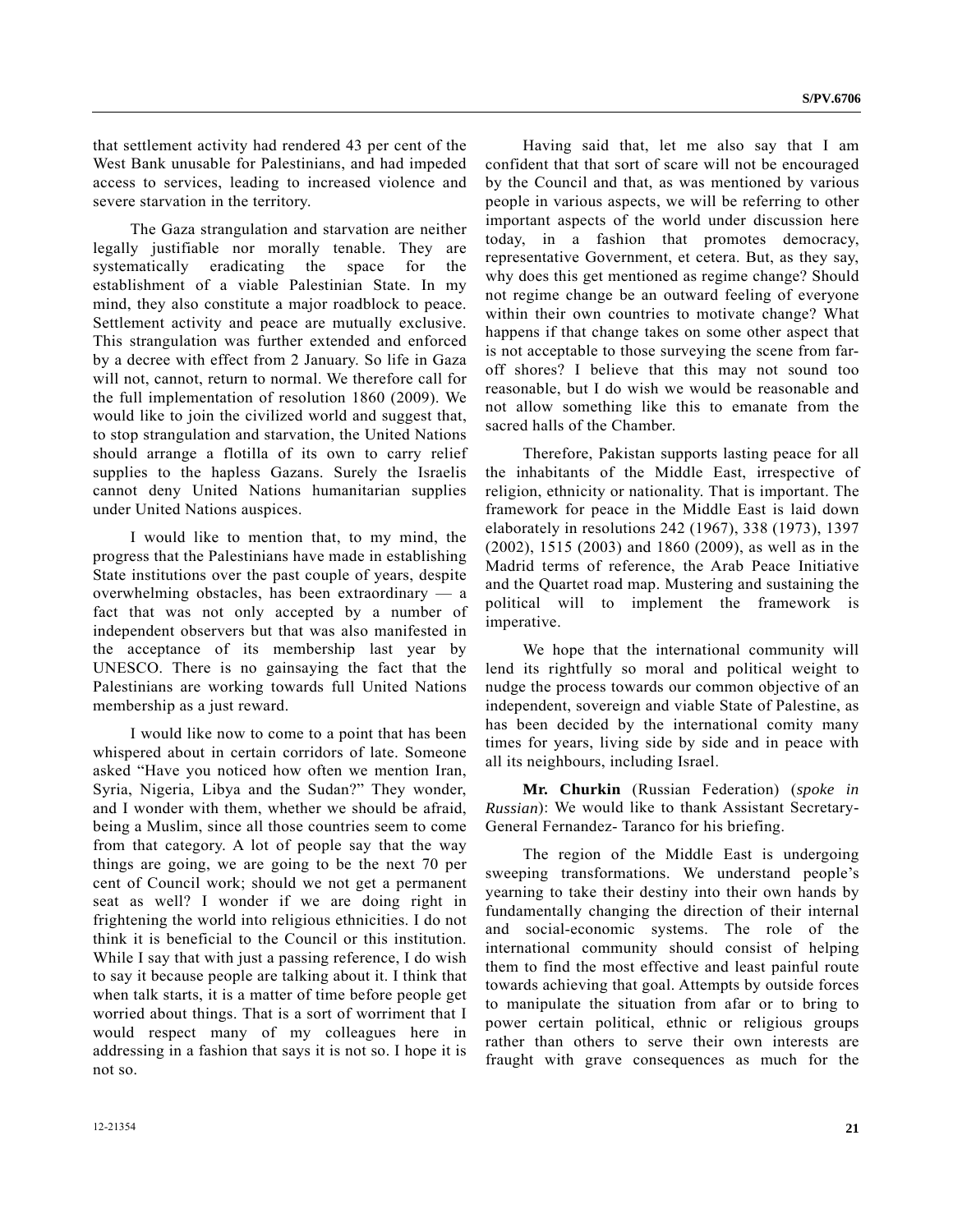that settlement activity had rendered 43 per cent of the West Bank unusable for Palestinians, and had impeded access to services, leading to increased violence and severe starvation in the territory.

 The Gaza strangulation and starvation are neither legally justifiable nor morally tenable. They are systematically eradicating the space for the establishment of a viable Palestinian State. In my mind, they also constitute a major roadblock to peace. Settlement activity and peace are mutually exclusive. This strangulation was further extended and enforced by a decree with effect from 2 January. So life in Gaza will not, cannot, return to normal. We therefore call for the full implementation of resolution 1860 (2009). We would like to join the civilized world and suggest that, to stop strangulation and starvation, the United Nations should arrange a flotilla of its own to carry relief supplies to the hapless Gazans. Surely the Israelis cannot deny United Nations humanitarian supplies under United Nations auspices.

 I would like to mention that, to my mind, the progress that the Palestinians have made in establishing State institutions over the past couple of years, despite overwhelming obstacles, has been extraordinary — a fact that was not only accepted by a number of independent observers but that was also manifested in the acceptance of its membership last year by UNESCO. There is no gainsaying the fact that the Palestinians are working towards full United Nations membership as a just reward.

 I would like now to come to a point that has been whispered about in certain corridors of late. Someone asked "Have you noticed how often we mention Iran, Syria, Nigeria, Libya and the Sudan?" They wonder, and I wonder with them, whether we should be afraid, being a Muslim, since all those countries seem to come from that category. A lot of people say that the way things are going, we are going to be the next 70 per cent of Council work; should we not get a permanent seat as well? I wonder if we are doing right in frightening the world into religious ethnicities. I do not think it is beneficial to the Council or this institution. While I say that with just a passing reference, I do wish to say it because people are talking about it. I think that when talk starts, it is a matter of time before people get worried about things. That is a sort of worriment that I would respect many of my colleagues here in addressing in a fashion that says it is not so. I hope it is not so.

 Having said that, let me also say that I am confident that that sort of scare will not be encouraged by the Council and that, as was mentioned by various people in various aspects, we will be referring to other important aspects of the world under discussion here today, in a fashion that promotes democracy, representative Government, et cetera. But, as they say, why does this get mentioned as regime change? Should not regime change be an outward feeling of everyone within their own countries to motivate change? What happens if that change takes on some other aspect that is not acceptable to those surveying the scene from faroff shores? I believe that this may not sound too reasonable, but I do wish we would be reasonable and not allow something like this to emanate from the sacred halls of the Chamber.

 Therefore, Pakistan supports lasting peace for all the inhabitants of the Middle East, irrespective of religion, ethnicity or nationality. That is important. The framework for peace in the Middle East is laid down elaborately in resolutions 242 (1967), 338 (1973), 1397 (2002), 1515 (2003) and 1860 (2009), as well as in the Madrid terms of reference, the Arab Peace Initiative and the Quartet road map. Mustering and sustaining the political will to implement the framework is imperative.

 We hope that the international community will lend its rightfully so moral and political weight to nudge the process towards our common objective of an independent, sovereign and viable State of Palestine, as has been decided by the international comity many times for years, living side by side and in peace with all its neighbours, including Israel.

**Mr. Churkin** (Russian Federation) (*spoke in Russian*): We would like to thank Assistant Secretary-General Fernandez- Taranco for his briefing.

 The region of the Middle East is undergoing sweeping transformations. We understand people's yearning to take their destiny into their own hands by fundamentally changing the direction of their internal and social-economic systems. The role of the international community should consist of helping them to find the most effective and least painful route towards achieving that goal. Attempts by outside forces to manipulate the situation from afar or to bring to power certain political, ethnic or religious groups rather than others to serve their own interests are fraught with grave consequences as much for the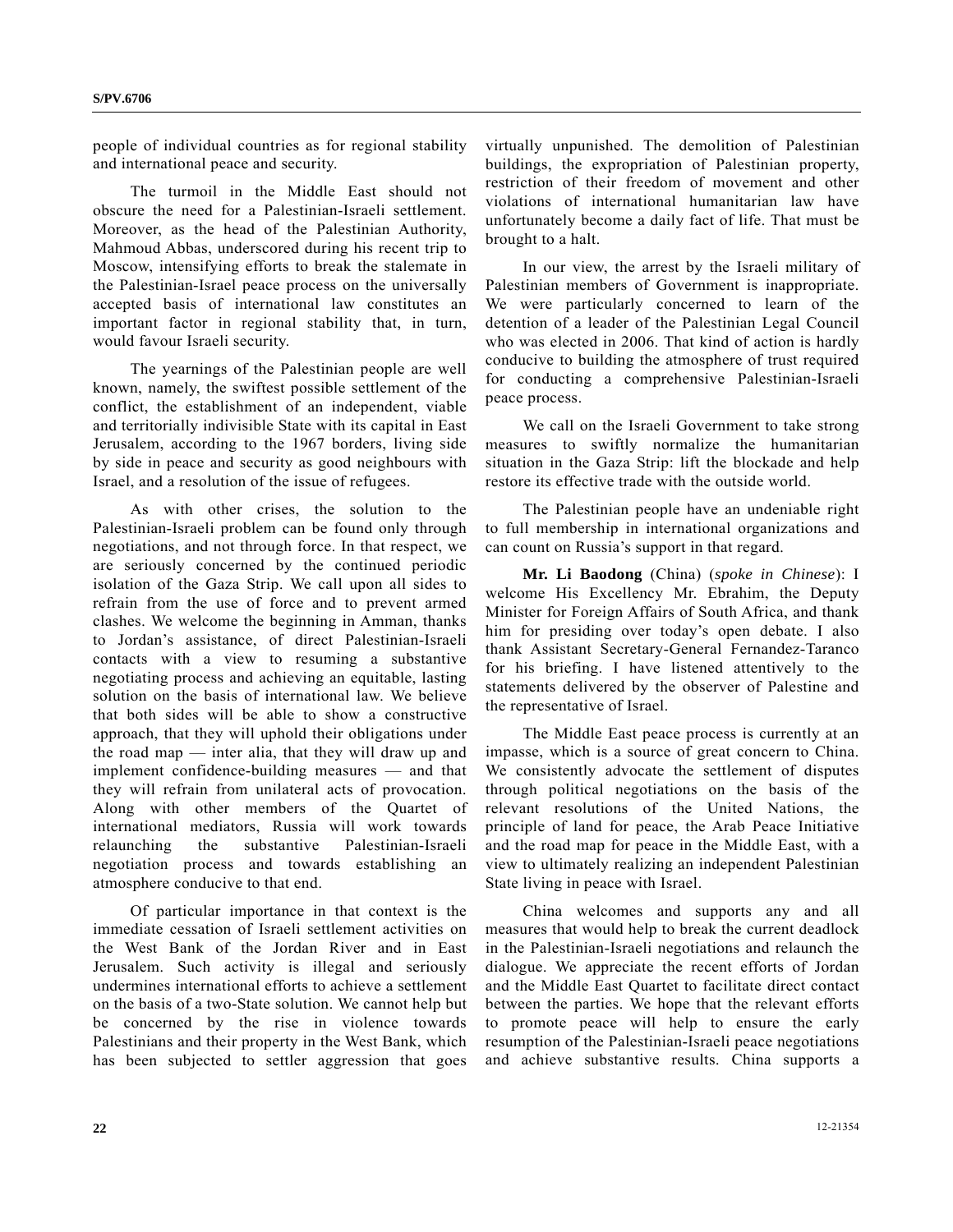people of individual countries as for regional stability and international peace and security.

 The turmoil in the Middle East should not obscure the need for a Palestinian-Israeli settlement. Moreover, as the head of the Palestinian Authority, Mahmoud Abbas, underscored during his recent trip to Moscow, intensifying efforts to break the stalemate in the Palestinian-Israel peace process on the universally accepted basis of international law constitutes an important factor in regional stability that, in turn, would favour Israeli security.

 The yearnings of the Palestinian people are well known, namely, the swiftest possible settlement of the conflict, the establishment of an independent, viable and territorially indivisible State with its capital in East Jerusalem, according to the 1967 borders, living side by side in peace and security as good neighbours with Israel, and a resolution of the issue of refugees.

 As with other crises, the solution to the Palestinian-Israeli problem can be found only through negotiations, and not through force. In that respect, we are seriously concerned by the continued periodic isolation of the Gaza Strip. We call upon all sides to refrain from the use of force and to prevent armed clashes. We welcome the beginning in Amman, thanks to Jordan's assistance, of direct Palestinian-Israeli contacts with a view to resuming a substantive negotiating process and achieving an equitable, lasting solution on the basis of international law. We believe that both sides will be able to show a constructive approach, that they will uphold their obligations under the road map — inter alia, that they will draw up and implement confidence-building measures — and that they will refrain from unilateral acts of provocation. Along with other members of the Quartet of international mediators, Russia will work towards relaunching the substantive Palestinian-Israeli negotiation process and towards establishing an atmosphere conducive to that end.

 Of particular importance in that context is the immediate cessation of Israeli settlement activities on the West Bank of the Jordan River and in East Jerusalem. Such activity is illegal and seriously undermines international efforts to achieve a settlement on the basis of a two-State solution. We cannot help but be concerned by the rise in violence towards Palestinians and their property in the West Bank, which has been subjected to settler aggression that goes

virtually unpunished. The demolition of Palestinian buildings, the expropriation of Palestinian property, restriction of their freedom of movement and other violations of international humanitarian law have unfortunately become a daily fact of life. That must be brought to a halt.

 In our view, the arrest by the Israeli military of Palestinian members of Government is inappropriate. We were particularly concerned to learn of the detention of a leader of the Palestinian Legal Council who was elected in 2006. That kind of action is hardly conducive to building the atmosphere of trust required for conducting a comprehensive Palestinian-Israeli peace process.

 We call on the Israeli Government to take strong measures to swiftly normalize the humanitarian situation in the Gaza Strip: lift the blockade and help restore its effective trade with the outside world.

 The Palestinian people have an undeniable right to full membership in international organizations and can count on Russia's support in that regard.

**Mr. Li Baodong** (China) (*spoke in Chinese*): I welcome His Excellency Mr. Ebrahim, the Deputy Minister for Foreign Affairs of South Africa, and thank him for presiding over today's open debate. I also thank Assistant Secretary-General Fernandez-Taranco for his briefing. I have listened attentively to the statements delivered by the observer of Palestine and the representative of Israel.

 The Middle East peace process is currently at an impasse, which is a source of great concern to China. We consistently advocate the settlement of disputes through political negotiations on the basis of the relevant resolutions of the United Nations, the principle of land for peace, the Arab Peace Initiative and the road map for peace in the Middle East, with a view to ultimately realizing an independent Palestinian State living in peace with Israel.

 China welcomes and supports any and all measures that would help to break the current deadlock in the Palestinian-Israeli negotiations and relaunch the dialogue. We appreciate the recent efforts of Jordan and the Middle East Quartet to facilitate direct contact between the parties. We hope that the relevant efforts to promote peace will help to ensure the early resumption of the Palestinian-Israeli peace negotiations and achieve substantive results. China supports a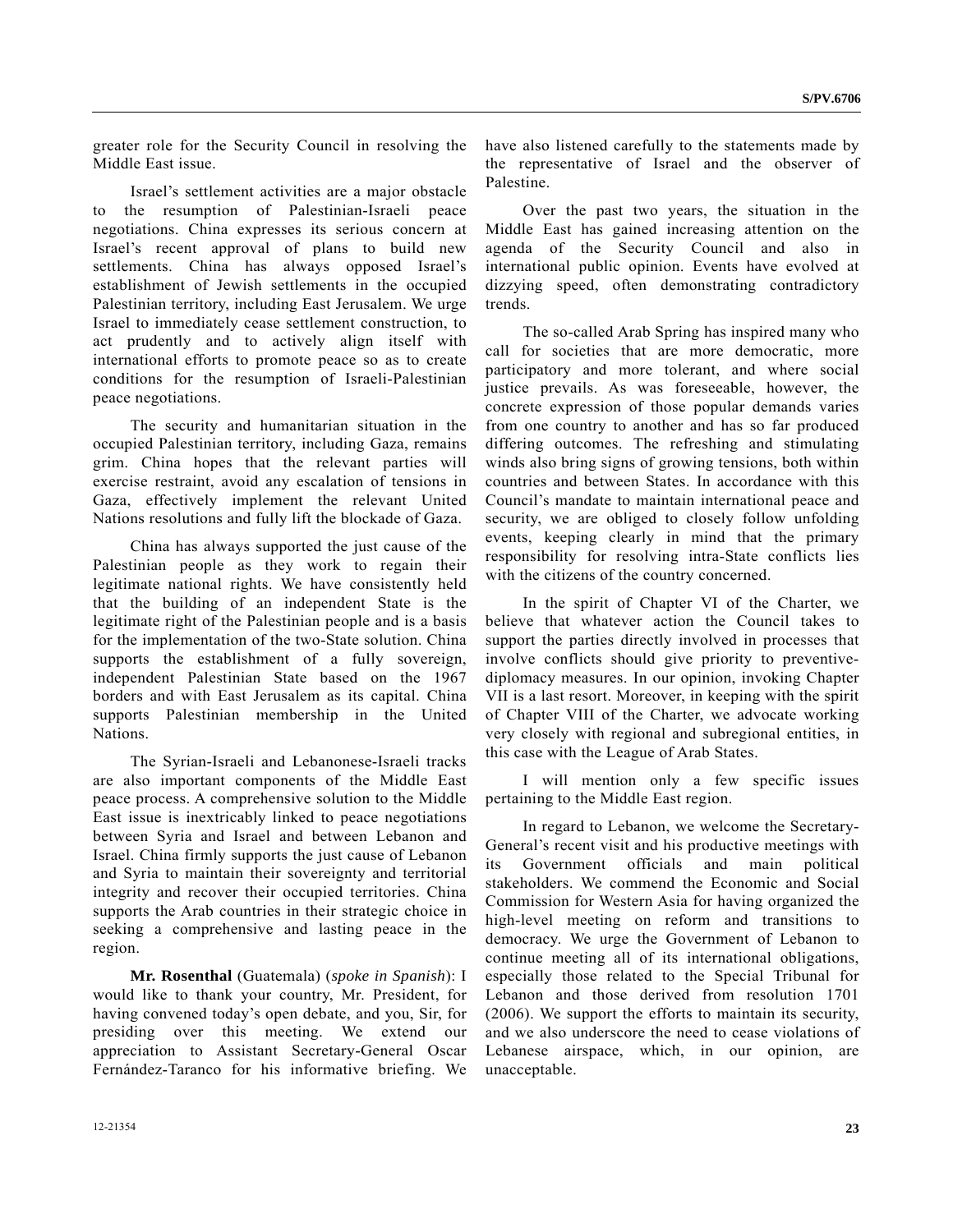greater role for the Security Council in resolving the Middle East issue.

 Israel's settlement activities are a major obstacle to the resumption of Palestinian-Israeli peace negotiations. China expresses its serious concern at Israel's recent approval of plans to build new settlements. China has always opposed Israel's establishment of Jewish settlements in the occupied Palestinian territory, including East Jerusalem. We urge Israel to immediately cease settlement construction, to act prudently and to actively align itself with international efforts to promote peace so as to create conditions for the resumption of Israeli-Palestinian peace negotiations.

 The security and humanitarian situation in the occupied Palestinian territory, including Gaza, remains grim. China hopes that the relevant parties will exercise restraint, avoid any escalation of tensions in Gaza, effectively implement the relevant United Nations resolutions and fully lift the blockade of Gaza.

 China has always supported the just cause of the Palestinian people as they work to regain their legitimate national rights. We have consistently held that the building of an independent State is the legitimate right of the Palestinian people and is a basis for the implementation of the two-State solution. China supports the establishment of a fully sovereign, independent Palestinian State based on the 1967 borders and with East Jerusalem as its capital. China supports Palestinian membership in the United Nations.

 The Syrian-Israeli and Lebanonese-Israeli tracks are also important components of the Middle East peace process. A comprehensive solution to the Middle East issue is inextricably linked to peace negotiations between Syria and Israel and between Lebanon and Israel. China firmly supports the just cause of Lebanon and Syria to maintain their sovereignty and territorial integrity and recover their occupied territories. China supports the Arab countries in their strategic choice in seeking a comprehensive and lasting peace in the region.

**Mr. Rosenthal** (Guatemala) (*spoke in Spanish*): I would like to thank your country, Mr. President, for having convened today's open debate, and you, Sir, for presiding over this meeting. We extend our appreciation to Assistant Secretary-General Oscar Fernández-Taranco for his informative briefing. We

have also listened carefully to the statements made by the representative of Israel and the observer of Palestine.

 Over the past two years, the situation in the Middle East has gained increasing attention on the agenda of the Security Council and also in international public opinion. Events have evolved at dizzying speed, often demonstrating contradictory trends.

 The so-called Arab Spring has inspired many who call for societies that are more democratic, more participatory and more tolerant, and where social justice prevails. As was foreseeable, however, the concrete expression of those popular demands varies from one country to another and has so far produced differing outcomes. The refreshing and stimulating winds also bring signs of growing tensions, both within countries and between States. In accordance with this Council's mandate to maintain international peace and security, we are obliged to closely follow unfolding events, keeping clearly in mind that the primary responsibility for resolving intra-State conflicts lies with the citizens of the country concerned.

 In the spirit of Chapter VI of the Charter, we believe that whatever action the Council takes to support the parties directly involved in processes that involve conflicts should give priority to preventivediplomacy measures. In our opinion, invoking Chapter VII is a last resort. Moreover, in keeping with the spirit of Chapter VIII of the Charter, we advocate working very closely with regional and subregional entities, in this case with the League of Arab States.

 I will mention only a few specific issues pertaining to the Middle East region.

 In regard to Lebanon, we welcome the Secretary-General's recent visit and his productive meetings with its Government officials and main political stakeholders. We commend the Economic and Social Commission for Western Asia for having organized the high-level meeting on reform and transitions to democracy. We urge the Government of Lebanon to continue meeting all of its international obligations, especially those related to the Special Tribunal for Lebanon and those derived from resolution 1701 (2006). We support the efforts to maintain its security, and we also underscore the need to cease violations of Lebanese airspace, which, in our opinion, are unacceptable.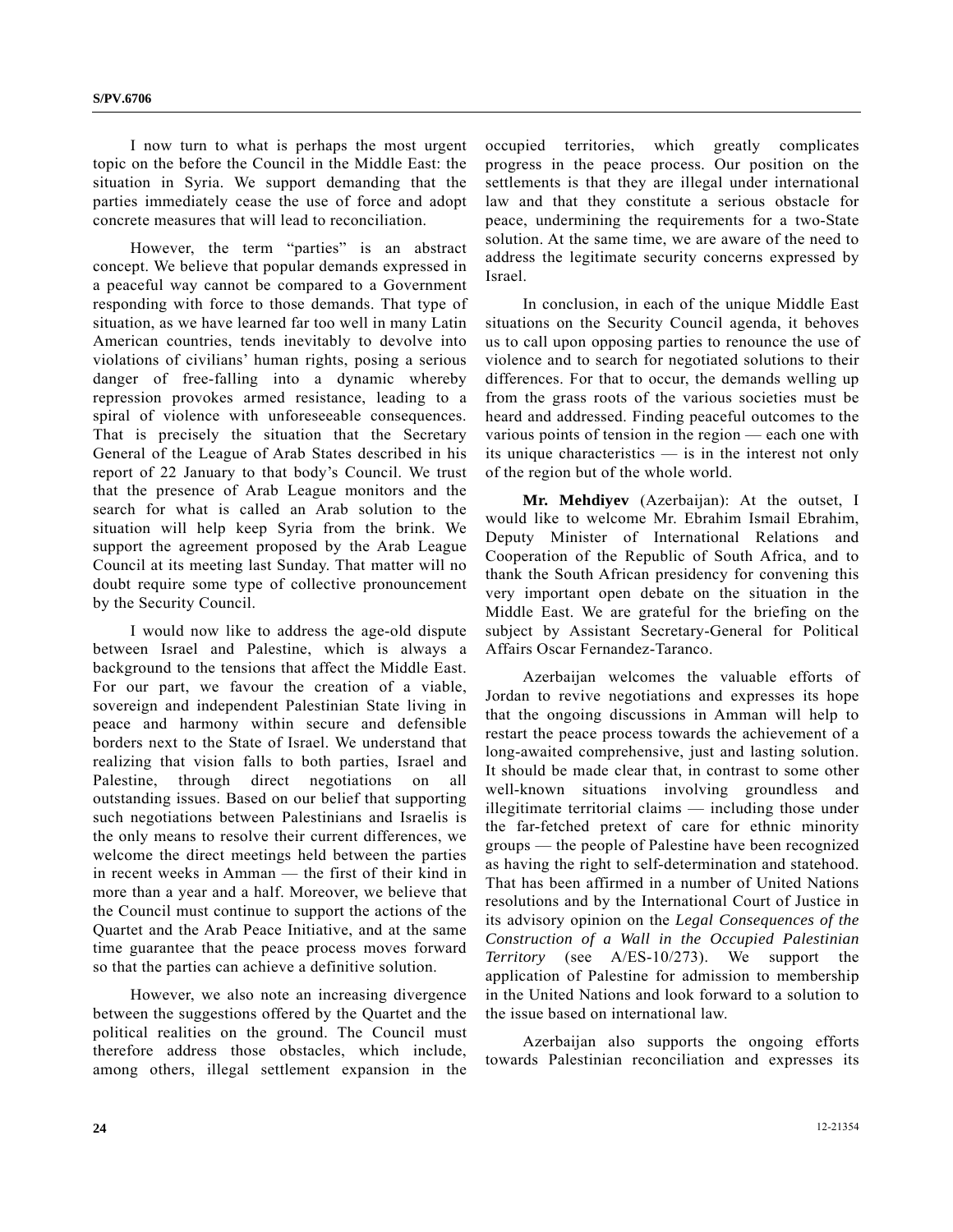I now turn to what is perhaps the most urgent topic on the before the Council in the Middle East: the situation in Syria. We support demanding that the parties immediately cease the use of force and adopt concrete measures that will lead to reconciliation.

However, the term "parties" is an abstract concept. We believe that popular demands expressed in a peaceful way cannot be compared to a Government responding with force to those demands. That type of situation, as we have learned far too well in many Latin American countries, tends inevitably to devolve into violations of civilians' human rights, posing a serious danger of free-falling into a dynamic whereby repression provokes armed resistance, leading to a spiral of violence with unforeseeable consequences. That is precisely the situation that the Secretary General of the League of Arab States described in his report of 22 January to that body's Council. We trust that the presence of Arab League monitors and the search for what is called an Arab solution to the situation will help keep Syria from the brink. We support the agreement proposed by the Arab League Council at its meeting last Sunday. That matter will no doubt require some type of collective pronouncement by the Security Council.

 I would now like to address the age-old dispute between Israel and Palestine, which is always a background to the tensions that affect the Middle East. For our part, we favour the creation of a viable, sovereign and independent Palestinian State living in peace and harmony within secure and defensible borders next to the State of Israel. We understand that realizing that vision falls to both parties, Israel and Palestine, through direct negotiations on all outstanding issues. Based on our belief that supporting such negotiations between Palestinians and Israelis is the only means to resolve their current differences, we welcome the direct meetings held between the parties in recent weeks in Amman — the first of their kind in more than a year and a half. Moreover, we believe that the Council must continue to support the actions of the Quartet and the Arab Peace Initiative, and at the same time guarantee that the peace process moves forward so that the parties can achieve a definitive solution.

 However, we also note an increasing divergence between the suggestions offered by the Quartet and the political realities on the ground. The Council must therefore address those obstacles, which include, among others, illegal settlement expansion in the

occupied territories, which greatly complicates progress in the peace process. Our position on the settlements is that they are illegal under international law and that they constitute a serious obstacle for peace, undermining the requirements for a two-State solution. At the same time, we are aware of the need to address the legitimate security concerns expressed by Israel.

 In conclusion, in each of the unique Middle East situations on the Security Council agenda, it behoves us to call upon opposing parties to renounce the use of violence and to search for negotiated solutions to their differences. For that to occur, the demands welling up from the grass roots of the various societies must be heard and addressed. Finding peaceful outcomes to the various points of tension in the region — each one with its unique characteristics — is in the interest not only of the region but of the whole world.

**Mr. Mehdiyev** (Azerbaijan): At the outset, I would like to welcome Mr. Ebrahim Ismail Ebrahim, Deputy Minister of International Relations and Cooperation of the Republic of South Africa, and to thank the South African presidency for convening this very important open debate on the situation in the Middle East. We are grateful for the briefing on the subject by Assistant Secretary-General for Political Affairs Oscar Fernandez-Taranco.

 Azerbaijan welcomes the valuable efforts of Jordan to revive negotiations and expresses its hope that the ongoing discussions in Amman will help to restart the peace process towards the achievement of a long-awaited comprehensive, just and lasting solution. It should be made clear that, in contrast to some other well-known situations involving groundless and illegitimate territorial claims — including those under the far-fetched pretext of care for ethnic minority groups — the people of Palestine have been recognized as having the right to self-determination and statehood. That has been affirmed in a number of United Nations resolutions and by the International Court of Justice in its advisory opinion on the *Legal Consequences of the Construction of a Wall in the Occupied Palestinian Territory* (see A/ES-10/273). We support the application of Palestine for admission to membership in the United Nations and look forward to a solution to the issue based on international law.

 Azerbaijan also supports the ongoing efforts towards Palestinian reconciliation and expresses its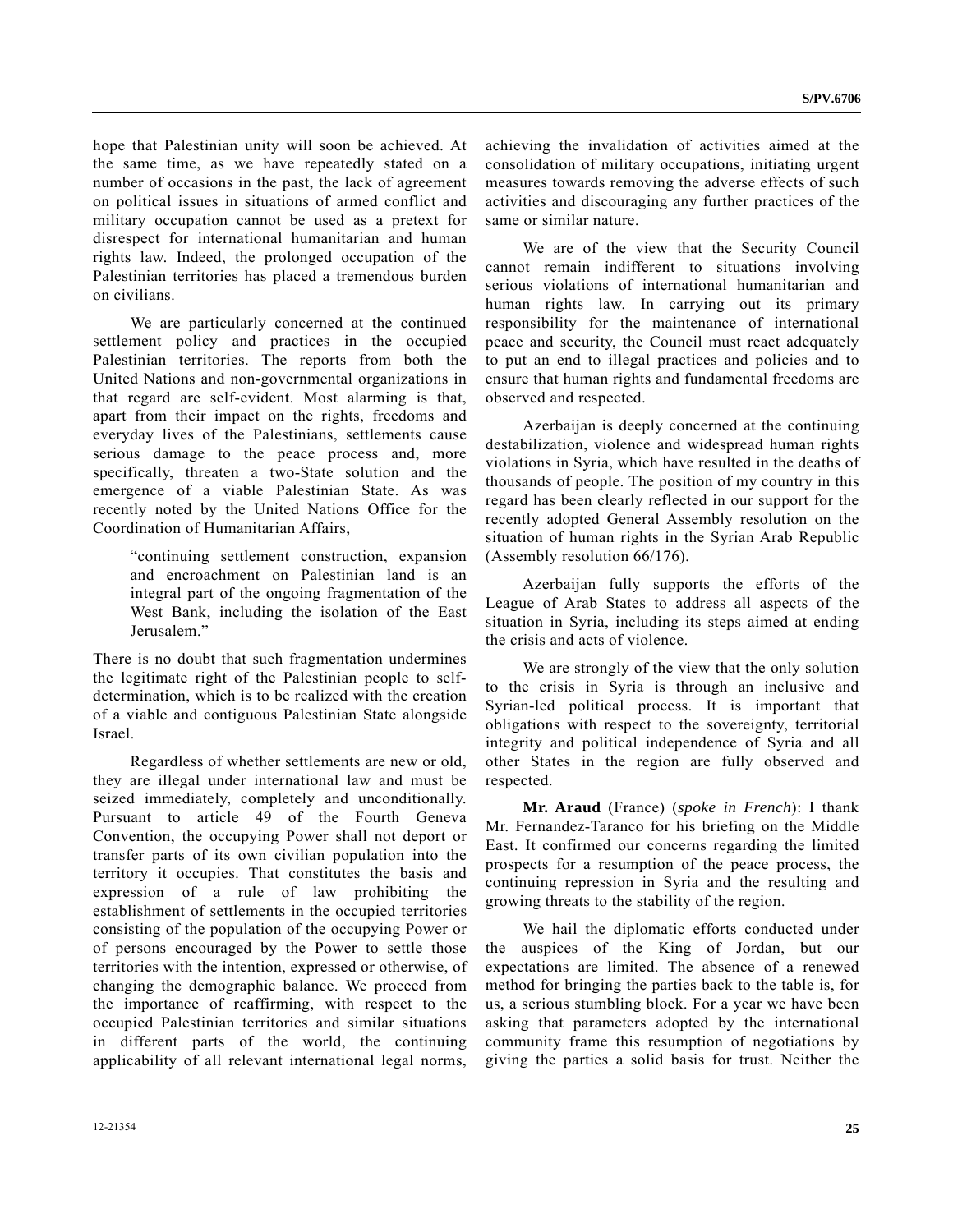hope that Palestinian unity will soon be achieved. At the same time, as we have repeatedly stated on a number of occasions in the past, the lack of agreement on political issues in situations of armed conflict and military occupation cannot be used as a pretext for disrespect for international humanitarian and human rights law. Indeed, the prolonged occupation of the Palestinian territories has placed a tremendous burden on civilians.

 We are particularly concerned at the continued settlement policy and practices in the occupied Palestinian territories. The reports from both the United Nations and non-governmental organizations in that regard are self-evident. Most alarming is that, apart from their impact on the rights, freedoms and everyday lives of the Palestinians, settlements cause serious damage to the peace process and, more specifically, threaten a two-State solution and the emergence of a viable Palestinian State. As was recently noted by the United Nations Office for the Coordination of Humanitarian Affairs,

 "continuing settlement construction, expansion and encroachment on Palestinian land is an integral part of the ongoing fragmentation of the West Bank, including the isolation of the East Jerusalem."

There is no doubt that such fragmentation undermines the legitimate right of the Palestinian people to selfdetermination, which is to be realized with the creation of a viable and contiguous Palestinian State alongside Israel.

 Regardless of whether settlements are new or old, they are illegal under international law and must be seized immediately, completely and unconditionally. Pursuant to article 49 of the Fourth Geneva Convention, the occupying Power shall not deport or transfer parts of its own civilian population into the territory it occupies. That constitutes the basis and expression of a rule of law prohibiting the establishment of settlements in the occupied territories consisting of the population of the occupying Power or of persons encouraged by the Power to settle those territories with the intention, expressed or otherwise, of changing the demographic balance. We proceed from the importance of reaffirming, with respect to the occupied Palestinian territories and similar situations in different parts of the world, the continuing applicability of all relevant international legal norms,

achieving the invalidation of activities aimed at the consolidation of military occupations, initiating urgent measures towards removing the adverse effects of such activities and discouraging any further practices of the same or similar nature.

 We are of the view that the Security Council cannot remain indifferent to situations involving serious violations of international humanitarian and human rights law. In carrying out its primary responsibility for the maintenance of international peace and security, the Council must react adequately to put an end to illegal practices and policies and to ensure that human rights and fundamental freedoms are observed and respected.

 Azerbaijan is deeply concerned at the continuing destabilization, violence and widespread human rights violations in Syria, which have resulted in the deaths of thousands of people. The position of my country in this regard has been clearly reflected in our support for the recently adopted General Assembly resolution on the situation of human rights in the Syrian Arab Republic (Assembly resolution 66/176).

 Azerbaijan fully supports the efforts of the League of Arab States to address all aspects of the situation in Syria, including its steps aimed at ending the crisis and acts of violence.

 We are strongly of the view that the only solution to the crisis in Syria is through an inclusive and Syrian-led political process. It is important that obligations with respect to the sovereignty, territorial integrity and political independence of Syria and all other States in the region are fully observed and respected.

**Mr. Araud** (France) (*spoke in French*): I thank Mr. Fernandez-Taranco for his briefing on the Middle East. It confirmed our concerns regarding the limited prospects for a resumption of the peace process, the continuing repression in Syria and the resulting and growing threats to the stability of the region.

 We hail the diplomatic efforts conducted under the auspices of the King of Jordan, but our expectations are limited. The absence of a renewed method for bringing the parties back to the table is, for us, a serious stumbling block. For a year we have been asking that parameters adopted by the international community frame this resumption of negotiations by giving the parties a solid basis for trust. Neither the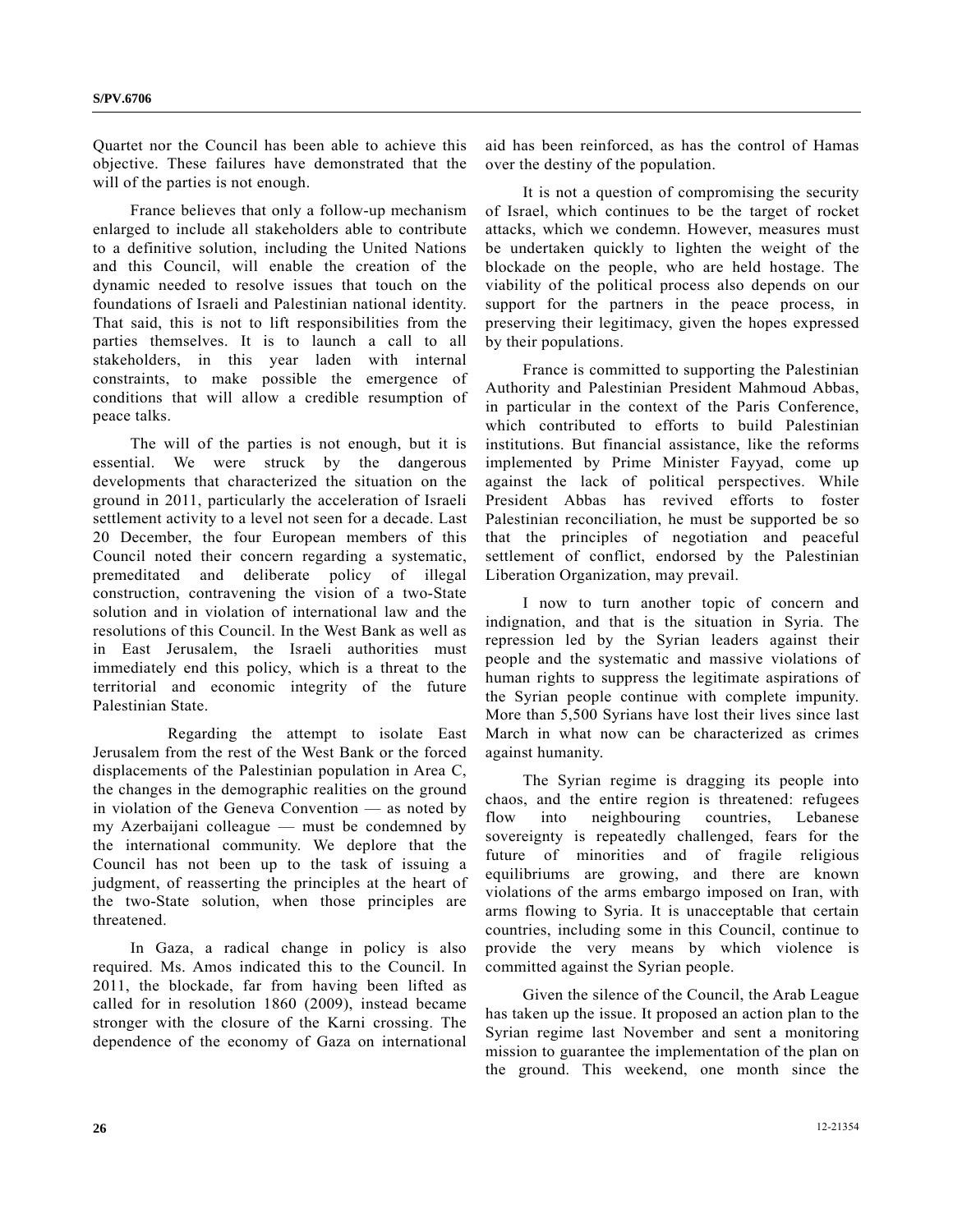Quartet nor the Council has been able to achieve this objective. These failures have demonstrated that the will of the parties is not enough.

 France believes that only a follow-up mechanism enlarged to include all stakeholders able to contribute to a definitive solution, including the United Nations and this Council, will enable the creation of the dynamic needed to resolve issues that touch on the foundations of Israeli and Palestinian national identity. That said, this is not to lift responsibilities from the parties themselves. It is to launch a call to all stakeholders, in this year laden with internal constraints, to make possible the emergence of conditions that will allow a credible resumption of peace talks.

 The will of the parties is not enough, but it is essential. We were struck by the dangerous developments that characterized the situation on the ground in 2011, particularly the acceleration of Israeli settlement activity to a level not seen for a decade. Last 20 December, the four European members of this Council noted their concern regarding a systematic, premeditated and deliberate policy of illegal construction, contravening the vision of a two-State solution and in violation of international law and the resolutions of this Council. In the West Bank as well as in East Jerusalem, the Israeli authorities must immediately end this policy, which is a threat to the territorial and economic integrity of the future Palestinian State.

 Regarding the attempt to isolate East Jerusalem from the rest of the West Bank or the forced displacements of the Palestinian population in Area C, the changes in the demographic realities on the ground in violation of the Geneva Convention — as noted by my Azerbaijani colleague — must be condemned by the international community. We deplore that the Council has not been up to the task of issuing a judgment, of reasserting the principles at the heart of the two-State solution, when those principles are threatened.

 In Gaza, a radical change in policy is also required. Ms. Amos indicated this to the Council. In 2011, the blockade, far from having been lifted as called for in resolution 1860 (2009), instead became stronger with the closure of the Karni crossing. The dependence of the economy of Gaza on international aid has been reinforced, as has the control of Hamas over the destiny of the population.

 It is not a question of compromising the security of Israel, which continues to be the target of rocket attacks, which we condemn. However, measures must be undertaken quickly to lighten the weight of the blockade on the people, who are held hostage. The viability of the political process also depends on our support for the partners in the peace process, in preserving their legitimacy, given the hopes expressed by their populations.

 France is committed to supporting the Palestinian Authority and Palestinian President Mahmoud Abbas, in particular in the context of the Paris Conference, which contributed to efforts to build Palestinian institutions. But financial assistance, like the reforms implemented by Prime Minister Fayyad, come up against the lack of political perspectives. While President Abbas has revived efforts to foster Palestinian reconciliation, he must be supported be so that the principles of negotiation and peaceful settlement of conflict, endorsed by the Palestinian Liberation Organization, may prevail.

 I now to turn another topic of concern and indignation, and that is the situation in Syria. The repression led by the Syrian leaders against their people and the systematic and massive violations of human rights to suppress the legitimate aspirations of the Syrian people continue with complete impunity. More than 5,500 Syrians have lost their lives since last March in what now can be characterized as crimes against humanity.

 The Syrian regime is dragging its people into chaos, and the entire region is threatened: refugees flow into neighbouring countries, Lebanese sovereignty is repeatedly challenged, fears for the future of minorities and of fragile religious equilibriums are growing, and there are known violations of the arms embargo imposed on Iran, with arms flowing to Syria. It is unacceptable that certain countries, including some in this Council, continue to provide the very means by which violence is committed against the Syrian people.

 Given the silence of the Council, the Arab League has taken up the issue. It proposed an action plan to the Syrian regime last November and sent a monitoring mission to guarantee the implementation of the plan on the ground. This weekend, one month since the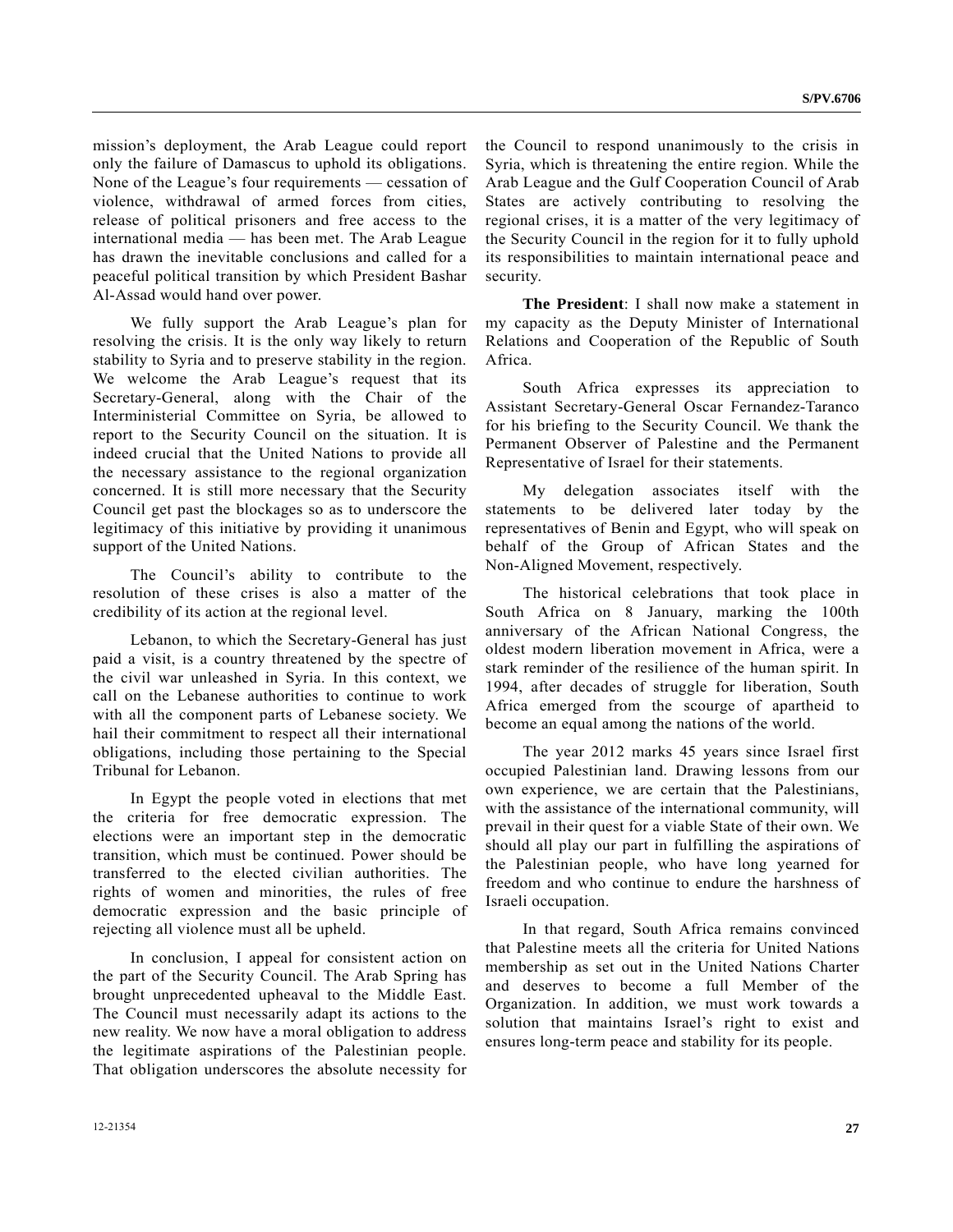mission's deployment, the Arab League could report only the failure of Damascus to uphold its obligations. None of the League's four requirements — cessation of violence, withdrawal of armed forces from cities, release of political prisoners and free access to the international media — has been met. The Arab League has drawn the inevitable conclusions and called for a peaceful political transition by which President Bashar Al-Assad would hand over power.

 We fully support the Arab League's plan for resolving the crisis. It is the only way likely to return stability to Syria and to preserve stability in the region. We welcome the Arab League's request that its Secretary-General, along with the Chair of the Interministerial Committee on Syria, be allowed to report to the Security Council on the situation. It is indeed crucial that the United Nations to provide all the necessary assistance to the regional organization concerned. It is still more necessary that the Security Council get past the blockages so as to underscore the legitimacy of this initiative by providing it unanimous support of the United Nations.

 The Council's ability to contribute to the resolution of these crises is also a matter of the credibility of its action at the regional level.

 Lebanon, to which the Secretary-General has just paid a visit, is a country threatened by the spectre of the civil war unleashed in Syria. In this context, we call on the Lebanese authorities to continue to work with all the component parts of Lebanese society. We hail their commitment to respect all their international obligations, including those pertaining to the Special Tribunal for Lebanon.

 In Egypt the people voted in elections that met the criteria for free democratic expression. The elections were an important step in the democratic transition, which must be continued. Power should be transferred to the elected civilian authorities. The rights of women and minorities, the rules of free democratic expression and the basic principle of rejecting all violence must all be upheld.

 In conclusion, I appeal for consistent action on the part of the Security Council. The Arab Spring has brought unprecedented upheaval to the Middle East. The Council must necessarily adapt its actions to the new reality. We now have a moral obligation to address the legitimate aspirations of the Palestinian people. That obligation underscores the absolute necessity for

the Council to respond unanimously to the crisis in Syria, which is threatening the entire region. While the Arab League and the Gulf Cooperation Council of Arab States are actively contributing to resolving the regional crises, it is a matter of the very legitimacy of the Security Council in the region for it to fully uphold its responsibilities to maintain international peace and security.

**The President**: I shall now make a statement in my capacity as the Deputy Minister of International Relations and Cooperation of the Republic of South Africa.

 South Africa expresses its appreciation to Assistant Secretary-General Oscar Fernandez-Taranco for his briefing to the Security Council. We thank the Permanent Observer of Palestine and the Permanent Representative of Israel for their statements.

 My delegation associates itself with the statements to be delivered later today by the representatives of Benin and Egypt, who will speak on behalf of the Group of African States and the Non-Aligned Movement, respectively.

 The historical celebrations that took place in South Africa on 8 January, marking the 100th anniversary of the African National Congress, the oldest modern liberation movement in Africa, were a stark reminder of the resilience of the human spirit. In 1994, after decades of struggle for liberation, South Africa emerged from the scourge of apartheid to become an equal among the nations of the world.

 The year 2012 marks 45 years since Israel first occupied Palestinian land. Drawing lessons from our own experience, we are certain that the Palestinians, with the assistance of the international community, will prevail in their quest for a viable State of their own. We should all play our part in fulfilling the aspirations of the Palestinian people, who have long yearned for freedom and who continue to endure the harshness of Israeli occupation.

 In that regard, South Africa remains convinced that Palestine meets all the criteria for United Nations membership as set out in the United Nations Charter and deserves to become a full Member of the Organization. In addition, we must work towards a solution that maintains Israel's right to exist and ensures long-term peace and stability for its people.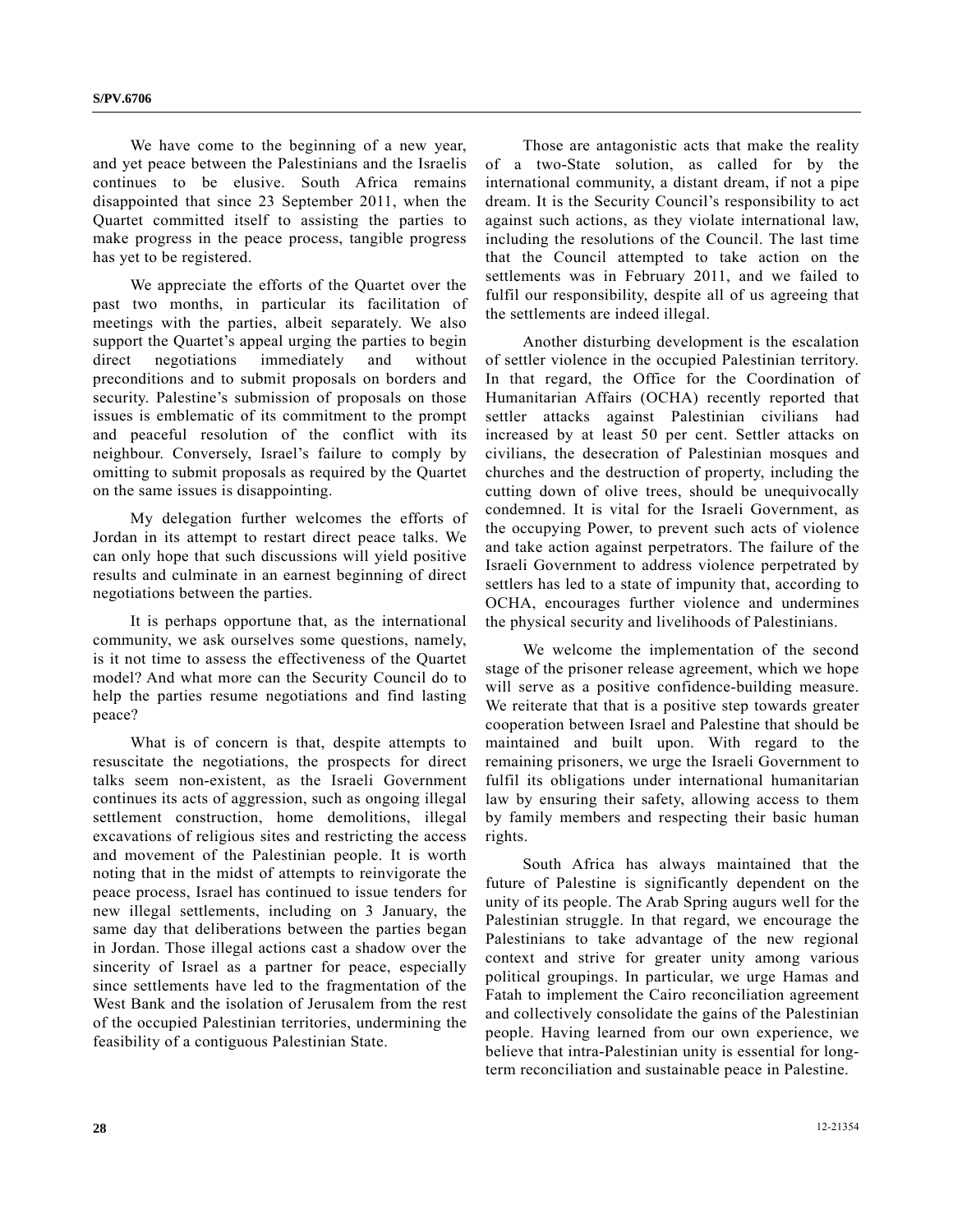We have come to the beginning of a new year, and yet peace between the Palestinians and the Israelis continues to be elusive. South Africa remains disappointed that since 23 September 2011, when the Quartet committed itself to assisting the parties to make progress in the peace process, tangible progress has yet to be registered.

 We appreciate the efforts of the Quartet over the past two months, in particular its facilitation of meetings with the parties, albeit separately. We also support the Quartet's appeal urging the parties to begin direct negotiations immediately and without preconditions and to submit proposals on borders and security. Palestine's submission of proposals on those issues is emblematic of its commitment to the prompt and peaceful resolution of the conflict with its neighbour. Conversely, Israel's failure to comply by omitting to submit proposals as required by the Quartet on the same issues is disappointing.

 My delegation further welcomes the efforts of Jordan in its attempt to restart direct peace talks. We can only hope that such discussions will yield positive results and culminate in an earnest beginning of direct negotiations between the parties.

 It is perhaps opportune that, as the international community, we ask ourselves some questions, namely, is it not time to assess the effectiveness of the Quartet model? And what more can the Security Council do to help the parties resume negotiations and find lasting peace?

 What is of concern is that, despite attempts to resuscitate the negotiations, the prospects for direct talks seem non-existent, as the Israeli Government continues its acts of aggression, such as ongoing illegal settlement construction, home demolitions, illegal excavations of religious sites and restricting the access and movement of the Palestinian people. It is worth noting that in the midst of attempts to reinvigorate the peace process, Israel has continued to issue tenders for new illegal settlements, including on 3 January, the same day that deliberations between the parties began in Jordan. Those illegal actions cast a shadow over the sincerity of Israel as a partner for peace, especially since settlements have led to the fragmentation of the West Bank and the isolation of Jerusalem from the rest of the occupied Palestinian territories, undermining the feasibility of a contiguous Palestinian State.

 Those are antagonistic acts that make the reality of a two-State solution, as called for by the international community, a distant dream, if not a pipe dream. It is the Security Council's responsibility to act against such actions, as they violate international law, including the resolutions of the Council. The last time that the Council attempted to take action on the settlements was in February 2011, and we failed to fulfil our responsibility, despite all of us agreeing that the settlements are indeed illegal.

 Another disturbing development is the escalation of settler violence in the occupied Palestinian territory. In that regard, the Office for the Coordination of Humanitarian Affairs (OCHA) recently reported that settler attacks against Palestinian civilians had increased by at least 50 per cent. Settler attacks on civilians, the desecration of Palestinian mosques and churches and the destruction of property, including the cutting down of olive trees, should be unequivocally condemned. It is vital for the Israeli Government, as the occupying Power, to prevent such acts of violence and take action against perpetrators. The failure of the Israeli Government to address violence perpetrated by settlers has led to a state of impunity that, according to OCHA, encourages further violence and undermines the physical security and livelihoods of Palestinians.

 We welcome the implementation of the second stage of the prisoner release agreement, which we hope will serve as a positive confidence-building measure. We reiterate that that is a positive step towards greater cooperation between Israel and Palestine that should be maintained and built upon. With regard to the remaining prisoners, we urge the Israeli Government to fulfil its obligations under international humanitarian law by ensuring their safety, allowing access to them by family members and respecting their basic human rights.

 South Africa has always maintained that the future of Palestine is significantly dependent on the unity of its people. The Arab Spring augurs well for the Palestinian struggle. In that regard, we encourage the Palestinians to take advantage of the new regional context and strive for greater unity among various political groupings. In particular, we urge Hamas and Fatah to implement the Cairo reconciliation agreement and collectively consolidate the gains of the Palestinian people. Having learned from our own experience, we believe that intra-Palestinian unity is essential for longterm reconciliation and sustainable peace in Palestine.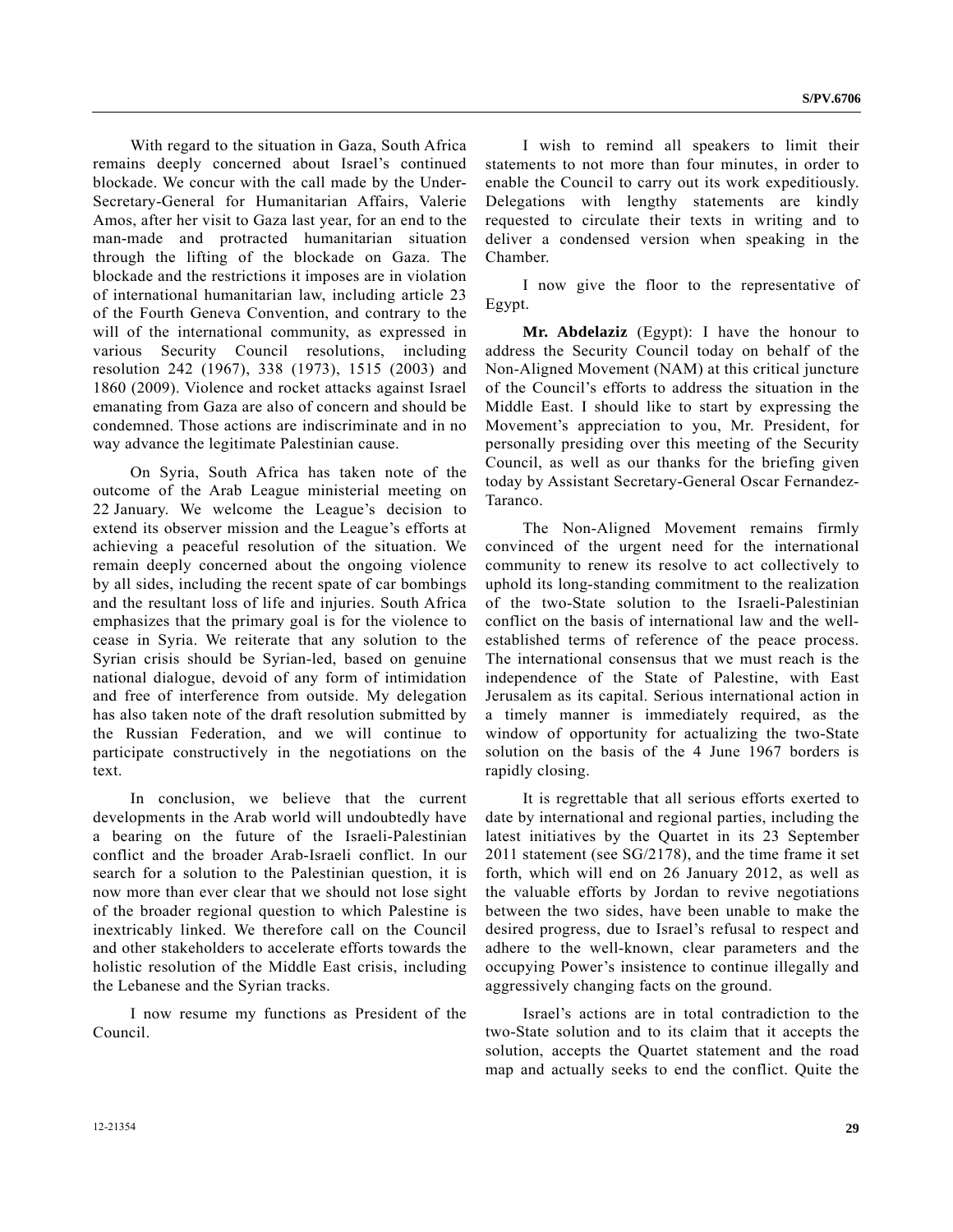With regard to the situation in Gaza, South Africa remains deeply concerned about Israel's continued blockade. We concur with the call made by the Under-Secretary-General for Humanitarian Affairs, Valerie Amos, after her visit to Gaza last year, for an end to the man-made and protracted humanitarian situation through the lifting of the blockade on Gaza. The blockade and the restrictions it imposes are in violation of international humanitarian law, including article 23 of the Fourth Geneva Convention, and contrary to the will of the international community, as expressed in various Security Council resolutions, including resolution 242 (1967), 338 (1973), 1515 (2003) and 1860 (2009). Violence and rocket attacks against Israel emanating from Gaza are also of concern and should be condemned. Those actions are indiscriminate and in no way advance the legitimate Palestinian cause.

 On Syria, South Africa has taken note of the outcome of the Arab League ministerial meeting on 22 January. We welcome the League's decision to extend its observer mission and the League's efforts at achieving a peaceful resolution of the situation. We remain deeply concerned about the ongoing violence by all sides, including the recent spate of car bombings and the resultant loss of life and injuries. South Africa emphasizes that the primary goal is for the violence to cease in Syria. We reiterate that any solution to the Syrian crisis should be Syrian-led, based on genuine national dialogue, devoid of any form of intimidation and free of interference from outside. My delegation has also taken note of the draft resolution submitted by the Russian Federation, and we will continue to participate constructively in the negotiations on the text.

 In conclusion, we believe that the current developments in the Arab world will undoubtedly have a bearing on the future of the Israeli-Palestinian conflict and the broader Arab-Israeli conflict. In our search for a solution to the Palestinian question, it is now more than ever clear that we should not lose sight of the broader regional question to which Palestine is inextricably linked. We therefore call on the Council and other stakeholders to accelerate efforts towards the holistic resolution of the Middle East crisis, including the Lebanese and the Syrian tracks.

 I now resume my functions as President of the Council.

 I wish to remind all speakers to limit their statements to not more than four minutes, in order to enable the Council to carry out its work expeditiously. Delegations with lengthy statements are kindly requested to circulate their texts in writing and to deliver a condensed version when speaking in the Chamber.

 I now give the floor to the representative of Egypt.

**Mr. Abdelaziz** (Egypt): I have the honour to address the Security Council today on behalf of the Non-Aligned Movement (NAM) at this critical juncture of the Council's efforts to address the situation in the Middle East. I should like to start by expressing the Movement's appreciation to you, Mr. President, for personally presiding over this meeting of the Security Council, as well as our thanks for the briefing given today by Assistant Secretary-General Oscar Fernandez-Taranco.

 The Non-Aligned Movement remains firmly convinced of the urgent need for the international community to renew its resolve to act collectively to uphold its long-standing commitment to the realization of the two-State solution to the Israeli-Palestinian conflict on the basis of international law and the wellestablished terms of reference of the peace process. The international consensus that we must reach is the independence of the State of Palestine, with East Jerusalem as its capital. Serious international action in a timely manner is immediately required, as the window of opportunity for actualizing the two-State solution on the basis of the 4 June 1967 borders is rapidly closing.

 It is regrettable that all serious efforts exerted to date by international and regional parties, including the latest initiatives by the Quartet in its 23 September 2011 statement (see SG/2178), and the time frame it set forth, which will end on 26 January 2012, as well as the valuable efforts by Jordan to revive negotiations between the two sides, have been unable to make the desired progress, due to Israel's refusal to respect and adhere to the well-known, clear parameters and the occupying Power's insistence to continue illegally and aggressively changing facts on the ground.

 Israel's actions are in total contradiction to the two-State solution and to its claim that it accepts the solution, accepts the Quartet statement and the road map and actually seeks to end the conflict. Quite the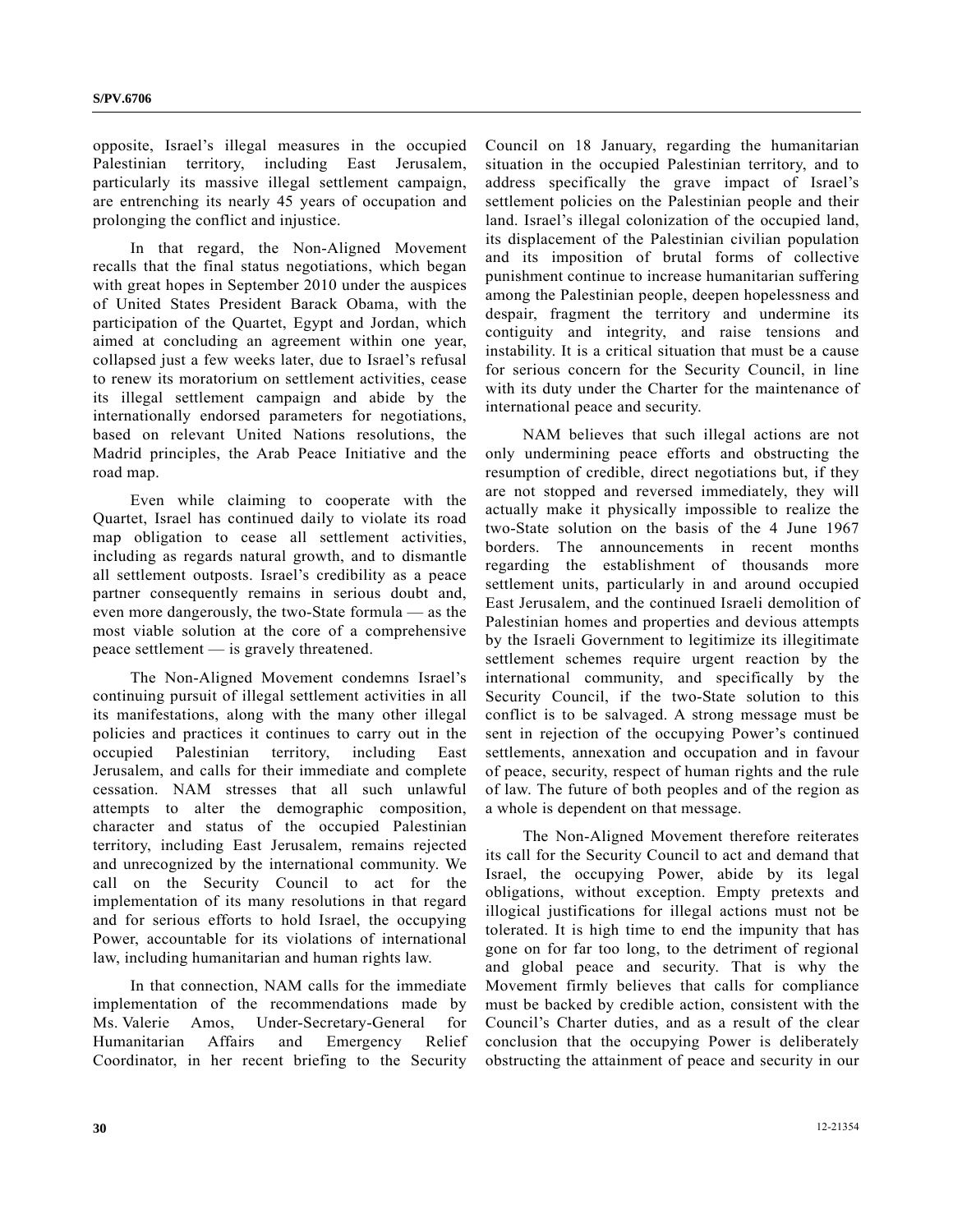opposite, Israel's illegal measures in the occupied Palestinian territory, including East Jerusalem, particularly its massive illegal settlement campaign, are entrenching its nearly 45 years of occupation and prolonging the conflict and injustice.

 In that regard, the Non-Aligned Movement recalls that the final status negotiations, which began with great hopes in September 2010 under the auspices of United States President Barack Obama, with the participation of the Quartet, Egypt and Jordan, which aimed at concluding an agreement within one year, collapsed just a few weeks later, due to Israel's refusal to renew its moratorium on settlement activities, cease its illegal settlement campaign and abide by the internationally endorsed parameters for negotiations, based on relevant United Nations resolutions, the Madrid principles, the Arab Peace Initiative and the road map.

 Even while claiming to cooperate with the Quartet, Israel has continued daily to violate its road map obligation to cease all settlement activities, including as regards natural growth, and to dismantle all settlement outposts. Israel's credibility as a peace partner consequently remains in serious doubt and, even more dangerously, the two-State formula — as the most viable solution at the core of a comprehensive peace settlement — is gravely threatened.

 The Non-Aligned Movement condemns Israel's continuing pursuit of illegal settlement activities in all its manifestations, along with the many other illegal policies and practices it continues to carry out in the occupied Palestinian territory, including East Jerusalem, and calls for their immediate and complete cessation. NAM stresses that all such unlawful attempts to alter the demographic composition, character and status of the occupied Palestinian territory, including East Jerusalem, remains rejected and unrecognized by the international community. We call on the Security Council to act for the implementation of its many resolutions in that regard and for serious efforts to hold Israel, the occupying Power, accountable for its violations of international law, including humanitarian and human rights law.

 In that connection, NAM calls for the immediate implementation of the recommendations made by Ms. Valerie Amos, Under-Secretary-General for Humanitarian Affairs and Emergency Relief Coordinator, in her recent briefing to the Security

Council on 18 January, regarding the humanitarian situation in the occupied Palestinian territory, and to address specifically the grave impact of Israel's settlement policies on the Palestinian people and their land. Israel's illegal colonization of the occupied land, its displacement of the Palestinian civilian population and its imposition of brutal forms of collective punishment continue to increase humanitarian suffering among the Palestinian people, deepen hopelessness and despair, fragment the territory and undermine its contiguity and integrity, and raise tensions and instability. It is a critical situation that must be a cause for serious concern for the Security Council, in line with its duty under the Charter for the maintenance of international peace and security.

 NAM believes that such illegal actions are not only undermining peace efforts and obstructing the resumption of credible, direct negotiations but, if they are not stopped and reversed immediately, they will actually make it physically impossible to realize the two-State solution on the basis of the 4 June 1967 borders. The announcements in recent months regarding the establishment of thousands more settlement units, particularly in and around occupied East Jerusalem, and the continued Israeli demolition of Palestinian homes and properties and devious attempts by the Israeli Government to legitimize its illegitimate settlement schemes require urgent reaction by the international community, and specifically by the Security Council, if the two-State solution to this conflict is to be salvaged. A strong message must be sent in rejection of the occupying Power's continued settlements, annexation and occupation and in favour of peace, security, respect of human rights and the rule of law. The future of both peoples and of the region as a whole is dependent on that message.

 The Non-Aligned Movement therefore reiterates its call for the Security Council to act and demand that Israel, the occupying Power, abide by its legal obligations, without exception. Empty pretexts and illogical justifications for illegal actions must not be tolerated. It is high time to end the impunity that has gone on for far too long, to the detriment of regional and global peace and security. That is why the Movement firmly believes that calls for compliance must be backed by credible action, consistent with the Council's Charter duties, and as a result of the clear conclusion that the occupying Power is deliberately obstructing the attainment of peace and security in our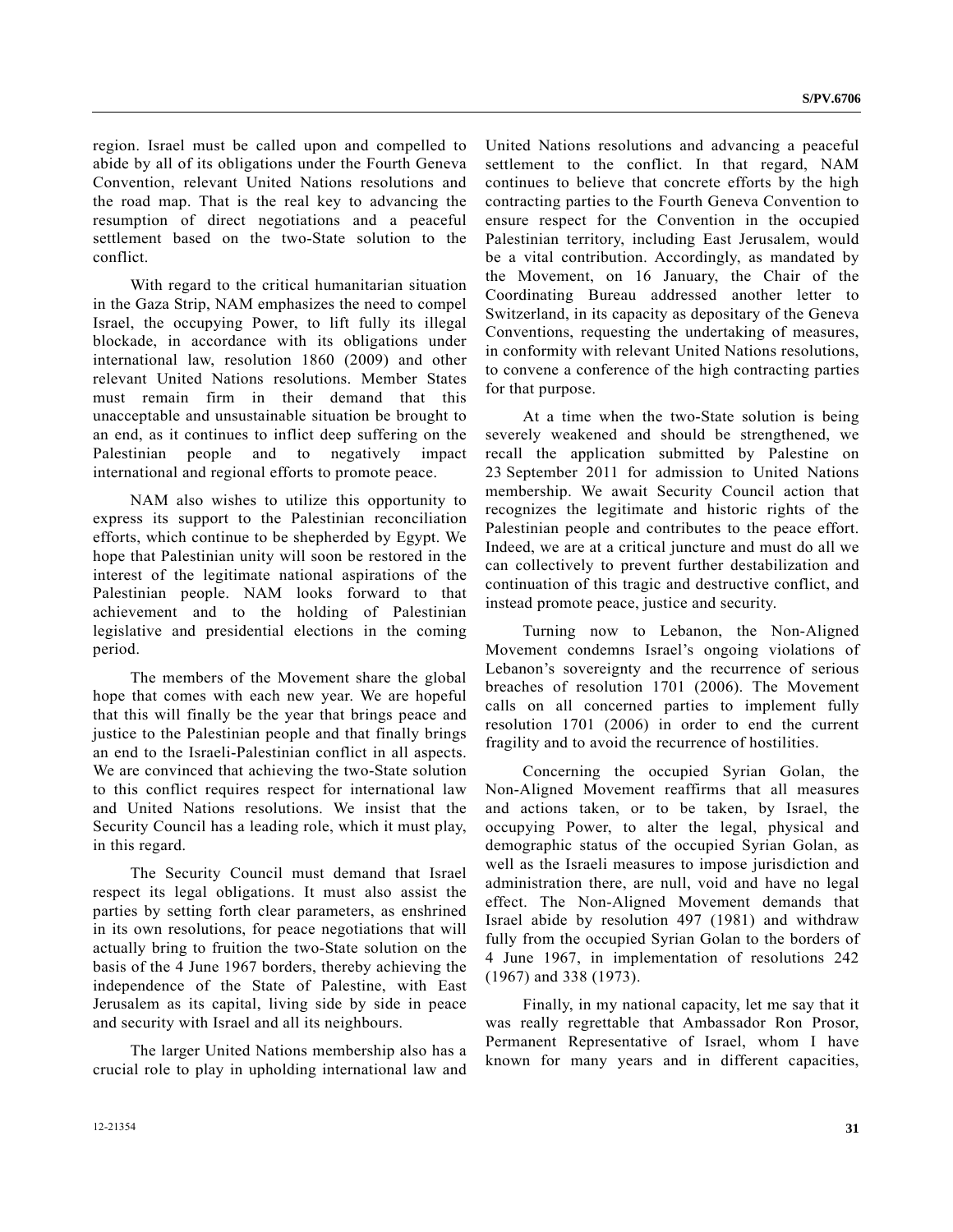region. Israel must be called upon and compelled to abide by all of its obligations under the Fourth Geneva Convention, relevant United Nations resolutions and the road map. That is the real key to advancing the resumption of direct negotiations and a peaceful settlement based on the two-State solution to the conflict.

 With regard to the critical humanitarian situation in the Gaza Strip, NAM emphasizes the need to compel Israel, the occupying Power, to lift fully its illegal blockade, in accordance with its obligations under international law, resolution 1860 (2009) and other relevant United Nations resolutions. Member States must remain firm in their demand that this unacceptable and unsustainable situation be brought to an end, as it continues to inflict deep suffering on the Palestinian people and to negatively impact international and regional efforts to promote peace.

 NAM also wishes to utilize this opportunity to express its support to the Palestinian reconciliation efforts, which continue to be shepherded by Egypt. We hope that Palestinian unity will soon be restored in the interest of the legitimate national aspirations of the Palestinian people. NAM looks forward to that achievement and to the holding of Palestinian legislative and presidential elections in the coming period.

 The members of the Movement share the global hope that comes with each new year. We are hopeful that this will finally be the year that brings peace and justice to the Palestinian people and that finally brings an end to the Israeli-Palestinian conflict in all aspects. We are convinced that achieving the two-State solution to this conflict requires respect for international law and United Nations resolutions. We insist that the Security Council has a leading role, which it must play, in this regard.

 The Security Council must demand that Israel respect its legal obligations. It must also assist the parties by setting forth clear parameters, as enshrined in its own resolutions, for peace negotiations that will actually bring to fruition the two-State solution on the basis of the 4 June 1967 borders, thereby achieving the independence of the State of Palestine, with East Jerusalem as its capital, living side by side in peace and security with Israel and all its neighbours.

 The larger United Nations membership also has a crucial role to play in upholding international law and United Nations resolutions and advancing a peaceful settlement to the conflict. In that regard, NAM continues to believe that concrete efforts by the high contracting parties to the Fourth Geneva Convention to ensure respect for the Convention in the occupied Palestinian territory, including East Jerusalem, would be a vital contribution. Accordingly, as mandated by the Movement, on 16 January, the Chair of the Coordinating Bureau addressed another letter to Switzerland, in its capacity as depositary of the Geneva Conventions, requesting the undertaking of measures, in conformity with relevant United Nations resolutions, to convene a conference of the high contracting parties for that purpose.

 At a time when the two-State solution is being severely weakened and should be strengthened, we recall the application submitted by Palestine on 23 September 2011 for admission to United Nations membership. We await Security Council action that recognizes the legitimate and historic rights of the Palestinian people and contributes to the peace effort. Indeed, we are at a critical juncture and must do all we can collectively to prevent further destabilization and continuation of this tragic and destructive conflict, and instead promote peace, justice and security.

 Turning now to Lebanon, the Non-Aligned Movement condemns Israel's ongoing violations of Lebanon's sovereignty and the recurrence of serious breaches of resolution 1701 (2006). The Movement calls on all concerned parties to implement fullу resolution 1701 (2006) in order to end the current fragility and to avoid the recurrence of hostilities.

 Concerning the occupied Syrian Golan, the Non-Aligned Movement reaffirms that all measures and actions taken, or to be taken, by Israel, the occupying Power, to alter the legal, physical and demographic status of the occupied Syrian Golan, as well as the Israeli measures to impose jurisdiction and administration there, are null, void and have no legal effect. The Non-Aligned Movement demands that Israel abide by resolution 497 (1981) and withdraw fully from the occupied Syrian Golan to the borders of 4 June 1967, in implementation of resolutions 242 (1967) and 338 (1973).

 Finally, in my national capacity, let me say that it was really regrettable that Ambassador Ron Prosor, Permanent Representative of Israel, whom I have known for many years and in different capacities,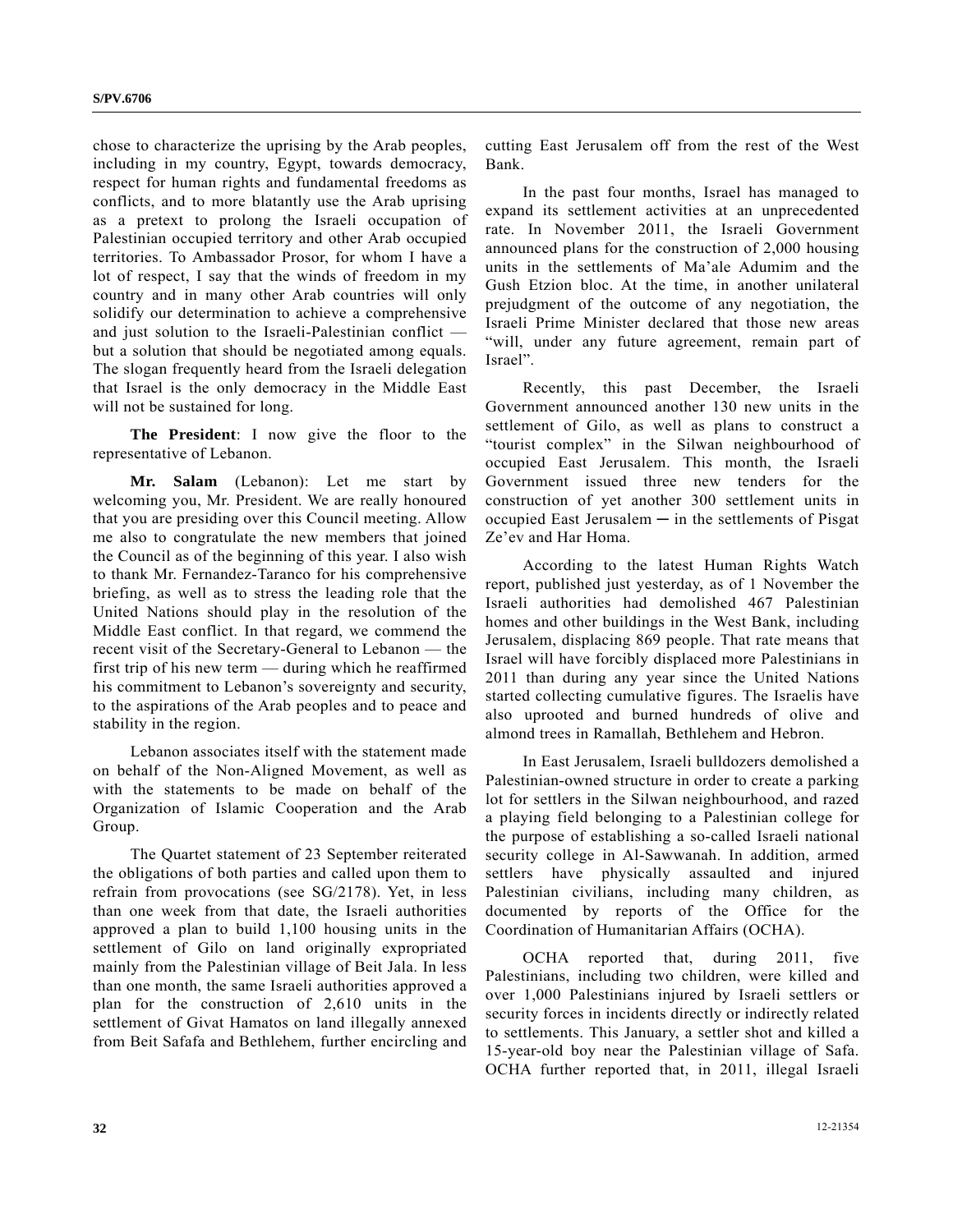chose to characterize the uprising by the Arab peoples, including in my country, Egypt, towards democracy, respect for human rights and fundamental freedoms as conflicts, and to more blatantly use the Arab uprising as a pretext to prolong the Israeli occupation of Palestinian occupied territory and other Arab occupied territories. To Ambassador Prosor, for whom I have a lot of respect, I say that the winds of freedom in my country and in many other Arab countries will only solidify our determination to achieve a comprehensive and just solution to the Israeli-Palestinian conflict but a solution that should be negotiated among equals. The slogan frequently heard from the Israeli delegation that Israel is the only democracy in the Middle East will not be sustained for long.

**The President**: I now give the floor to the representative of Lebanon.

**Mr. Salam** (Lebanon): Let me start by welcoming you, Mr. President. We are really honoured that you are presiding over this Council meeting. Allow me also to congratulate the new members that joined the Council as of the beginning of this year. I also wish to thank Mr. Fernandez-Taranco for his comprehensive briefing, as well as to stress the leading role that the United Nations should play in the resolution of the Middle East conflict. In that regard, we commend the recent visit of the Secretary-General to Lebanon — the first trip of his new term — during which he reaffirmed his commitment to Lebanon's sovereignty and security, to the aspirations of the Arab peoples and to peace and stability in the region.

 Lebanon associates itself with the statement made on behalf of the Non-Aligned Movement, as well as with the statements to be made on behalf of the Organization of Islamic Cooperation and the Arab Group.

 The Quartet statement of 23 September reiterated the obligations of both parties and called upon them to refrain from provocations (see SG/2178). Yet, in less than one week from that date, the Israeli authorities approved a plan to build 1,100 housing units in the settlement of Gilo on land originally expropriated mainly from the Palestinian village of Beit Jala. In less than one month, the same Israeli authorities approved a plan for the construction of 2,610 units in the settlement of Givat Hamatos on land illegally annexed from Beit Safafa and Bethlehem, further encircling and cutting East Jerusalem off from the rest of the West Bank.

 In the past four months, Israel has managed to expand its settlement activities at an unprecedented rate. In November 2011, the Israeli Government announced plans for the construction of 2,000 housing units in the settlements of Ma'ale Adumim and the Gush Etzion bloc. At the time, in another unilateral prejudgment of the outcome of any negotiation, the Israeli Prime Minister declared that those new areas "will, under any future agreement, remain part of Israel".

 Recently, this past December, the Israeli Government announced another 130 new units in the settlement of Gilo, as well as plans to construct a "tourist complex" in the Silwan neighbourhood of occupied East Jerusalem. This month, the Israeli Government issued three new tenders for the construction of yet another 300 settlement units in  $occupied$  East Jerusalem  $-$  in the settlements of Pisgat Ze'ev and Har Homa.

 According to the latest Human Rights Watch report, published just yesterday, as of 1 November the Israeli authorities had demolished 467 Palestinian homes and other buildings in the West Bank, including Jerusalem, displacing 869 people. That rate means that Israel will have forcibly displaced more Palestinians in 2011 than during any year since the United Nations started collecting cumulative figures. The Israelis have also uprooted and burned hundreds of olive and almond trees in Ramallah, Bethlehem and Hebron.

 In East Jerusalem, Israeli bulldozers demolished a Palestinian-owned structure in order to create a parking lot for settlers in the Silwan neighbourhood, and razed a playing field belonging to a Palestinian college for the purpose of establishing a so-called Israeli national security college in Al-Sawwanah. In addition, armed settlers have physically assaulted and injured Palestinian civilians, including many children, as documented by reports of the Office for the Coordination of Humanitarian Affairs (OCHA).

 OCHA reported that, during 2011, five Palestinians, including two children, were killed and over 1,000 Palestinians injured by Israeli settlers or security forces in incidents directly or indirectly related to settlements. This January, a settler shot and killed a 15-year-old boy near the Palestinian village of Safa. OCHA further reported that, in 2011, illegal Israeli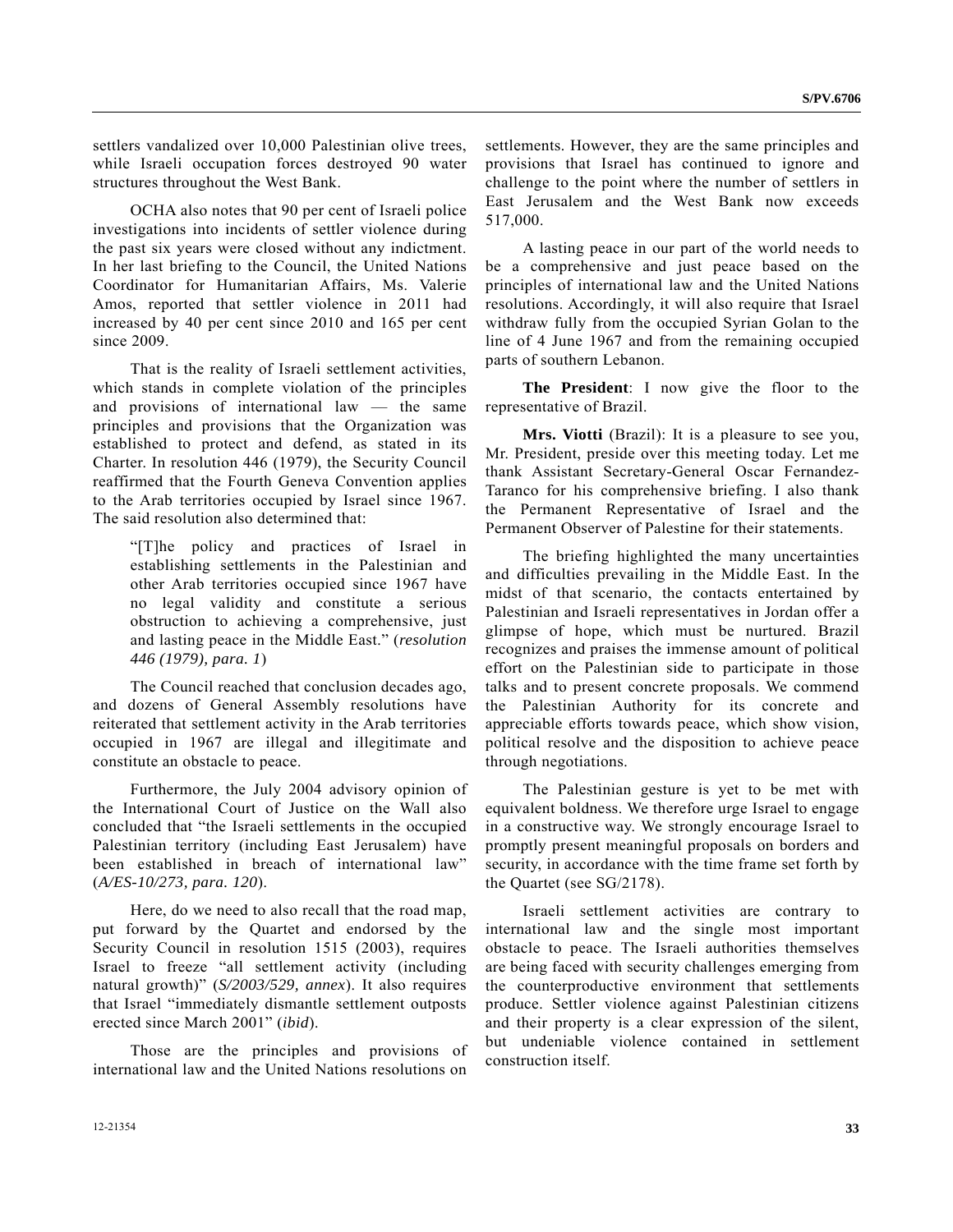settlers vandalized over 10,000 Palestinian olive trees, while Israeli occupation forces destroyed 90 water structures throughout the West Bank.

 OCHA also notes that 90 per cent of Israeli police investigations into incidents of settler violence during the past six years were closed without any indictment. In her last briefing to the Council, the United Nations Coordinator for Humanitarian Affairs, Ms. Valerie Amos, reported that settler violence in 2011 had increased by 40 per cent since 2010 and 165 per cent since 2009.

 That is the reality of Israeli settlement activities, which stands in complete violation of the principles and provisions of international law — the same principles and provisions that the Organization was established to protect and defend, as stated in its Charter. In resolution 446 (1979), the Security Council reaffirmed that the Fourth Geneva Convention applies to the Arab territories occupied by Israel since 1967. The said resolution also determined that:

 "[T]he policy and practices of Israel in establishing settlements in the Palestinian and other Arab territories occupied since 1967 have no legal validity and constitute a serious obstruction to achieving a comprehensive, just and lasting peace in the Middle East." (*resolution 446 (1979), para. 1*)

 The Council reached that conclusion decades ago, and dozens of General Assembly resolutions have reiterated that settlement activity in the Arab territories occupied in 1967 are illegal and illegitimate and constitute an obstacle to peace.

 Furthermore, the July 2004 advisory opinion of the International Court of Justice on the Wall also concluded that "the Israeli settlements in the occupied Palestinian territory (including East Jerusalem) have been established in breach of international law" (*A/ES-10/273, para. 120*).

 Here, do we need to also recall that the road map, put forward by the Quartet and endorsed by the Security Council in resolution 1515 (2003), requires Israel to freeze "all settlement activity (including natural growth)" (*S/2003/529, annex*). It also requires that Israel "immediately dismantle settlement outposts erected since March 2001" (*ibid*).

 Those are the principles and provisions of international law and the United Nations resolutions on settlements. However, they are the same principles and provisions that Israel has continued to ignore and challenge to the point where the number of settlers in East Jerusalem and the West Bank now exceeds 517,000.

 A lasting peace in our part of the world needs to be a comprehensive and just peace based on the principles of international law and the United Nations resolutions. Accordingly, it will also require that Israel withdraw fully from the occupied Syrian Golan to the line of 4 June 1967 and from the remaining occupied parts of southern Lebanon.

**The President**: I now give the floor to the representative of Brazil.

**Mrs. Viotti** (Brazil): It is a pleasure to see you, Mr. President, preside over this meeting today. Let me thank Assistant Secretary-General Oscar Fernandez-Taranco for his comprehensive briefing. I also thank the Permanent Representative of Israel and the Permanent Observer of Palestine for their statements.

 The briefing highlighted the many uncertainties and difficulties prevailing in the Middle East. In the midst of that scenario, the contacts entertained by Palestinian and Israeli representatives in Jordan offer a glimpse of hope, which must be nurtured. Brazil recognizes and praises the immense amount of political effort on the Palestinian side to participate in those talks and to present concrete proposals. We commend the Palestinian Authority for its concrete and appreciable efforts towards peace, which show vision, political resolve and the disposition to achieve peace through negotiations.

 The Palestinian gesture is yet to be met with equivalent boldness. We therefore urge Israel to engage in a constructive way. We strongly encourage Israel to promptly present meaningful proposals on borders and security, in accordance with the time frame set forth by the Quartet (see SG/2178).

 Israeli settlement activities are contrary to international law and the single most important obstacle to peace. The Israeli authorities themselves are being faced with security challenges emerging from the counterproductive environment that settlements produce. Settler violence against Palestinian citizens and their property is a clear expression of the silent, but undeniable violence contained in settlement construction itself.